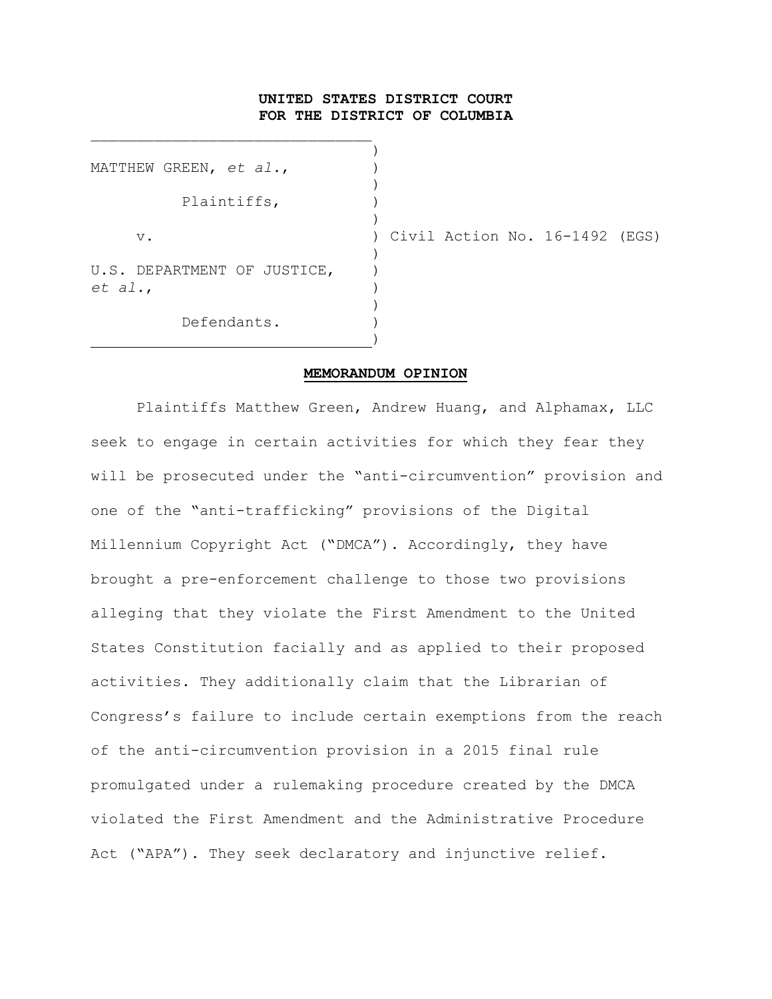## **UNITED STATES DISTRICT COURT FOR THE DISTRICT OF COLUMBIA**

|         | MATTHEW GREEN, et al.,      |  |
|---------|-----------------------------|--|
|         | Plaintiffs,                 |  |
| v.      |                             |  |
| et al., | U.S. DEPARTMENT OF JUSTICE, |  |
|         | Defendants.                 |  |

\_\_\_\_\_\_\_\_\_\_\_\_\_\_\_\_\_\_\_\_\_\_\_\_\_\_\_\_\_\_\_

Civil Action No. 16-1492 (EGS)

#### **MEMORANDUM OPINION**

Plaintiffs Matthew Green, Andrew Huang, and Alphamax, LLC seek to engage in certain activities for which they fear they will be prosecuted under the "anti-circumvention" provision and one of the "anti-trafficking" provisions of the Digital Millennium Copyright Act ("DMCA"). Accordingly, they have brought a pre-enforcement challenge to those two provisions alleging that they violate the First Amendment to the United States Constitution facially and as applied to their proposed activities. They additionally claim that the Librarian of Congress's failure to include certain exemptions from the reach of the anti-circumvention provision in a 2015 final rule promulgated under a rulemaking procedure created by the DMCA violated the First Amendment and the Administrative Procedure Act ("APA"). They seek declaratory and injunctive relief.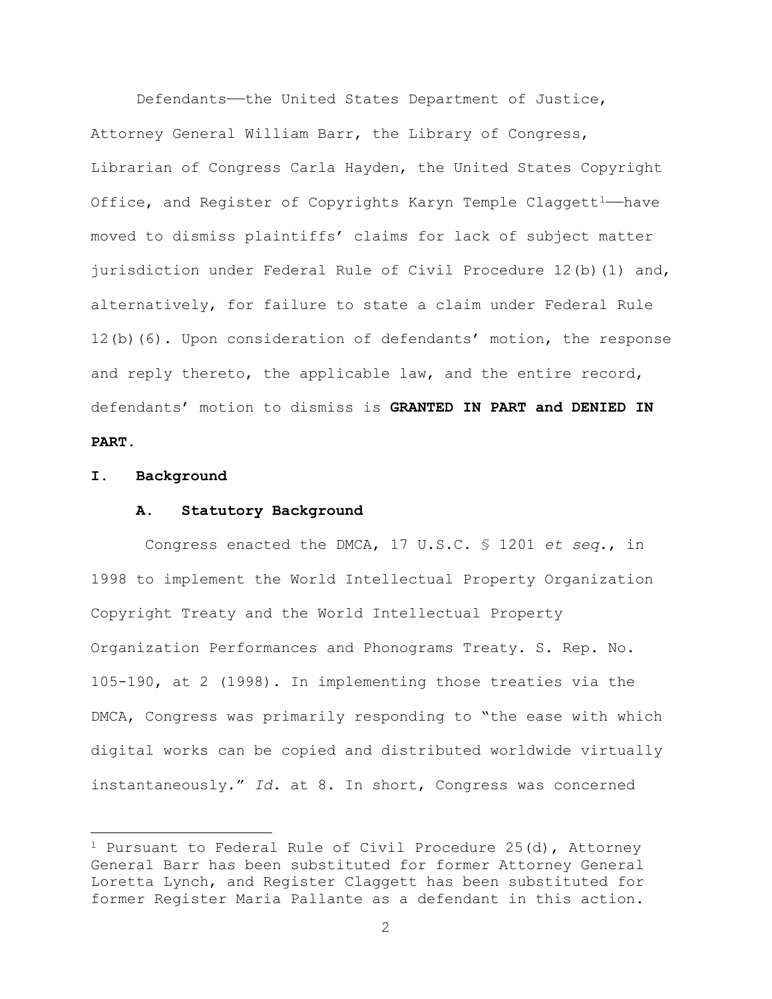Defendants—the United States Department of Justice, Attorney General William Barr, the Library of Congress, Librarian of Congress Carla Hayden, the United States Copyright Office, and Register of Copyrights Karyn Temple Claggett<sup>1-</sup>have moved to dismiss plaintiffs' claims for lack of subject matter jurisdiction under Federal Rule of Civil Procedure 12(b)(1) and, alternatively, for failure to state a claim under Federal Rule 12(b)(6). Upon consideration of defendants' motion, the response and reply thereto, the applicable law, and the entire record, defendants' motion to dismiss is **GRANTED IN PART and DENIED IN PART**.

#### **I. Background**

 $\overline{a}$ 

#### **A. Statutory Background**

Congress enacted the DMCA, 17 U.S.C. § 1201 *et seq.*, in 1998 to implement the World Intellectual Property Organization Copyright Treaty and the World Intellectual Property Organization Performances and Phonograms Treaty. S. Rep. No. 105-190, at 2 (1998). In implementing those treaties via the DMCA, Congress was primarily responding to "the ease with which digital works can be copied and distributed worldwide virtually instantaneously." *Id.* at 8. In short, Congress was concerned

<sup>&</sup>lt;sup>1</sup> Pursuant to Federal Rule of Civil Procedure 25(d), Attorney General Barr has been substituted for former Attorney General Loretta Lynch, and Register Claggett has been substituted for former Register Maria Pallante as a defendant in this action.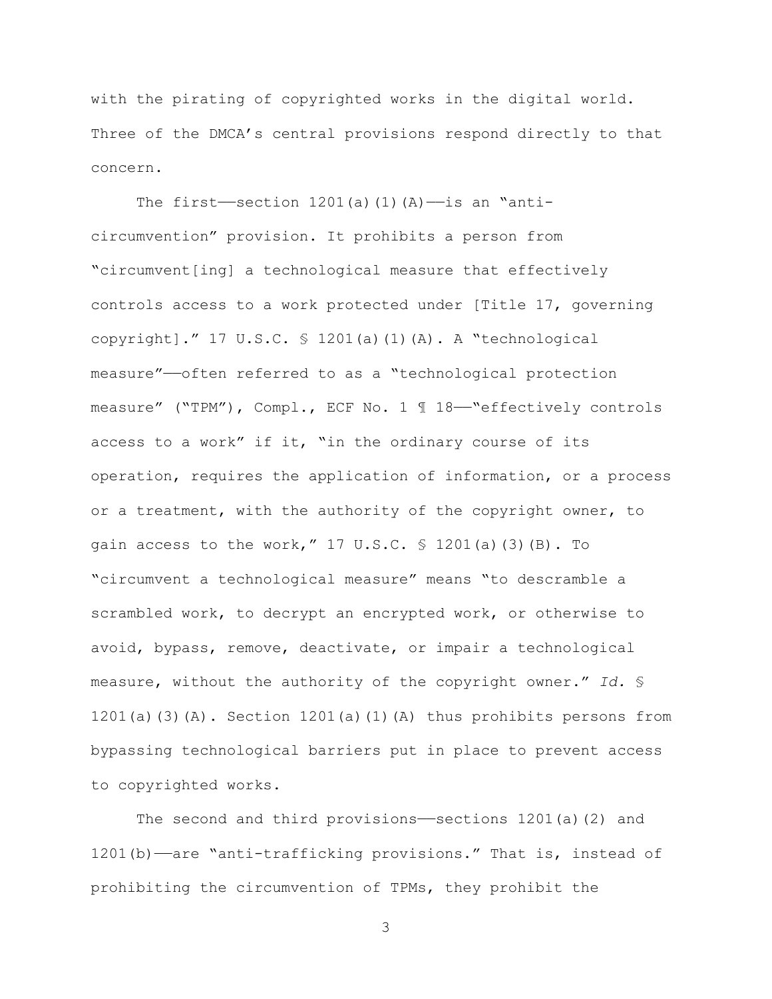with the pirating of copyrighted works in the digital world. Three of the DMCA's central provisions respond directly to that concern.

The first—section  $1201(a)(1)(A)$ —is an "anticircumvention" provision. It prohibits a person from "circumvent[ing] a technological measure that effectively controls access to a work protected under [Title 17, governing copyright]." 17 U.S.C. § 1201(a)(1)(A). A "technological measure"——often referred to as a "technological protection measure" ("TPM"), Compl., ECF No. 1 1 18-"effectively controls access to a work" if it, "in the ordinary course of its operation, requires the application of information, or a process or a treatment, with the authority of the copyright owner, to gain access to the work,"  $17 \text{ U.S.C. }$  \$  $1201(a)$  (3)(B). To "circumvent a technological measure" means "to descramble a scrambled work, to decrypt an encrypted work, or otherwise to avoid, bypass, remove, deactivate, or impair a technological measure, without the authority of the copyright owner." *Id.* § 1201(a)(3)(A). Section 1201(a)(1)(A) thus prohibits persons from bypassing technological barriers put in place to prevent access to copyrighted works.

The second and third provisions—sections  $1201(a)(2)$  and 1201(b)——are "anti-trafficking provisions." That is, instead of prohibiting the circumvention of TPMs, they prohibit the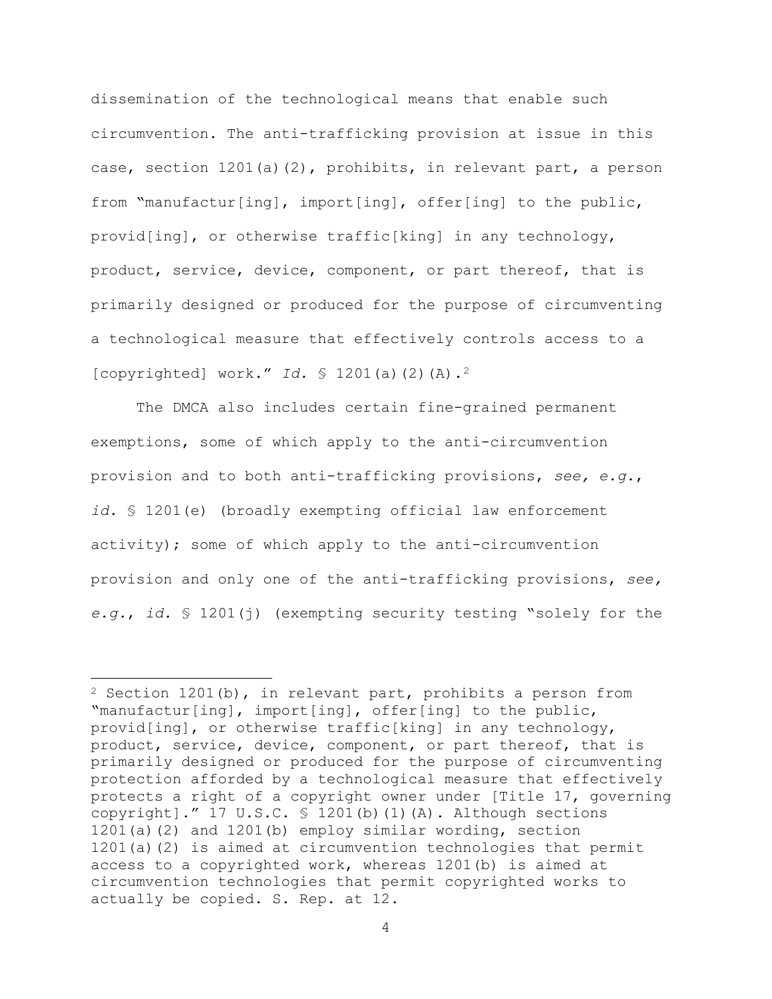dissemination of the technological means that enable such circumvention. The anti-trafficking provision at issue in this case, section 1201(a)(2), prohibits, in relevant part, a person from "manufactur[ing], import[ing], offer[ing] to the public, provid[ing], or otherwise traffic[king] in any technology, product, service, device, component, or part thereof, that is primarily designed or produced for the purpose of circumventing a technological measure that effectively controls access to a [copyrighted] work." *Id.* § 1201(a)(2)(A).2

The DMCA also includes certain fine-grained permanent exemptions, some of which apply to the anti-circumvention provision and to both anti-trafficking provisions, *see, e.g.*, *id.* § 1201(e) (broadly exempting official law enforcement activity); some of which apply to the anti-circumvention provision and only one of the anti-trafficking provisions, *see, e.g.*, *id.* § 1201(j) (exempting security testing "solely for the

 $\overline{\phantom{a}}$ 

<sup>2</sup> Section 1201(b), in relevant part, prohibits a person from "manufactur[ing], import[ing], offer[ing] to the public, provid[ing], or otherwise traffic[king] in any technology, product, service, device, component, or part thereof, that is primarily designed or produced for the purpose of circumventing protection afforded by a technological measure that effectively protects a right of a copyright owner under [Title 17, governing copyright]." 17 U.S.C. § 1201(b)(1)(A). Although sections 1201(a)(2) and 1201(b) employ similar wording, section 1201(a)(2) is aimed at circumvention technologies that permit access to a copyrighted work, whereas 1201(b) is aimed at circumvention technologies that permit copyrighted works to actually be copied. S. Rep. at 12.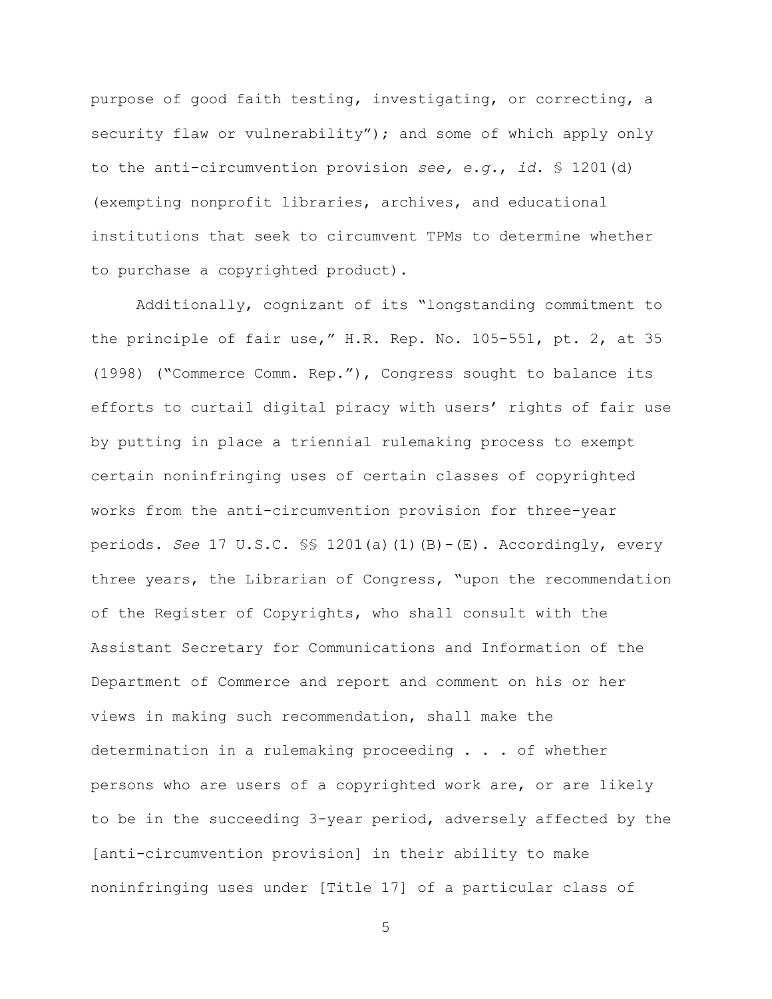purpose of good faith testing, investigating, or correcting, a security flaw or vulnerability"); and some of which apply only to the anti-circumvention provision *see, e.g.*, *id.* § 1201(d) (exempting nonprofit libraries, archives, and educational institutions that seek to circumvent TPMs to determine whether to purchase a copyrighted product).

Additionally, cognizant of its "longstanding commitment to the principle of fair use," H.R. Rep. No. 105-551, pt. 2, at 35 (1998) ("Commerce Comm. Rep."), Congress sought to balance its efforts to curtail digital piracy with users' rights of fair use by putting in place a triennial rulemaking process to exempt certain noninfringing uses of certain classes of copyrighted works from the anti-circumvention provision for three-year periods. *See* 17 U.S.C. §§ 1201(a)(1)(B)-(E). Accordingly, every three years, the Librarian of Congress, "upon the recommendation of the Register of Copyrights, who shall consult with the Assistant Secretary for Communications and Information of the Department of Commerce and report and comment on his or her views in making such recommendation, shall make the determination in a rulemaking proceeding . . . of whether persons who are users of a copyrighted work are, or are likely to be in the succeeding 3-year period, adversely affected by the [anti-circumvention provision] in their ability to make noninfringing uses under [Title 17] of a particular class of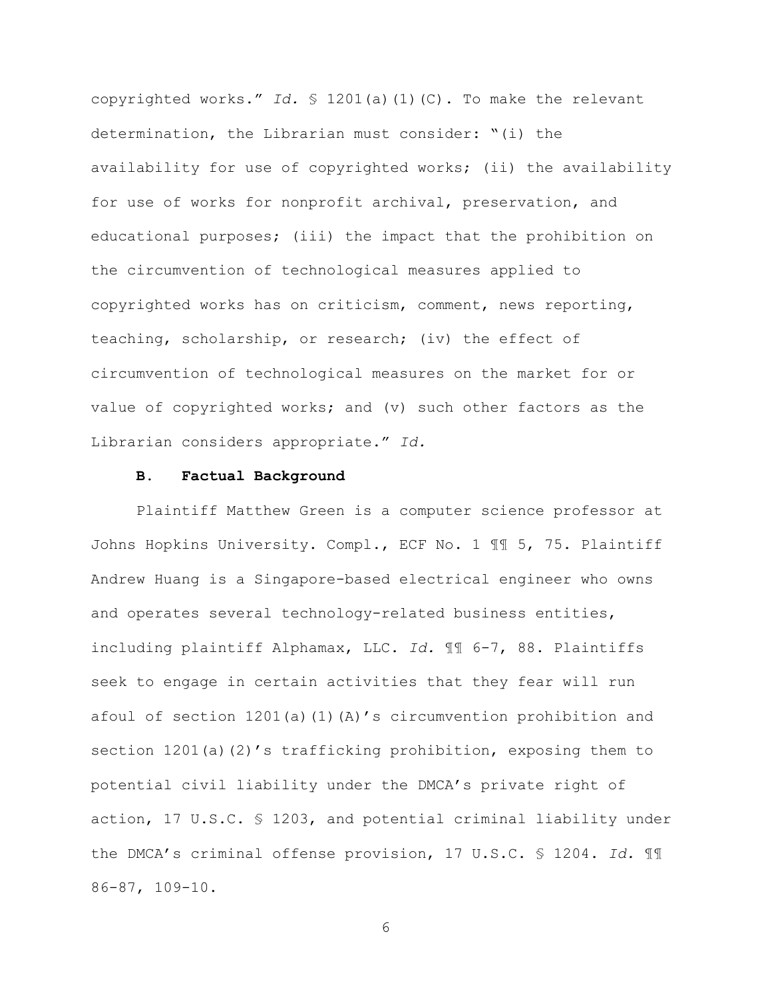copyrighted works." *Id.* § 1201(a)(1)(C). To make the relevant determination, the Librarian must consider: "(i) the availability for use of copyrighted works; (ii) the availability for use of works for nonprofit archival, preservation, and educational purposes; (iii) the impact that the prohibition on the circumvention of technological measures applied to copyrighted works has on criticism, comment, news reporting, teaching, scholarship, or research; (iv) the effect of circumvention of technological measures on the market for or value of copyrighted works; and (v) such other factors as the Librarian considers appropriate." *Id.*

### **B. Factual Background**

Plaintiff Matthew Green is a computer science professor at Johns Hopkins University. Compl., ECF No. 1 ¶¶ 5, 75. Plaintiff Andrew Huang is a Singapore-based electrical engineer who owns and operates several technology-related business entities, including plaintiff Alphamax, LLC. *Id.* ¶¶ 6-7, 88. Plaintiffs seek to engage in certain activities that they fear will run afoul of section  $1201(a)(1)(A)'$ s circumvention prohibition and section 1201(a)(2)'s trafficking prohibition, exposing them to potential civil liability under the DMCA's private right of action, 17 U.S.C. § 1203, and potential criminal liability under the DMCA's criminal offense provision, 17 U.S.C. § 1204. *Id.* ¶¶ 86-87, 109-10.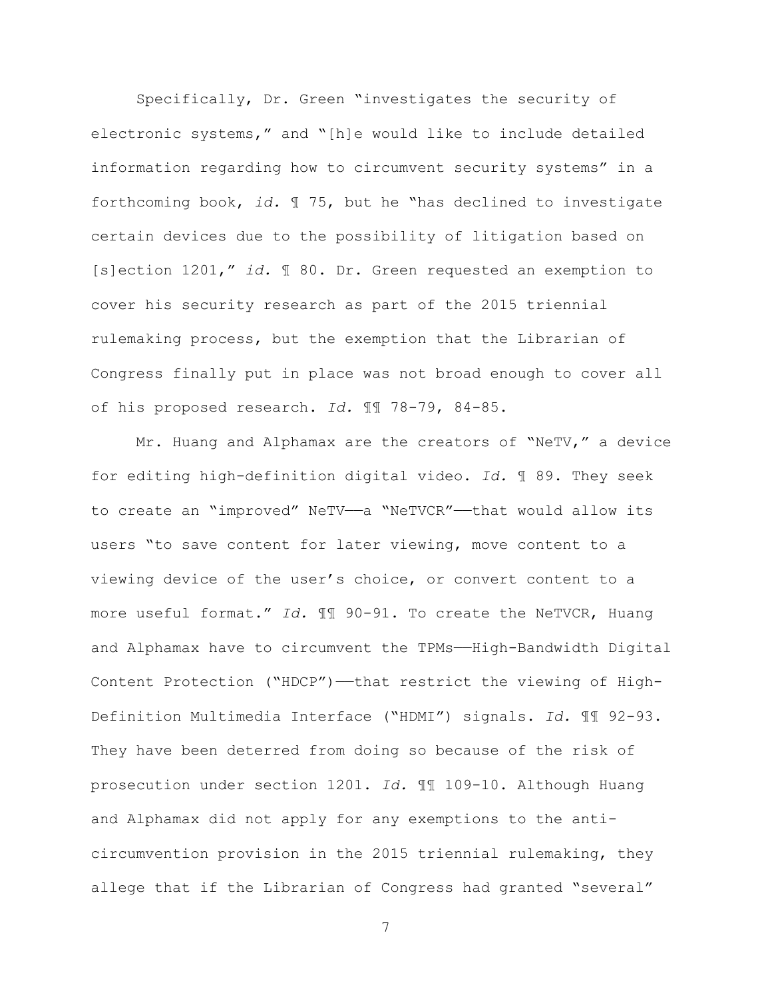Specifically, Dr. Green "investigates the security of electronic systems," and "[h]e would like to include detailed information regarding how to circumvent security systems" in a forthcoming book, *id.* ¶ 75, but he "has declined to investigate certain devices due to the possibility of litigation based on [s]ection 1201," *id.* ¶ 80. Dr. Green requested an exemption to cover his security research as part of the 2015 triennial rulemaking process, but the exemption that the Librarian of Congress finally put in place was not broad enough to cover all of his proposed research. *Id.* ¶¶ 78-79, 84-85.

Mr. Huang and Alphamax are the creators of "NeTV," a device for editing high-definition digital video. *Id.* ¶ 89. They seek to create an "improved" NeTV—a "NeTVCR"—that would allow its users "to save content for later viewing, move content to a viewing device of the user's choice, or convert content to a more useful format." *Id.* ¶¶ 90-91. To create the NeTVCR, Huang and Alphamax have to circumvent the TPMs——High-Bandwidth Digital Content Protection ("HDCP")——that restrict the viewing of High-Definition Multimedia Interface ("HDMI") signals. *Id.* ¶¶ 92-93. They have been deterred from doing so because of the risk of prosecution under section 1201. *Id.* ¶¶ 109-10. Although Huang and Alphamax did not apply for any exemptions to the anticircumvention provision in the 2015 triennial rulemaking, they allege that if the Librarian of Congress had granted "several"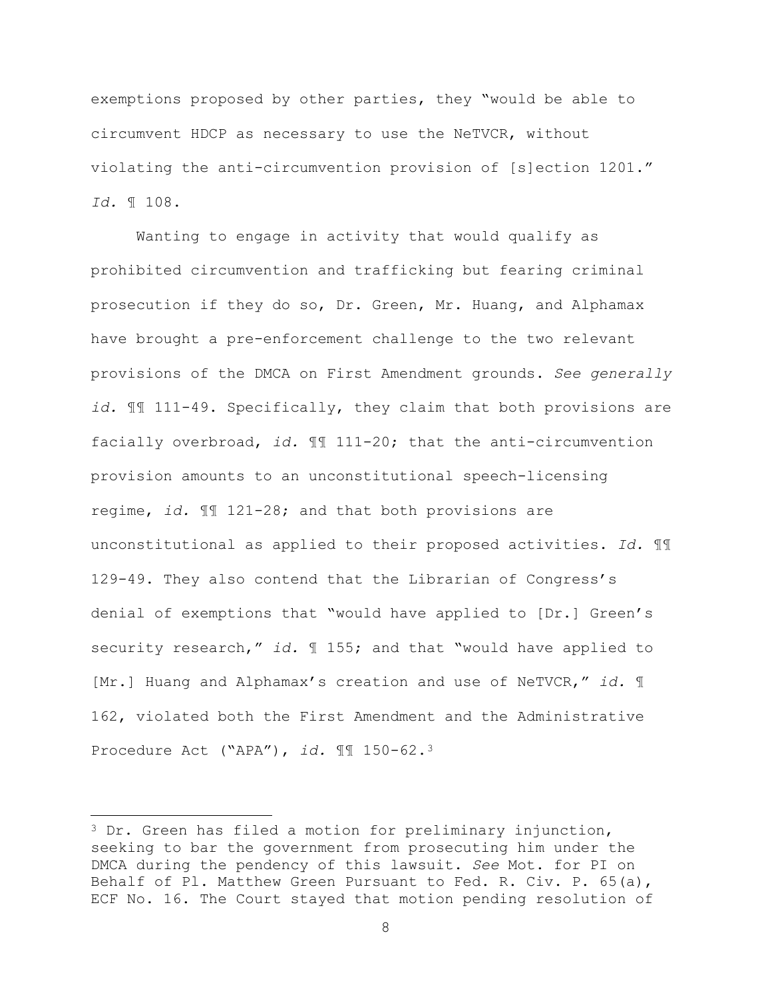exemptions proposed by other parties, they "would be able to circumvent HDCP as necessary to use the NeTVCR, without violating the anti-circumvention provision of [s]ection 1201." *Id.* ¶ 108.

Wanting to engage in activity that would qualify as prohibited circumvention and trafficking but fearing criminal prosecution if they do so, Dr. Green, Mr. Huang, and Alphamax have brought a pre-enforcement challenge to the two relevant provisions of the DMCA on First Amendment grounds. *See generally id.* ¶¶ 111-49. Specifically, they claim that both provisions are facially overbroad, *id.* ¶¶ 111-20; that the anti-circumvention provision amounts to an unconstitutional speech-licensing regime, *id.* ¶¶ 121-28; and that both provisions are unconstitutional as applied to their proposed activities. *Id.* ¶¶ 129-49. They also contend that the Librarian of Congress's denial of exemptions that "would have applied to [Dr.] Green's security research," *id.* ¶ 155; and that "would have applied to [Mr.] Huang and Alphamax's creation and use of NeTVCR," *id.* ¶ 162, violated both the First Amendment and the Administrative Procedure Act ("APA"), *id.* ¶¶ 150-62.3

 $\overline{\phantom{a}}$ 

<sup>3</sup> Dr. Green has filed a motion for preliminary injunction, seeking to bar the government from prosecuting him under the DMCA during the pendency of this lawsuit. *See* Mot. for PI on Behalf of Pl. Matthew Green Pursuant to Fed. R. Civ. P. 65(a), ECF No. 16. The Court stayed that motion pending resolution of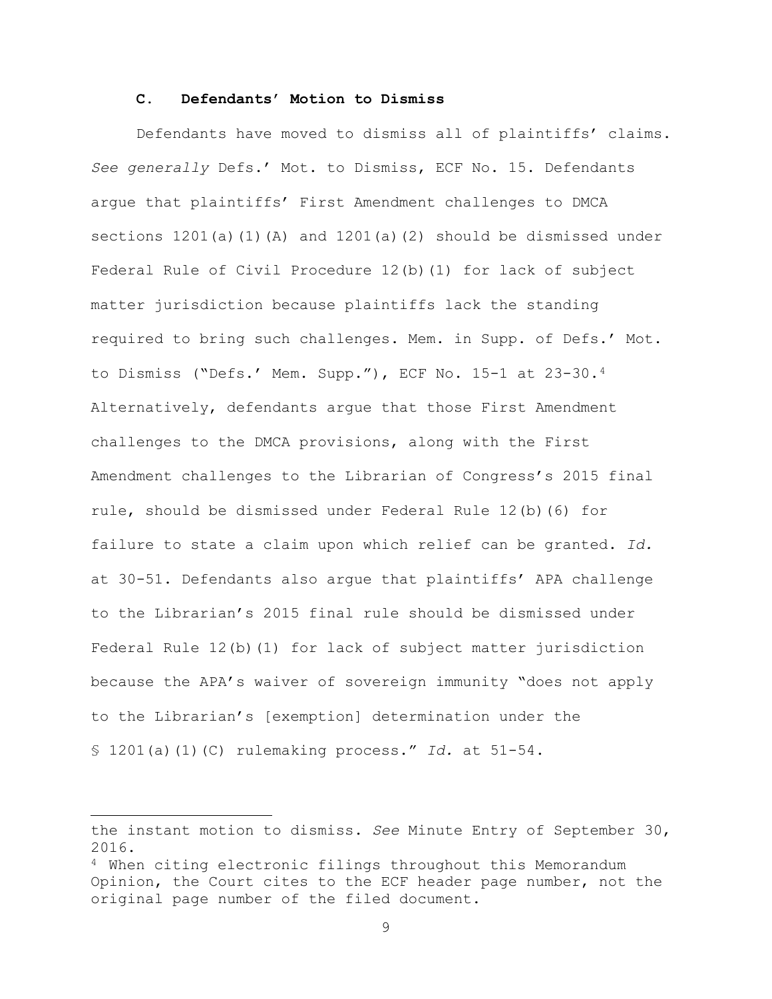### **C. Defendants' Motion to Dismiss**

Defendants have moved to dismiss all of plaintiffs' claims. *See generally* Defs.' Mot. to Dismiss, ECF No. 15. Defendants argue that plaintiffs' First Amendment challenges to DMCA sections 1201(a)(1)(A) and 1201(a)(2) should be dismissed under Federal Rule of Civil Procedure 12(b)(1) for lack of subject matter jurisdiction because plaintiffs lack the standing required to bring such challenges. Mem. in Supp. of Defs.' Mot. to Dismiss ("Defs.' Mem. Supp."), ECF No. 15-1 at 23-30.4 Alternatively, defendants argue that those First Amendment challenges to the DMCA provisions, along with the First Amendment challenges to the Librarian of Congress's 2015 final rule, should be dismissed under Federal Rule 12(b)(6) for failure to state a claim upon which relief can be granted. *Id.* at 30-51. Defendants also argue that plaintiffs' APA challenge to the Librarian's 2015 final rule should be dismissed under Federal Rule 12(b)(1) for lack of subject matter jurisdiction because the APA's waiver of sovereign immunity "does not apply to the Librarian's [exemption] determination under the § 1201(a)(1)(C) rulemaking process." *Id.* at 51-54.

 $\overline{\phantom{a}}$ 

the instant motion to dismiss. *See* Minute Entry of September 30, 2016.

<sup>4</sup> When citing electronic filings throughout this Memorandum Opinion, the Court cites to the ECF header page number, not the original page number of the filed document.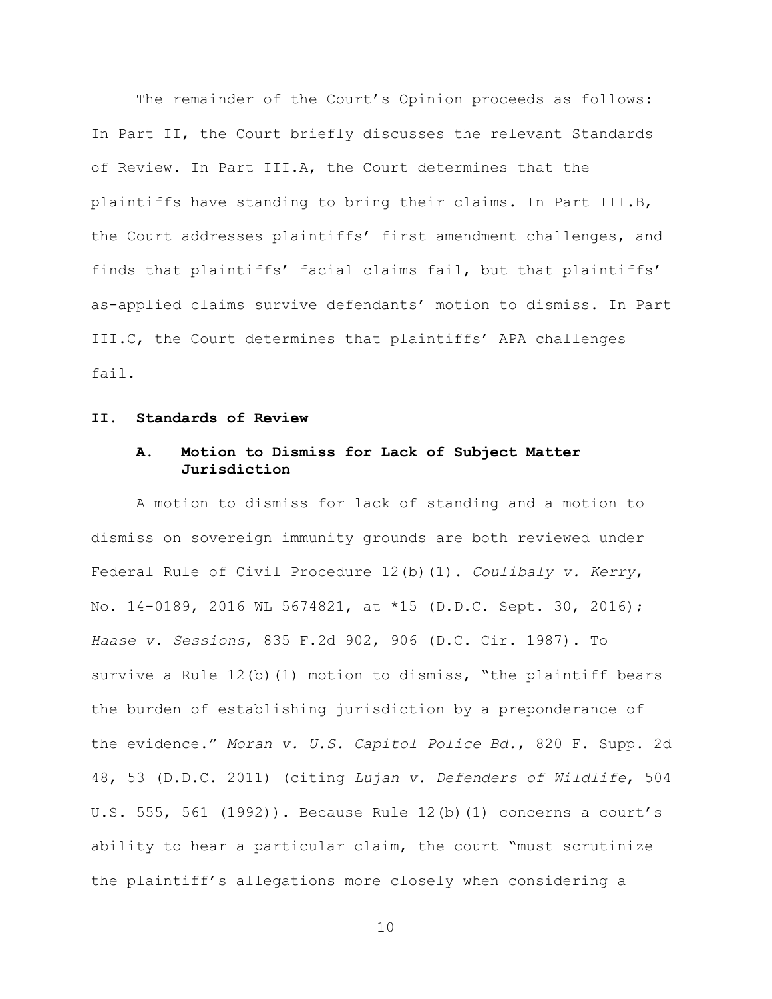The remainder of the Court's Opinion proceeds as follows: In Part II, the Court briefly discusses the relevant Standards of Review. In Part III.A, the Court determines that the plaintiffs have standing to bring their claims. In Part III.B, the Court addresses plaintiffs' first amendment challenges, and finds that plaintiffs' facial claims fail, but that plaintiffs' as-applied claims survive defendants' motion to dismiss. In Part III.C, the Court determines that plaintiffs' APA challenges fail.

### **II. Standards of Review**

# **A. Motion to Dismiss for Lack of Subject Matter Jurisdiction**

A motion to dismiss for lack of standing and a motion to dismiss on sovereign immunity grounds are both reviewed under Federal Rule of Civil Procedure 12(b)(1). *Coulibaly v. Kerry*, No. 14-0189, 2016 WL 5674821, at \*15 (D.D.C. Sept. 30, 2016); *Haase v. Sessions*, 835 F.2d 902, 906 (D.C. Cir. 1987). To survive a Rule  $12(b)(1)$  motion to dismiss, "the plaintiff bears the burden of establishing jurisdiction by a preponderance of the evidence." *Moran v. U.S. Capitol Police Bd.*, 820 F. Supp. 2d 48, 53 (D.D.C. 2011) (citing *Lujan v. Defenders of Wildlife*, 504 U.S. 555, 561 (1992)). Because Rule 12(b)(1) concerns a court's ability to hear a particular claim, the court "must scrutinize the plaintiff's allegations more closely when considering a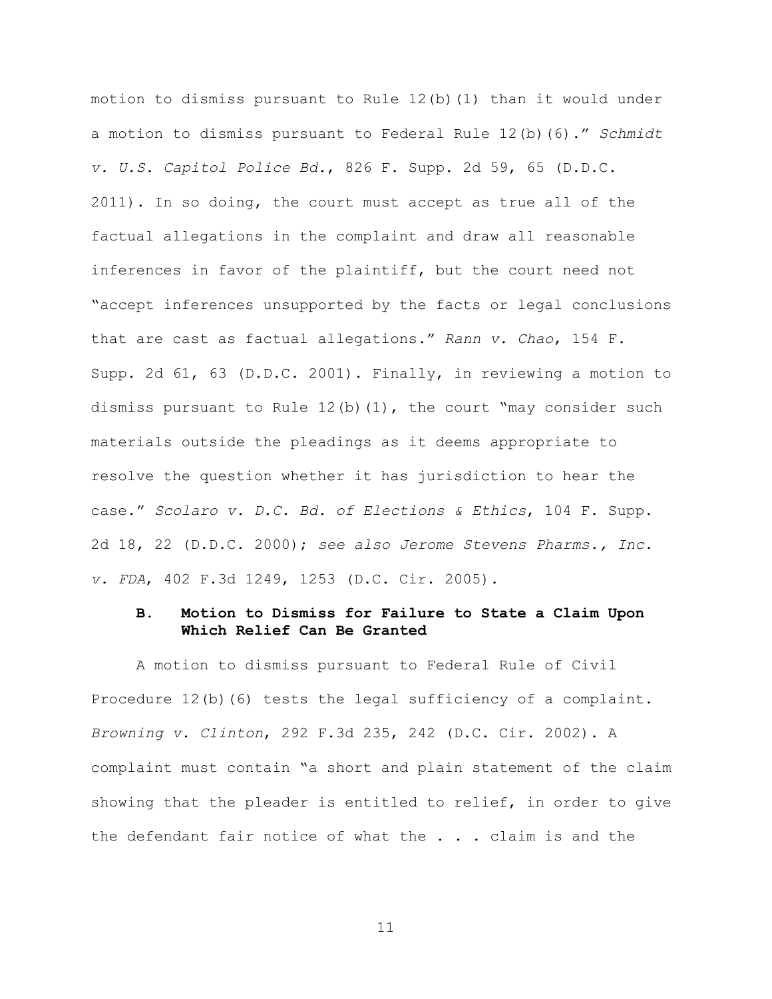motion to dismiss pursuant to Rule 12(b)(1) than it would under a motion to dismiss pursuant to Federal Rule 12(b)(6)." *Schmidt v. U.S. Capitol Police Bd.*, 826 F. Supp. 2d 59, 65 (D.D.C. 2011). In so doing, the court must accept as true all of the factual allegations in the complaint and draw all reasonable inferences in favor of the plaintiff, but the court need not "accept inferences unsupported by the facts or legal conclusions that are cast as factual allegations." *Rann v. Chao*, 154 F. Supp. 2d 61, 63 (D.D.C. 2001). Finally, in reviewing a motion to dismiss pursuant to Rule  $12(b)(1)$ , the court "may consider such materials outside the pleadings as it deems appropriate to resolve the question whether it has jurisdiction to hear the case." *Scolaro v. D.C. Bd. of Elections & Ethics*, 104 F. Supp. 2d 18, 22 (D.D.C. 2000); *see also Jerome Stevens Pharms., Inc. v. FDA*, 402 F.3d 1249, 1253 (D.C. Cir. 2005).

### **B. Motion to Dismiss for Failure to State a Claim Upon Which Relief Can Be Granted**

A motion to dismiss pursuant to Federal Rule of Civil Procedure 12(b)(6) tests the legal sufficiency of a complaint. *Browning v. Clinton*, 292 F.3d 235, 242 (D.C. Cir. 2002). A complaint must contain "a short and plain statement of the claim showing that the pleader is entitled to relief, in order to give the defendant fair notice of what the . . . claim is and the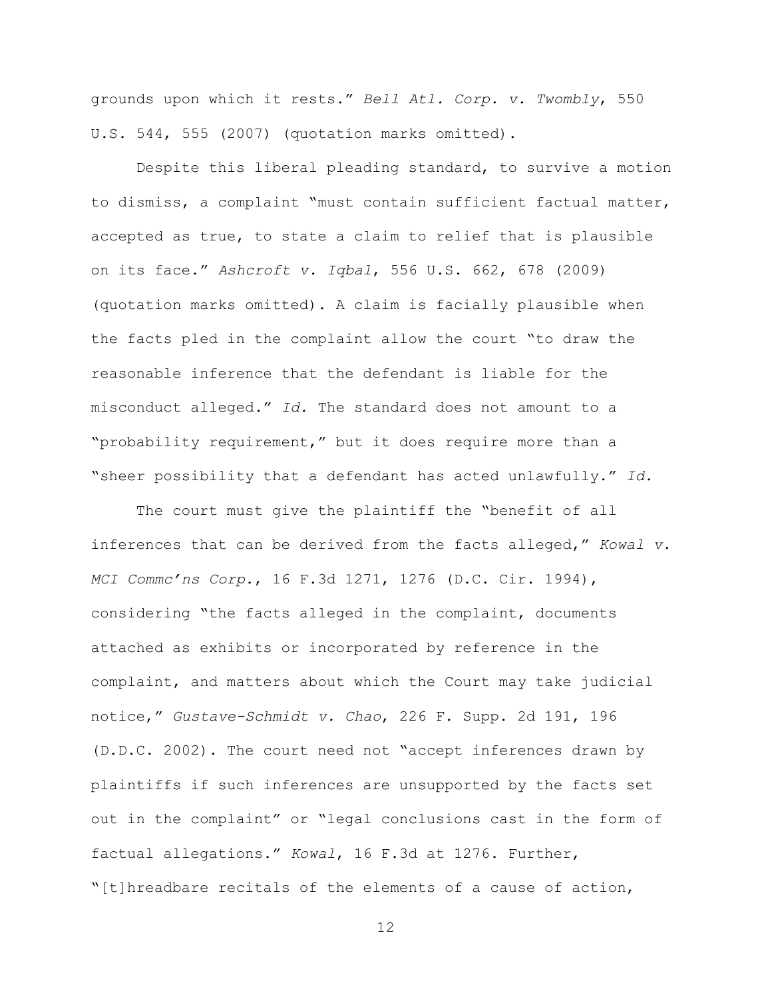grounds upon which it rests." *Bell Atl. Corp. v. Twombly*, 550 U.S. 544, 555 (2007) (quotation marks omitted).

Despite this liberal pleading standard, to survive a motion to dismiss, a complaint "must contain sufficient factual matter, accepted as true, to state a claim to relief that is plausible on its face." *Ashcroft v. Iqbal*, 556 U.S. 662, 678 (2009) (quotation marks omitted). A claim is facially plausible when the facts pled in the complaint allow the court "to draw the reasonable inference that the defendant is liable for the misconduct alleged." *Id.* The standard does not amount to a "probability requirement," but it does require more than a "sheer possibility that a defendant has acted unlawfully." *Id.*

The court must give the plaintiff the "benefit of all inferences that can be derived from the facts alleged," *Kowal v. MCI Commc'ns Corp.*, 16 F.3d 1271, 1276 (D.C. Cir. 1994), considering "the facts alleged in the complaint, documents attached as exhibits or incorporated by reference in the complaint, and matters about which the Court may take judicial notice," *Gustave-Schmidt v. Chao*, 226 F. Supp. 2d 191, 196 (D.D.C. 2002). The court need not "accept inferences drawn by plaintiffs if such inferences are unsupported by the facts set out in the complaint" or "legal conclusions cast in the form of factual allegations." *Kowal*, 16 F.3d at 1276. Further, "[t]hreadbare recitals of the elements of a cause of action,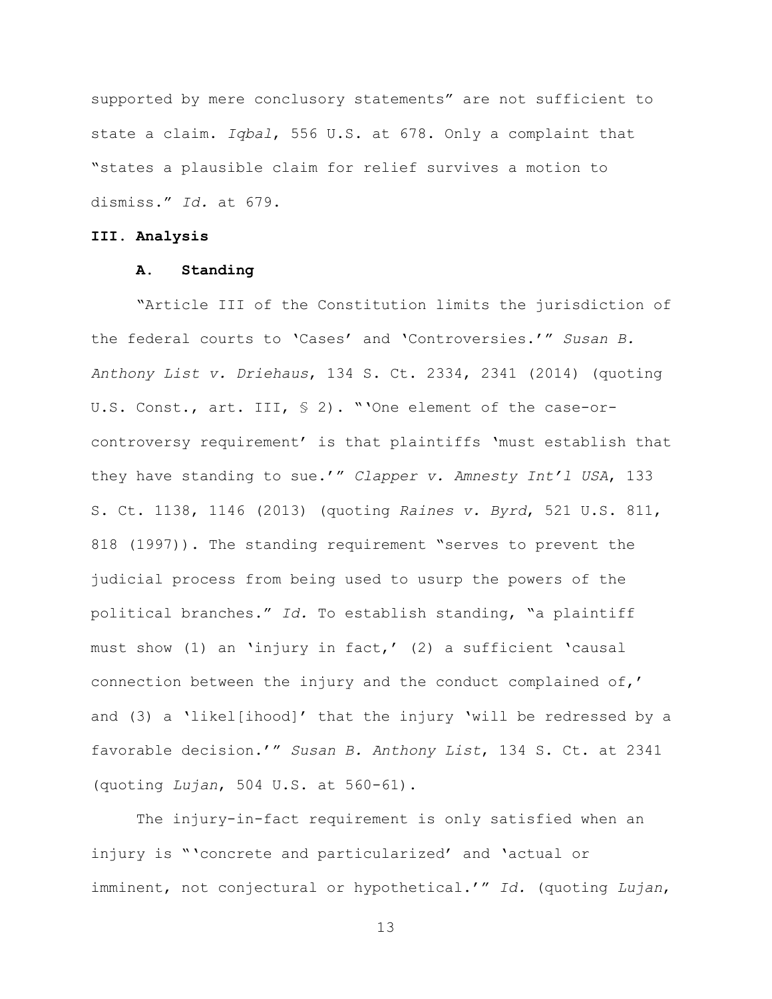supported by mere conclusory statements" are not sufficient to state a claim. *Iqbal*, 556 U.S. at 678. Only a complaint that "states a plausible claim for relief survives a motion to dismiss." *Id.* at 679.

### **III. Analysis**

### **A. Standing**

"Article III of the Constitution limits the jurisdiction of the federal courts to 'Cases' and 'Controversies.'" *Susan B. Anthony List v. Driehaus*, 134 S. Ct. 2334, 2341 (2014) (quoting U.S. Const., art. III, § 2). "'One element of the case-orcontroversy requirement' is that plaintiffs 'must establish that they have standing to sue.'" *Clapper v. Amnesty Int'l USA*, 133 S. Ct. 1138, 1146 (2013) (quoting *Raines v. Byrd*, 521 U.S. 811, 818 (1997)). The standing requirement "serves to prevent the judicial process from being used to usurp the powers of the political branches." *Id.* To establish standing, "a plaintiff must show (1) an 'injury in fact,' (2) a sufficient 'causal connection between the injury and the conduct complained of,' and (3) a 'likel[ihood]' that the injury 'will be redressed by a favorable decision.'" *Susan B. Anthony List*, 134 S. Ct. at 2341 (quoting *Lujan*, 504 U.S. at 560-61).

The injury-in-fact requirement is only satisfied when an injury is "'concrete and particularized' and 'actual or imminent, not conjectural or hypothetical.'" *Id.* (quoting *Lujan*,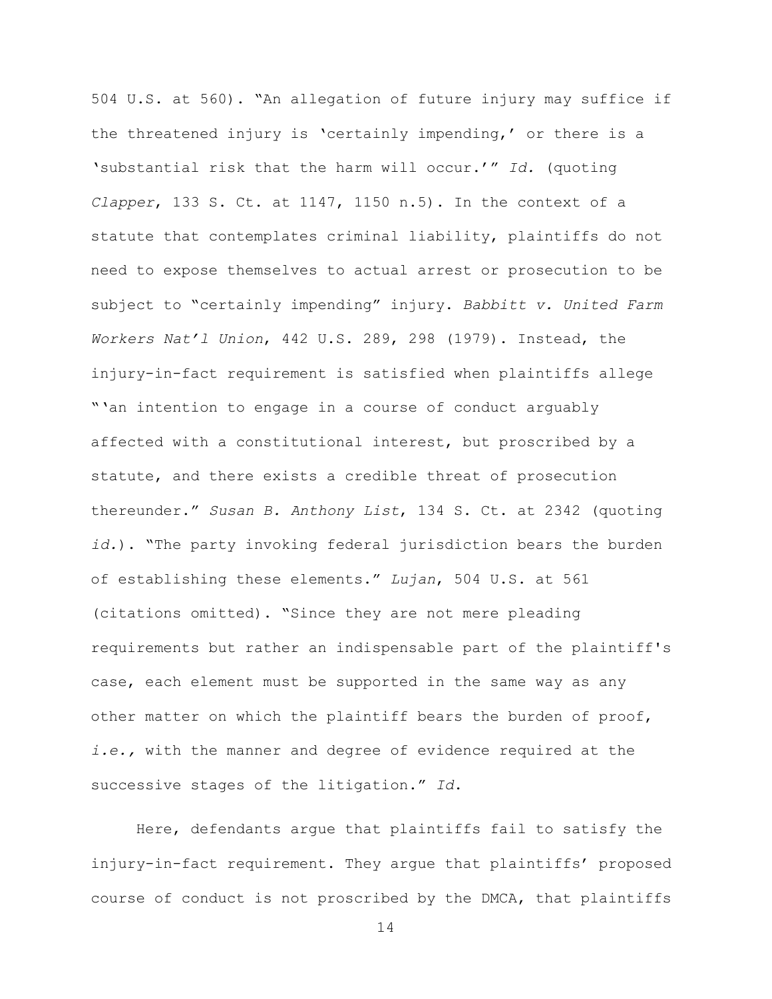504 U.S. at 560). "An allegation of future injury may suffice if the threatened injury is 'certainly impending,' or there is a 'substantial risk that the harm will occur.'" *Id.* (quoting *Clapper*, 133 S. Ct. at 1147, 1150 n.5). In the context of a statute that contemplates criminal liability, plaintiffs do not need to expose themselves to actual arrest or prosecution to be subject to "certainly impending" injury. *Babbitt v. United Farm Workers Nat'l Union*, 442 U.S. 289, 298 (1979). Instead, the injury-in-fact requirement is satisfied when plaintiffs allege "'an intention to engage in a course of conduct arguably affected with a constitutional interest, but proscribed by a statute, and there exists a credible threat of prosecution thereunder." *Susan B. Anthony List*, 134 S. Ct. at 2342 (quoting *id.*). "The party invoking federal jurisdiction bears the burden of establishing these elements." *Lujan*, 504 U.S. at 561 (citations omitted). "Since they are not mere pleading requirements but rather an indispensable part of the plaintiff's case, each element must be supported in the same way as any other matter on which the plaintiff bears the burden of proof, *i.e.,* with the manner and degree of evidence required at the successive stages of the litigation." *Id*.

Here, defendants argue that plaintiffs fail to satisfy the injury-in-fact requirement. They argue that plaintiffs' proposed course of conduct is not proscribed by the DMCA, that plaintiffs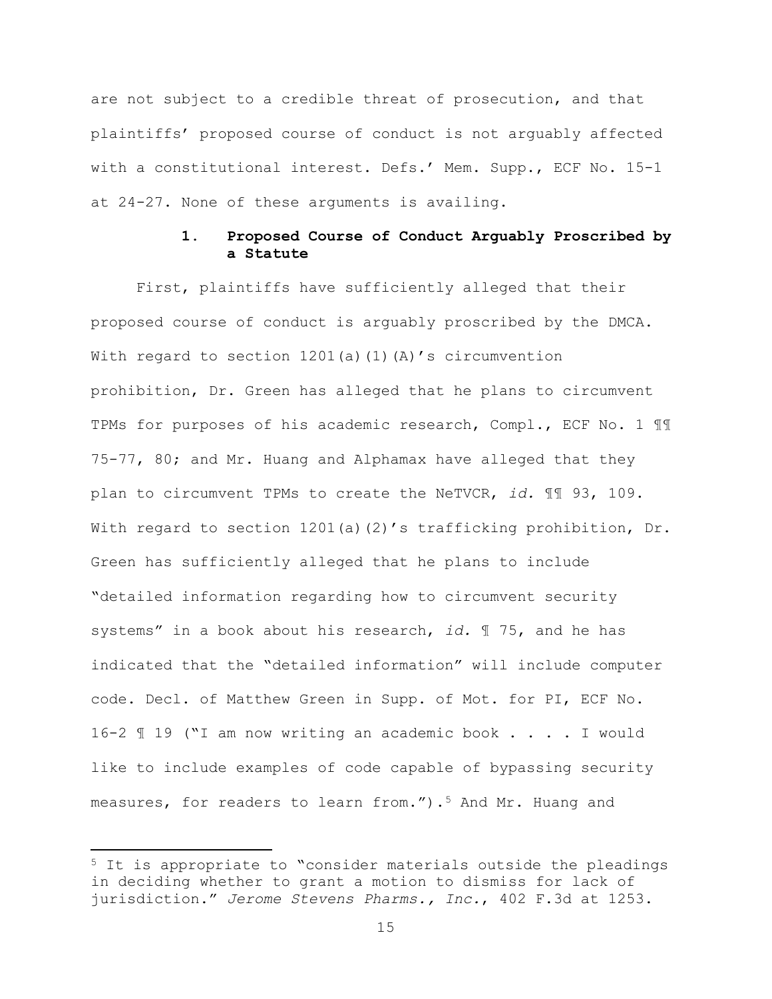are not subject to a credible threat of prosecution, and that plaintiffs' proposed course of conduct is not arguably affected with a constitutional interest. Defs.' Mem. Supp., ECF No. 15-1 at 24-27. None of these arguments is availing.

# **1. Proposed Course of Conduct Arguably Proscribed by a Statute**

First, plaintiffs have sufficiently alleged that their proposed course of conduct is arguably proscribed by the DMCA. With regard to section  $1201(a)(1)(A)'$ s circumvention prohibition, Dr. Green has alleged that he plans to circumvent TPMs for purposes of his academic research, Compl., ECF No. 1 ¶¶ 75-77, 80; and Mr. Huang and Alphamax have alleged that they plan to circumvent TPMs to create the NeTVCR, *id.* ¶¶ 93, 109. With regard to section  $1201(a)(2)'$ s trafficking prohibition, Dr. Green has sufficiently alleged that he plans to include "detailed information regarding how to circumvent security systems" in a book about his research, *id.* ¶ 75, and he has indicated that the "detailed information" will include computer code. Decl. of Matthew Green in Supp. of Mot. for PI, ECF No. 16-2 ¶ 19 ("I am now writing an academic book . . . . I would like to include examples of code capable of bypassing security measures, for readers to learn from.").<sup>5</sup> And Mr. Huang and

l

<sup>5</sup> It is appropriate to "consider materials outside the pleadings in deciding whether to grant a motion to dismiss for lack of jurisdiction." *Jerome Stevens Pharms., Inc.*, 402 F.3d at 1253.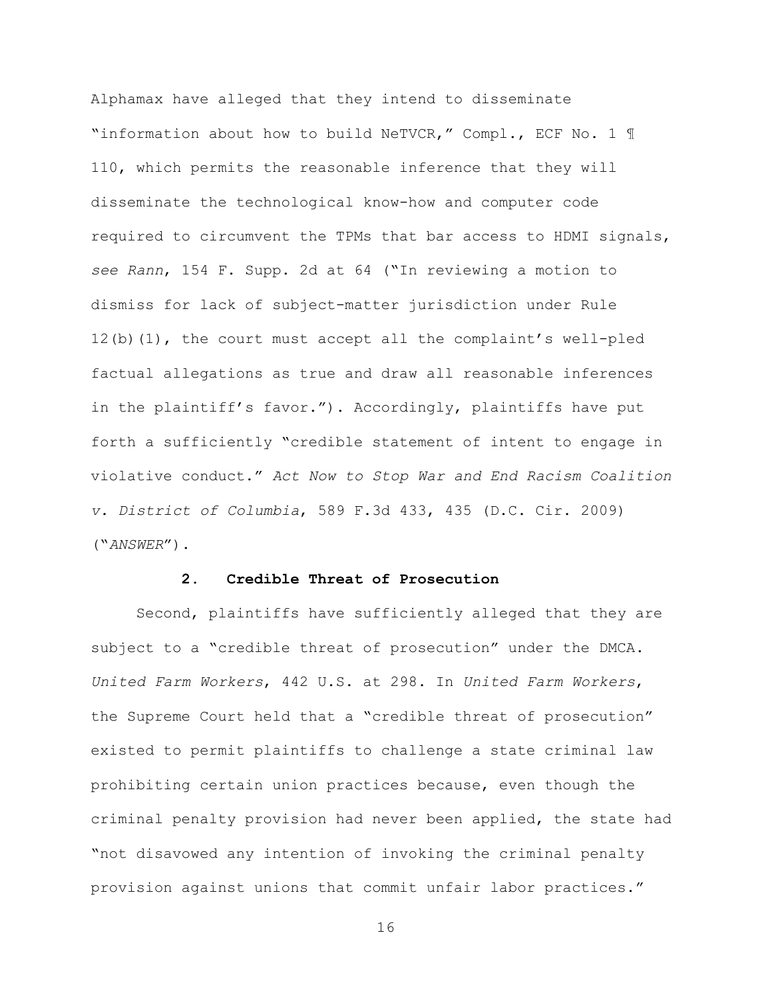Alphamax have alleged that they intend to disseminate "information about how to build NeTVCR," Compl., ECF No. 1 ¶ 110, which permits the reasonable inference that they will disseminate the technological know-how and computer code required to circumvent the TPMs that bar access to HDMI signals, *see Rann*, 154 F. Supp. 2d at 64 ("In reviewing a motion to dismiss for lack of subject-matter jurisdiction under Rule 12(b)(1), the court must accept all the complaint's well-pled factual allegations as true and draw all reasonable inferences in the plaintiff's favor."). Accordingly, plaintiffs have put forth a sufficiently "credible statement of intent to engage in violative conduct." *Act Now to Stop War and End Racism Coalition v. District of Columbia*, 589 F.3d 433, 435 (D.C. Cir. 2009) ("*ANSWER*").

### **2. Credible Threat of Prosecution**

Second, plaintiffs have sufficiently alleged that they are subject to a "credible threat of prosecution" under the DMCA. *United Farm Workers*, 442 U.S. at 298. In *United Farm Workers*, the Supreme Court held that a "credible threat of prosecution" existed to permit plaintiffs to challenge a state criminal law prohibiting certain union practices because, even though the criminal penalty provision had never been applied, the state had "not disavowed any intention of invoking the criminal penalty provision against unions that commit unfair labor practices."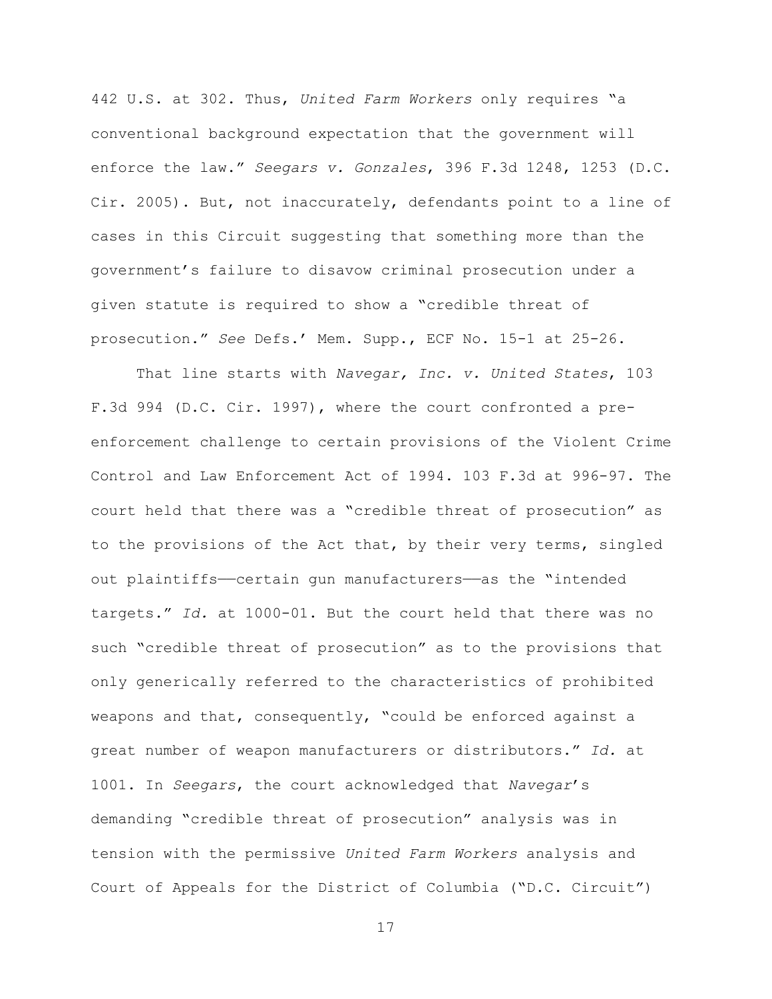442 U.S. at 302. Thus, *United Farm Workers* only requires "a conventional background expectation that the government will enforce the law." *Seegars v. Gonzales*, 396 F.3d 1248, 1253 (D.C. Cir. 2005). But, not inaccurately, defendants point to a line of cases in this Circuit suggesting that something more than the government's failure to disavow criminal prosecution under a given statute is required to show a "credible threat of prosecution." *See* Defs.' Mem. Supp., ECF No. 15-1 at 25-26.

That line starts with *Navegar, Inc. v. United States*, 103 F.3d 994 (D.C. Cir. 1997), where the court confronted a preenforcement challenge to certain provisions of the Violent Crime Control and Law Enforcement Act of 1994. 103 F.3d at 996-97. The court held that there was a "credible threat of prosecution" as to the provisions of the Act that, by their very terms, singled out plaintiffs—certain gun manufacturers—as the "intended targets." *Id.* at 1000-01. But the court held that there was no such "credible threat of prosecution" as to the provisions that only generically referred to the characteristics of prohibited weapons and that, consequently, "could be enforced against a great number of weapon manufacturers or distributors." *Id.* at 1001. In *Seegars*, the court acknowledged that *Navegar*'s demanding "credible threat of prosecution" analysis was in tension with the permissive *United Farm Workers* analysis and Court of Appeals for the District of Columbia ("D.C. Circuit")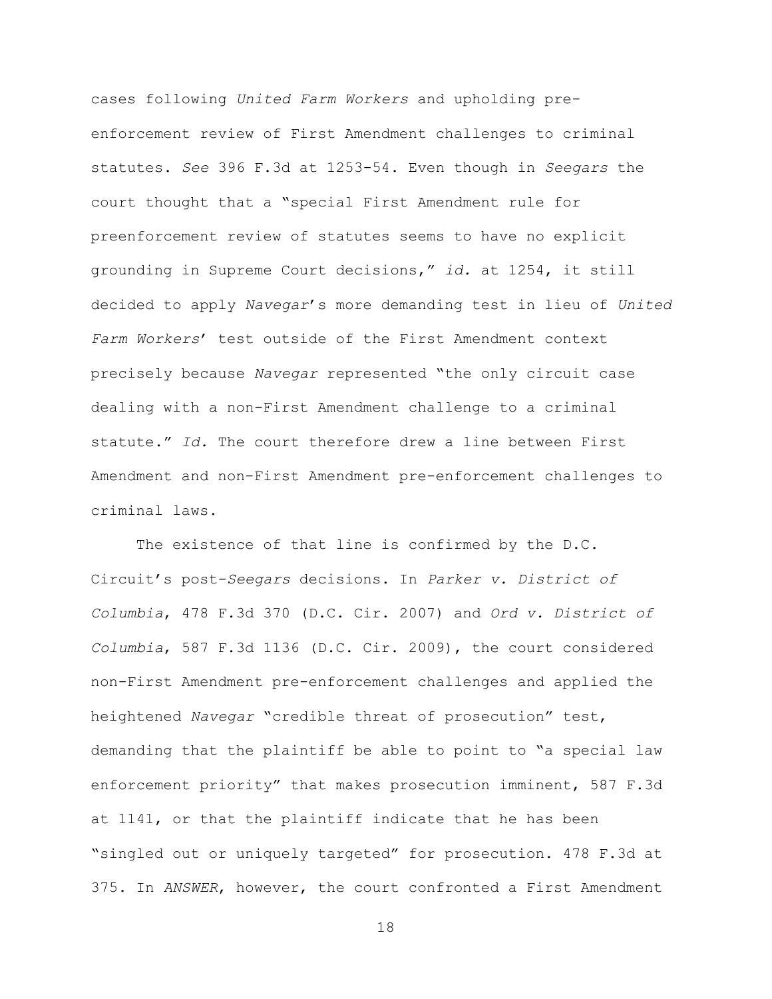cases following *United Farm Workers* and upholding preenforcement review of First Amendment challenges to criminal statutes. *See* 396 F.3d at 1253-54. Even though in *Seegars* the court thought that a "special First Amendment rule for preenforcement review of statutes seems to have no explicit grounding in Supreme Court decisions," *id.* at 1254, it still decided to apply *Navegar*'s more demanding test in lieu of *United Farm Workers*' test outside of the First Amendment context precisely because *Navegar* represented "the only circuit case dealing with a non-First Amendment challenge to a criminal statute." *Id.* The court therefore drew a line between First Amendment and non-First Amendment pre-enforcement challenges to criminal laws.

The existence of that line is confirmed by the D.C. Circuit's post-*Seegars* decisions. In *Parker v. District of Columbia*, 478 F.3d 370 (D.C. Cir. 2007) and *Ord v. District of Columbia*, 587 F.3d 1136 (D.C. Cir. 2009), the court considered non-First Amendment pre-enforcement challenges and applied the heightened *Navegar* "credible threat of prosecution" test, demanding that the plaintiff be able to point to "a special law enforcement priority" that makes prosecution imminent, 587 F.3d at 1141, or that the plaintiff indicate that he has been "singled out or uniquely targeted" for prosecution. 478 F.3d at 375. In *ANSWER*, however, the court confronted a First Amendment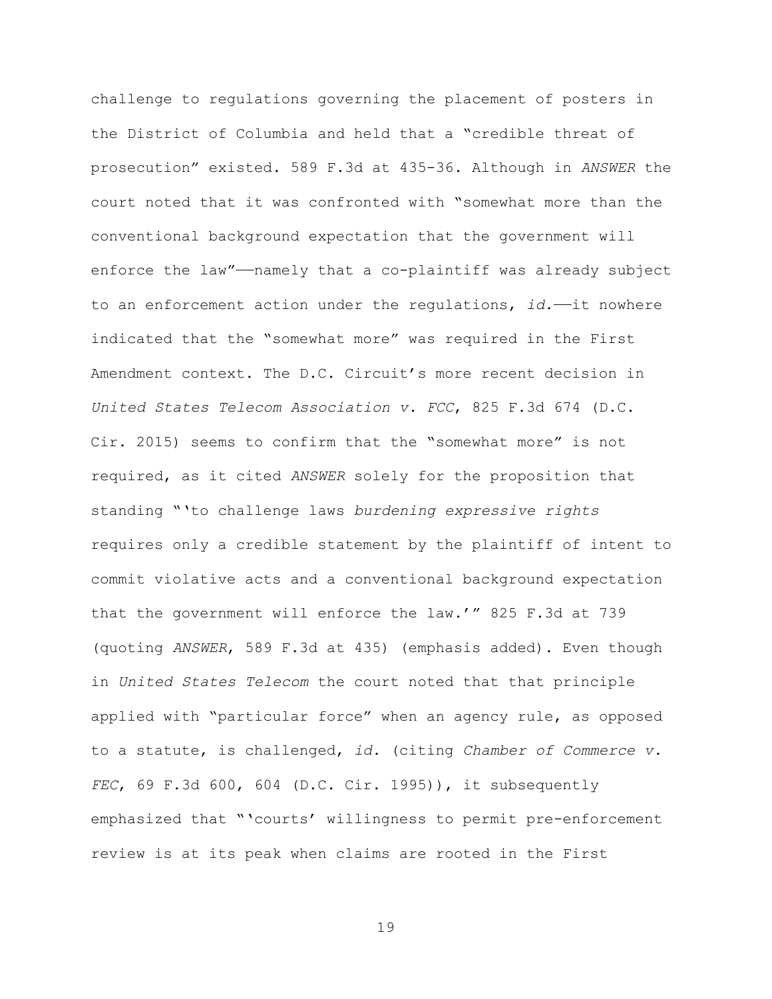challenge to regulations governing the placement of posters in the District of Columbia and held that a "credible threat of prosecution" existed. 589 F.3d at 435-36. Although in *ANSWER* the court noted that it was confronted with "somewhat more than the conventional background expectation that the government will enforce the law"——namely that a co-plaintiff was already subject to an enforcement action under the regulations, *id.*—it nowhere indicated that the "somewhat more" was required in the First Amendment context. The D.C. Circuit's more recent decision in *United States Telecom Association v. FCC*, 825 F.3d 674 (D.C. Cir. 2015) seems to confirm that the "somewhat more" is not required, as it cited *ANSWER* solely for the proposition that standing "'to challenge laws *burdening expressive rights* requires only a credible statement by the plaintiff of intent to commit violative acts and a conventional background expectation that the government will enforce the law.'" 825 F.3d at 739 (quoting *ANSWER*, 589 F.3d at 435) (emphasis added). Even though in *United States Telecom* the court noted that that principle applied with "particular force" when an agency rule, as opposed to a statute, is challenged, *id.* (citing *Chamber of Commerce v. FEC*, 69 F.3d 600, 604 (D.C. Cir. 1995)), it subsequently emphasized that "'courts' willingness to permit pre-enforcement review is at its peak when claims are rooted in the First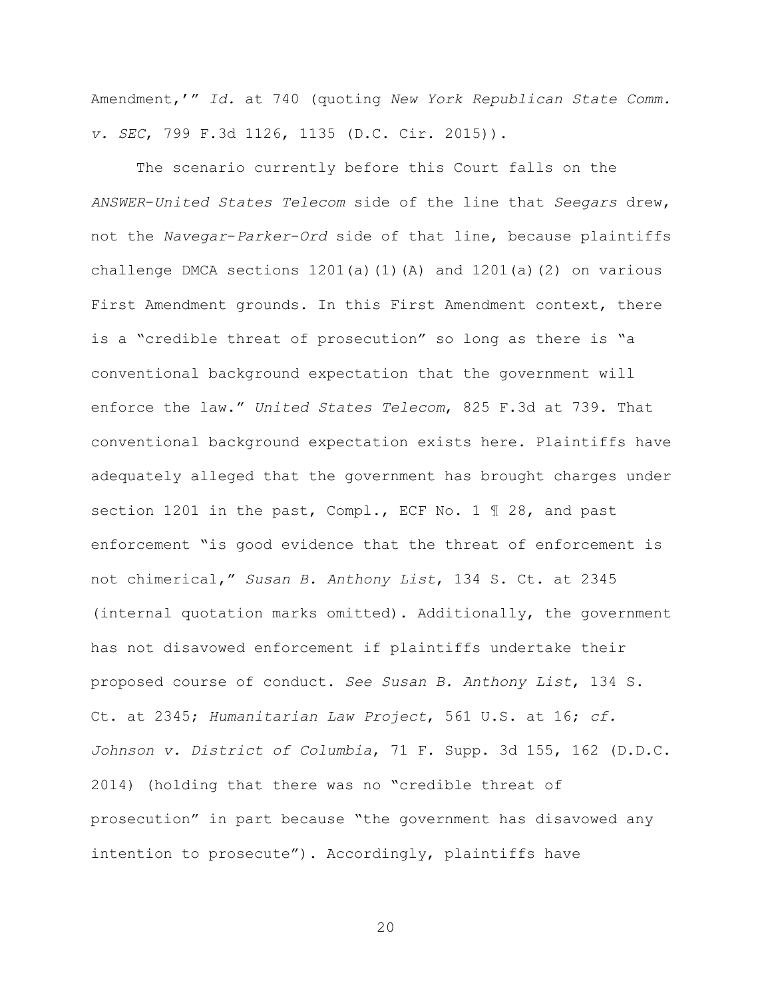Amendment,'" *Id.* at 740 (quoting *New York Republican State Comm. v. SEC*, 799 F.3d 1126, 1135 (D.C. Cir. 2015)).

The scenario currently before this Court falls on the *ANSWER*-*United States Telecom* side of the line that *Seegars* drew, not the *Navegar*-*Parker*-*Ord* side of that line, because plaintiffs challenge DMCA sections 1201(a)(1)(A) and 1201(a)(2) on various First Amendment grounds. In this First Amendment context, there is a "credible threat of prosecution" so long as there is "a conventional background expectation that the government will enforce the law." *United States Telecom*, 825 F.3d at 739. That conventional background expectation exists here. Plaintiffs have adequately alleged that the government has brought charges under section 1201 in the past, Compl., ECF No. 1 ¶ 28, and past enforcement "is good evidence that the threat of enforcement is not chimerical," *Susan B. Anthony List*, 134 S. Ct. at 2345 (internal quotation marks omitted). Additionally, the government has not disavowed enforcement if plaintiffs undertake their proposed course of conduct. *See Susan B. Anthony List*, 134 S. Ct. at 2345; *Humanitarian Law Project*, 561 U.S. at 16; *cf. Johnson v. District of Columbia*, 71 F. Supp. 3d 155, 162 (D.D.C. 2014) (holding that there was no "credible threat of prosecution" in part because "the government has disavowed any intention to prosecute"). Accordingly, plaintiffs have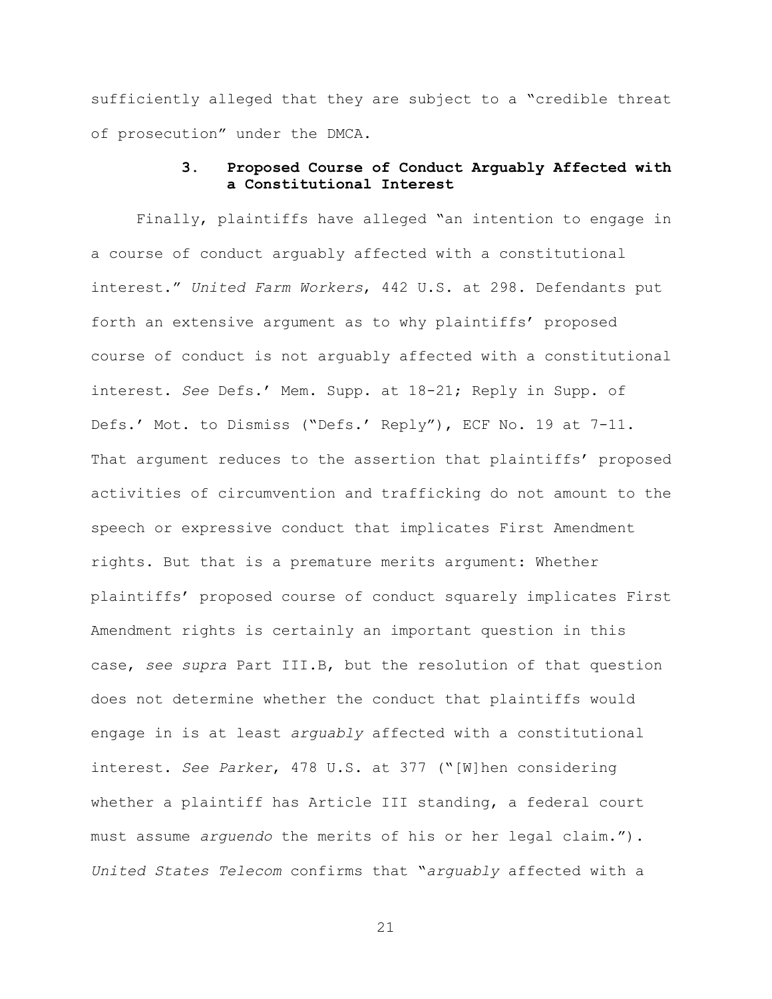sufficiently alleged that they are subject to a "credible threat of prosecution" under the DMCA.

# **3. Proposed Course of Conduct Arguably Affected with a Constitutional Interest**

Finally, plaintiffs have alleged "an intention to engage in a course of conduct arguably affected with a constitutional interest." *United Farm Workers*, 442 U.S. at 298. Defendants put forth an extensive argument as to why plaintiffs' proposed course of conduct is not arguably affected with a constitutional interest. *See* Defs.' Mem. Supp. at 18-21; Reply in Supp. of Defs.' Mot. to Dismiss ("Defs.' Reply"), ECF No. 19 at 7-11. That argument reduces to the assertion that plaintiffs' proposed activities of circumvention and trafficking do not amount to the speech or expressive conduct that implicates First Amendment rights. But that is a premature merits argument: Whether plaintiffs' proposed course of conduct squarely implicates First Amendment rights is certainly an important question in this case, *see supra* Part III.B, but the resolution of that question does not determine whether the conduct that plaintiffs would engage in is at least *arguably* affected with a constitutional interest. *See Parker*, 478 U.S. at 377 ("[W]hen considering whether a plaintiff has Article III standing, a federal court must assume *arguendo* the merits of his or her legal claim."). *United States Telecom* confirms that "*arguably* affected with a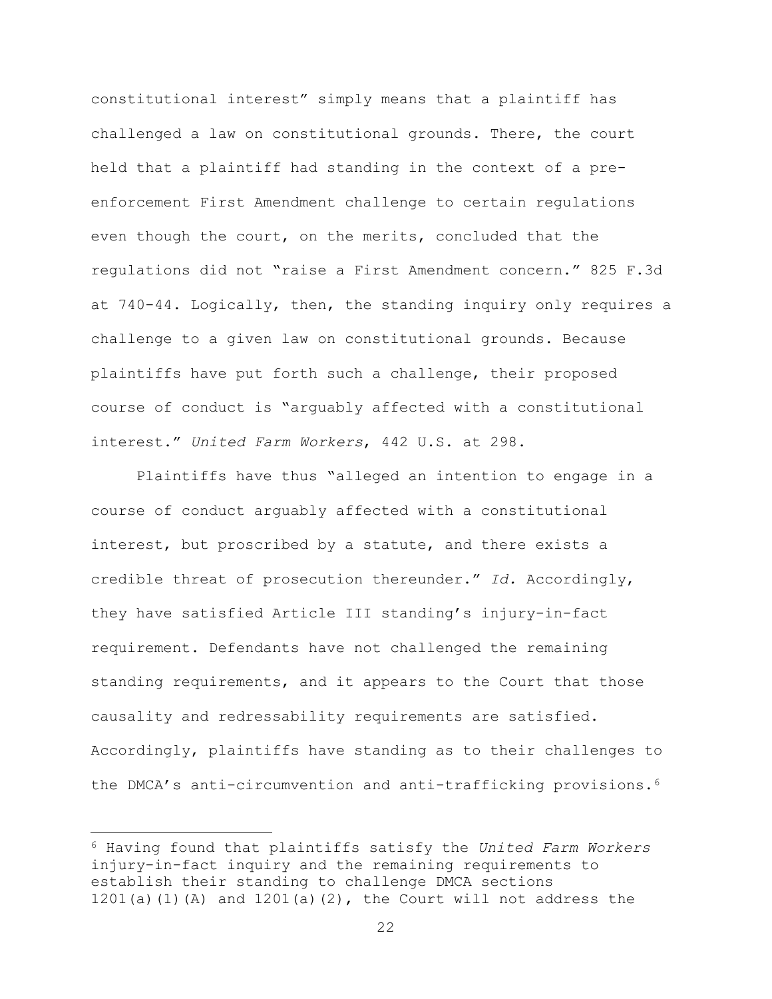constitutional interest" simply means that a plaintiff has challenged a law on constitutional grounds. There, the court held that a plaintiff had standing in the context of a preenforcement First Amendment challenge to certain regulations even though the court, on the merits, concluded that the regulations did not "raise a First Amendment concern." 825 F.3d at 740-44. Logically, then, the standing inquiry only requires a challenge to a given law on constitutional grounds. Because plaintiffs have put forth such a challenge, their proposed course of conduct is "arguably affected with a constitutional interest." *United Farm Workers*, 442 U.S. at 298.

Plaintiffs have thus "alleged an intention to engage in a course of conduct arguably affected with a constitutional interest, but proscribed by a statute, and there exists a credible threat of prosecution thereunder." *Id.* Accordingly, they have satisfied Article III standing's injury-in-fact requirement. Defendants have not challenged the remaining standing requirements, and it appears to the Court that those causality and redressability requirements are satisfied. Accordingly, plaintiffs have standing as to their challenges to the DMCA's anti-circumvention and anti-trafficking provisions.<sup>6</sup>

 $\overline{a}$ 

<sup>6</sup> Having found that plaintiffs satisfy the *United Farm Workers* injury-in-fact inquiry and the remaining requirements to establish their standing to challenge DMCA sections 1201(a)(1)(A) and  $1201(a)(2)$ , the Court will not address the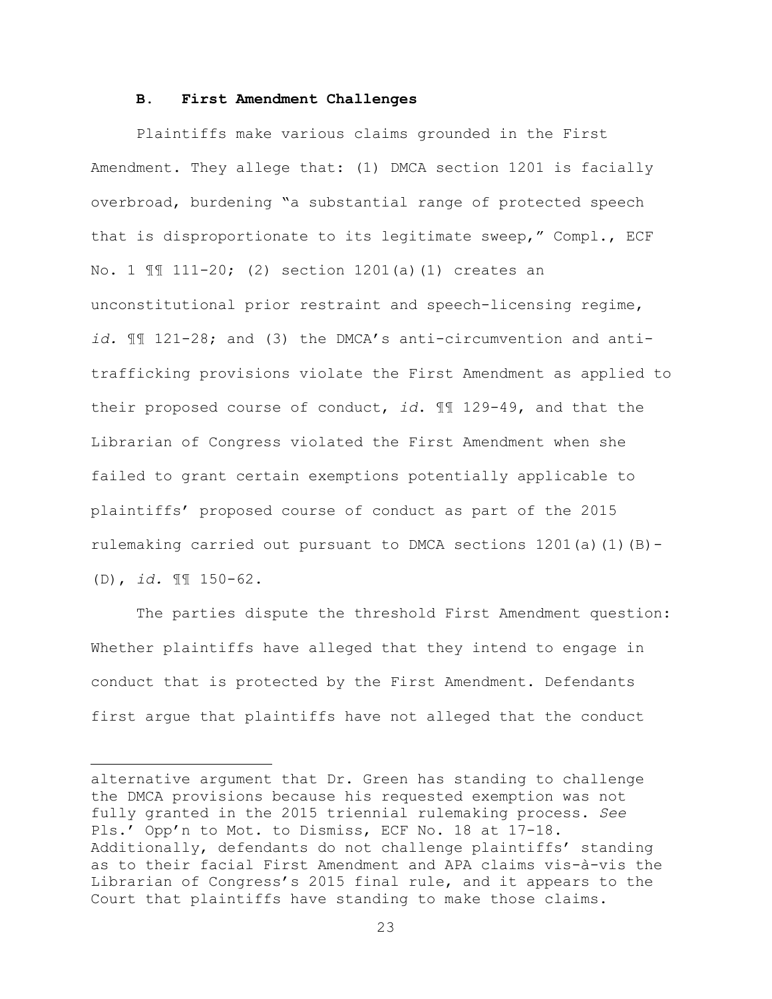#### **B. First Amendment Challenges**

Plaintiffs make various claims grounded in the First Amendment. They allege that: (1) DMCA section 1201 is facially overbroad, burdening "a substantial range of protected speech that is disproportionate to its legitimate sweep," Compl., ECF No. 1 ¶¶ 111-20; (2) section 1201(a)(1) creates an unconstitutional prior restraint and speech-licensing regime, *id.* ¶¶ 121-28; and (3) the DMCA's anti-circumvention and antitrafficking provisions violate the First Amendment as applied to their proposed course of conduct, *id*. ¶¶ 129-49, and that the Librarian of Congress violated the First Amendment when she failed to grant certain exemptions potentially applicable to plaintiffs' proposed course of conduct as part of the 2015 rulemaking carried out pursuant to DMCA sections  $1201(a)(1)(B)$ -(D), *id.* ¶¶ 150-62.

The parties dispute the threshold First Amendment question: Whether plaintiffs have alleged that they intend to engage in conduct that is protected by the First Amendment. Defendants first argue that plaintiffs have not alleged that the conduct

 $\overline{a}$ 

alternative argument that Dr. Green has standing to challenge the DMCA provisions because his requested exemption was not fully granted in the 2015 triennial rulemaking process. *See* Pls.' Opp'n to Mot. to Dismiss, ECF No. 18 at 17-18. Additionally, defendants do not challenge plaintiffs' standing as to their facial First Amendment and APA claims vis-à-vis the Librarian of Congress's 2015 final rule, and it appears to the Court that plaintiffs have standing to make those claims.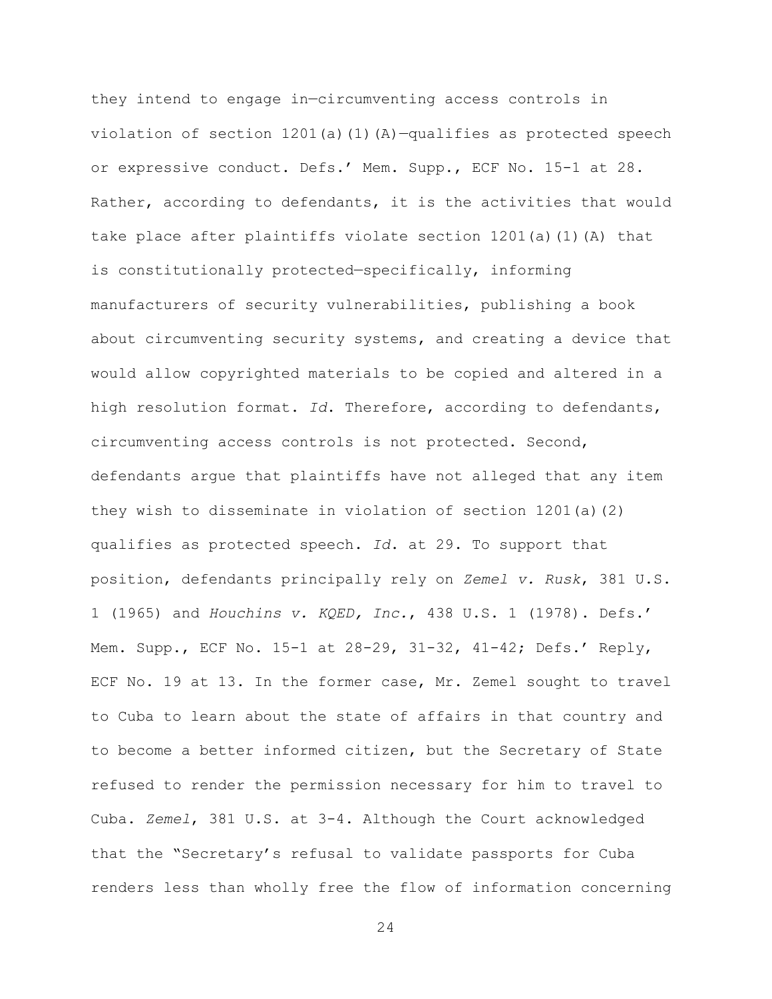they intend to engage in—circumventing access controls in violation of section  $1201(a)(1)(A)-qualifies$  as protected speech or expressive conduct. Defs.' Mem. Supp., ECF No. 15-1 at 28. Rather, according to defendants, it is the activities that would take place after plaintiffs violate section  $1201(a)$  (1)(A) that is constitutionally protected—specifically, informing manufacturers of security vulnerabilities, publishing a book about circumventing security systems, and creating a device that would allow copyrighted materials to be copied and altered in a high resolution format. *Id*. Therefore, according to defendants, circumventing access controls is not protected. Second, defendants argue that plaintiffs have not alleged that any item they wish to disseminate in violation of section 1201(a)(2) qualifies as protected speech. *Id*. at 29. To support that position, defendants principally rely on *Zemel v. Rusk*, 381 U.S. 1 (1965) and *Houchins v. KQED, Inc.*, 438 U.S. 1 (1978). Defs.' Mem. Supp., ECF No. 15-1 at 28-29, 31-32, 41-42; Defs.' Reply, ECF No. 19 at 13. In the former case, Mr. Zemel sought to travel to Cuba to learn about the state of affairs in that country and to become a better informed citizen, but the Secretary of State refused to render the permission necessary for him to travel to Cuba. *Zemel*, 381 U.S. at 3-4. Although the Court acknowledged that the "Secretary's refusal to validate passports for Cuba renders less than wholly free the flow of information concerning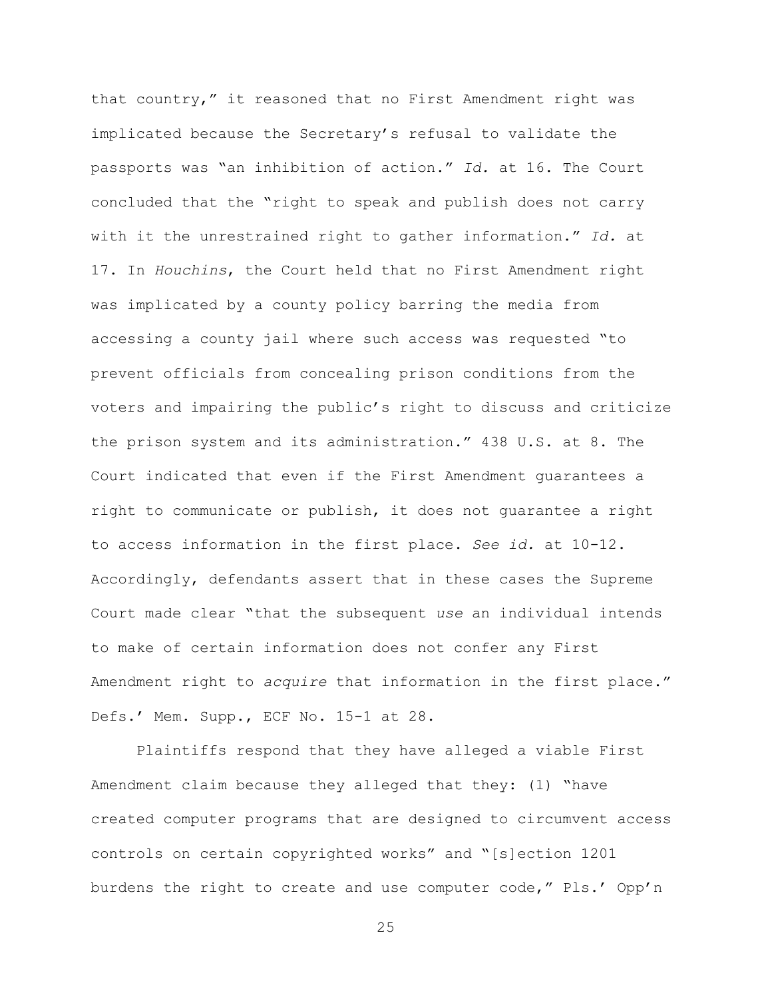that country," it reasoned that no First Amendment right was implicated because the Secretary's refusal to validate the passports was "an inhibition of action." *Id.* at 16. The Court concluded that the "right to speak and publish does not carry with it the unrestrained right to gather information." *Id.* at 17. In *Houchins*, the Court held that no First Amendment right was implicated by a county policy barring the media from accessing a county jail where such access was requested "to prevent officials from concealing prison conditions from the voters and impairing the public's right to discuss and criticize the prison system and its administration." 438 U.S. at 8. The Court indicated that even if the First Amendment guarantees a right to communicate or publish, it does not guarantee a right to access information in the first place. *See id.* at 10-12. Accordingly, defendants assert that in these cases the Supreme Court made clear "that the subsequent *use* an individual intends to make of certain information does not confer any First Amendment right to *acquire* that information in the first place." Defs.' Mem. Supp., ECF No. 15-1 at 28.

Plaintiffs respond that they have alleged a viable First Amendment claim because they alleged that they: (1) "have created computer programs that are designed to circumvent access controls on certain copyrighted works" and "[s]ection 1201 burdens the right to create and use computer code," Pls.' Opp'n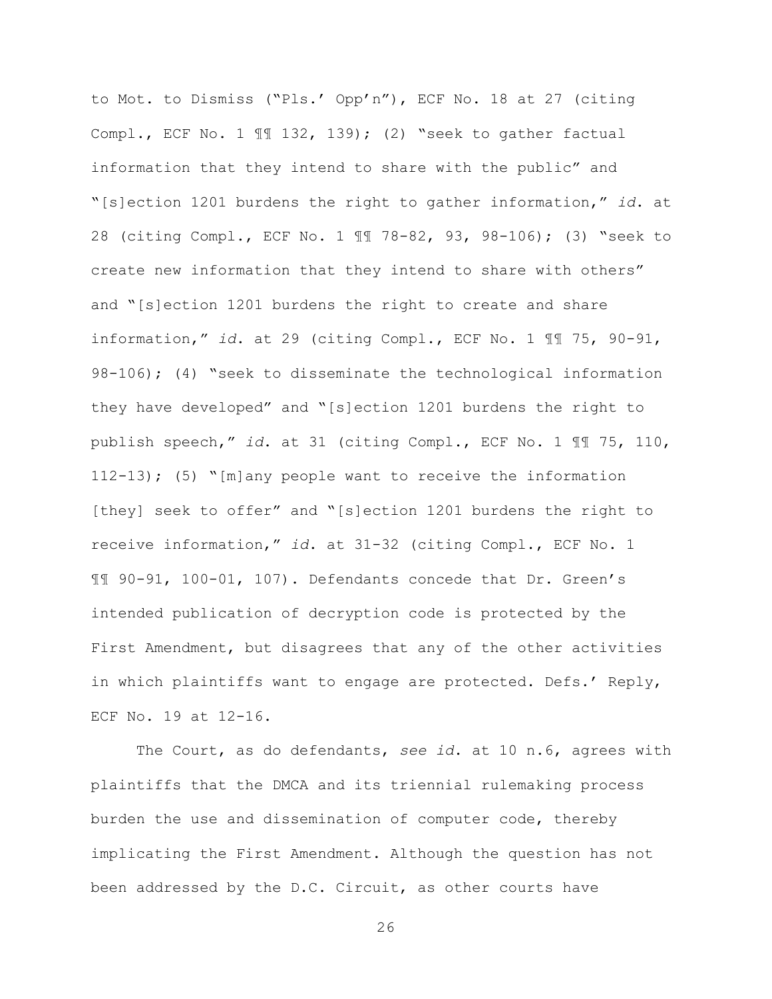to Mot. to Dismiss ("Pls.' Opp'n"), ECF No. 18 at 27 (citing Compl., ECF No. 1 ¶¶ 132, 139); (2) "seek to gather factual information that they intend to share with the public" and "[s]ection 1201 burdens the right to gather information," *id*. at 28 (citing Compl., ECF No. 1 ¶¶ 78-82, 93, 98-106); (3) "seek to create new information that they intend to share with others" and "[s]ection 1201 burdens the right to create and share information," *id*. at 29 (citing Compl., ECF No. 1 ¶¶ 75, 90-91, 98-106); (4) "seek to disseminate the technological information they have developed" and "[s]ection 1201 burdens the right to publish speech," *id*. at 31 (citing Compl., ECF No. 1 ¶¶ 75, 110, 112-13); (5) "[m]any people want to receive the information [they] seek to offer" and "[s]ection 1201 burdens the right to receive information," *id*. at 31-32 (citing Compl., ECF No. 1 ¶¶ 90-91, 100-01, 107). Defendants concede that Dr. Green's intended publication of decryption code is protected by the First Amendment, but disagrees that any of the other activities in which plaintiffs want to engage are protected. Defs.' Reply, ECF No. 19 at 12-16.

The Court, as do defendants, *see id*. at 10 n.6, agrees with plaintiffs that the DMCA and its triennial rulemaking process burden the use and dissemination of computer code, thereby implicating the First Amendment. Although the question has not been addressed by the D.C. Circuit, as other courts have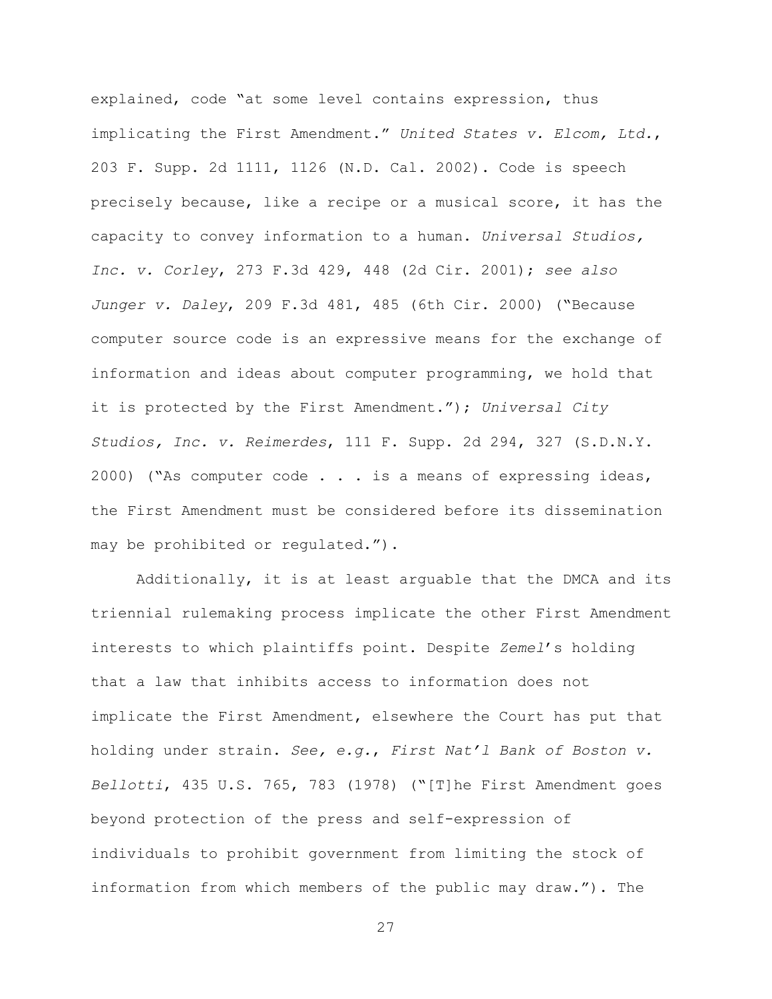explained, code "at some level contains expression, thus implicating the First Amendment." *United States v. Elcom, Ltd.*, 203 F. Supp. 2d 1111, 1126 (N.D. Cal. 2002). Code is speech precisely because, like a recipe or a musical score, it has the capacity to convey information to a human. *Universal Studios, Inc. v. Corley*, 273 F.3d 429, 448 (2d Cir. 2001); *see also Junger v. Daley*, 209 F.3d 481, 485 (6th Cir. 2000) ("Because computer source code is an expressive means for the exchange of information and ideas about computer programming, we hold that it is protected by the First Amendment."); *Universal City Studios, Inc. v. Reimerdes*, 111 F. Supp. 2d 294, 327 (S.D.N.Y. 2000) ("As computer code . . . is a means of expressing ideas, the First Amendment must be considered before its dissemination may be prohibited or regulated.").

Additionally, it is at least arguable that the DMCA and its triennial rulemaking process implicate the other First Amendment interests to which plaintiffs point. Despite *Zemel*'s holding that a law that inhibits access to information does not implicate the First Amendment, elsewhere the Court has put that holding under strain. *See, e.g.*, *First Nat'l Bank of Boston v. Bellotti*, 435 U.S. 765, 783 (1978) ("[T]he First Amendment goes beyond protection of the press and self-expression of individuals to prohibit government from limiting the stock of information from which members of the public may draw."). The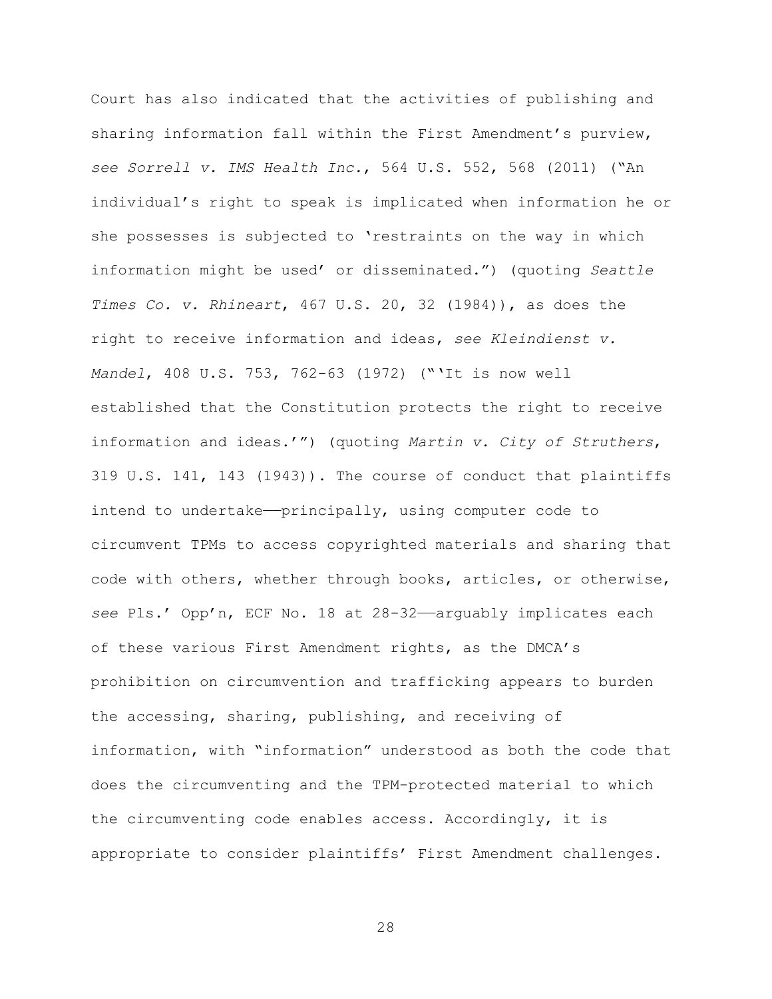Court has also indicated that the activities of publishing and sharing information fall within the First Amendment's purview, *see Sorrell v. IMS Health Inc.*, 564 U.S. 552, 568 (2011) ("An individual's right to speak is implicated when information he or she possesses is subjected to 'restraints on the way in which information might be used' or disseminated.") (quoting *Seattle Times Co. v. Rhineart*, 467 U.S. 20, 32 (1984)), as does the right to receive information and ideas, *see Kleindienst v. Mandel*, 408 U.S. 753, 762-63 (1972) ("'It is now well established that the Constitution protects the right to receive information and ideas.'") (quoting *Martin v. City of Struthers*, 319 U.S. 141, 143 (1943)). The course of conduct that plaintiffs intend to undertake—principally, using computer code to circumvent TPMs to access copyrighted materials and sharing that code with others, whether through books, articles, or otherwise, *see* Pls.' Opp'n, ECF No. 18 at 28-32——arguably implicates each of these various First Amendment rights, as the DMCA's prohibition on circumvention and trafficking appears to burden the accessing, sharing, publishing, and receiving of information, with "information" understood as both the code that does the circumventing and the TPM-protected material to which the circumventing code enables access. Accordingly, it is appropriate to consider plaintiffs' First Amendment challenges.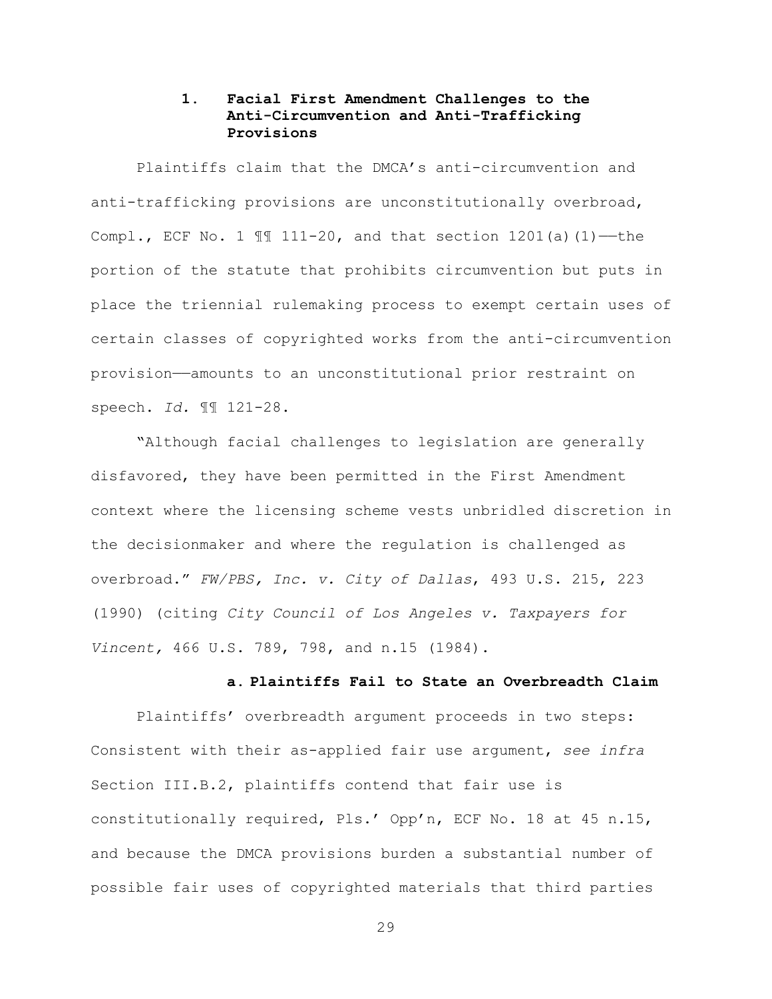# **1. Facial First Amendment Challenges to the Anti-Circumvention and Anti-Trafficking Provisions**

Plaintiffs claim that the DMCA's anti-circumvention and anti-trafficking provisions are unconstitutionally overbroad, Compl., ECF No. 1  $\mathbb{I}$  111-20, and that section 1201(a)(1)—the portion of the statute that prohibits circumvention but puts in place the triennial rulemaking process to exempt certain uses of certain classes of copyrighted works from the anti-circumvention provision——amounts to an unconstitutional prior restraint on speech. *Id.* ¶¶ 121-28.

"Although facial challenges to legislation are generally disfavored, they have been permitted in the First Amendment context where the licensing scheme vests unbridled discretion in the decisionmaker and where the regulation is challenged as overbroad." *FW/PBS, Inc. v. City of Dallas*, 493 U.S. 215, 223 (1990) (citing *City Council of Los Angeles v. Taxpayers for Vincent,* 466 U.S. 789, 798, and n.15 (1984).

#### **a. Plaintiffs Fail to State an Overbreadth Claim**

Plaintiffs' overbreadth argument proceeds in two steps: Consistent with their as-applied fair use argument, *see infra* Section III.B.2, plaintiffs contend that fair use is constitutionally required, Pls.' Opp'n, ECF No. 18 at 45 n.15, and because the DMCA provisions burden a substantial number of possible fair uses of copyrighted materials that third parties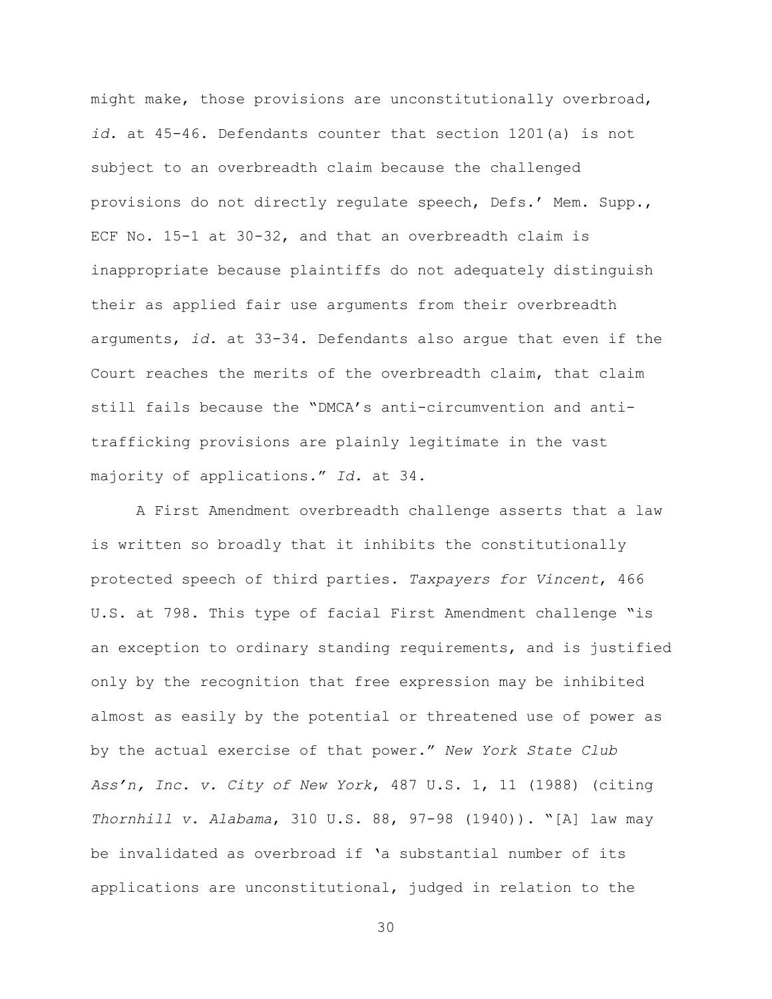might make, those provisions are unconstitutionally overbroad, *id.* at 45-46. Defendants counter that section 1201(a) is not subject to an overbreadth claim because the challenged provisions do not directly regulate speech, Defs.' Mem. Supp., ECF No. 15-1 at 30-32, and that an overbreadth claim is inappropriate because plaintiffs do not adequately distinguish their as applied fair use arguments from their overbreadth arguments, *id.* at 33-34. Defendants also argue that even if the Court reaches the merits of the overbreadth claim, that claim still fails because the "DMCA's anti-circumvention and antitrafficking provisions are plainly legitimate in the vast majority of applications." *Id.* at 34.

A First Amendment overbreadth challenge asserts that a law is written so broadly that it inhibits the constitutionally protected speech of third parties. *Taxpayers for Vincent*, 466 U.S. at 798. This type of facial First Amendment challenge "is an exception to ordinary standing requirements, and is justified only by the recognition that free expression may be inhibited almost as easily by the potential or threatened use of power as by the actual exercise of that power." *New York State Club Ass'n, Inc. v. City of New York*, 487 U.S. 1, 11 (1988) (citing *Thornhill v. Alabama*, 310 U.S. 88, 97-98 (1940)). "[A] law may be invalidated as overbroad if 'a substantial number of its applications are unconstitutional, judged in relation to the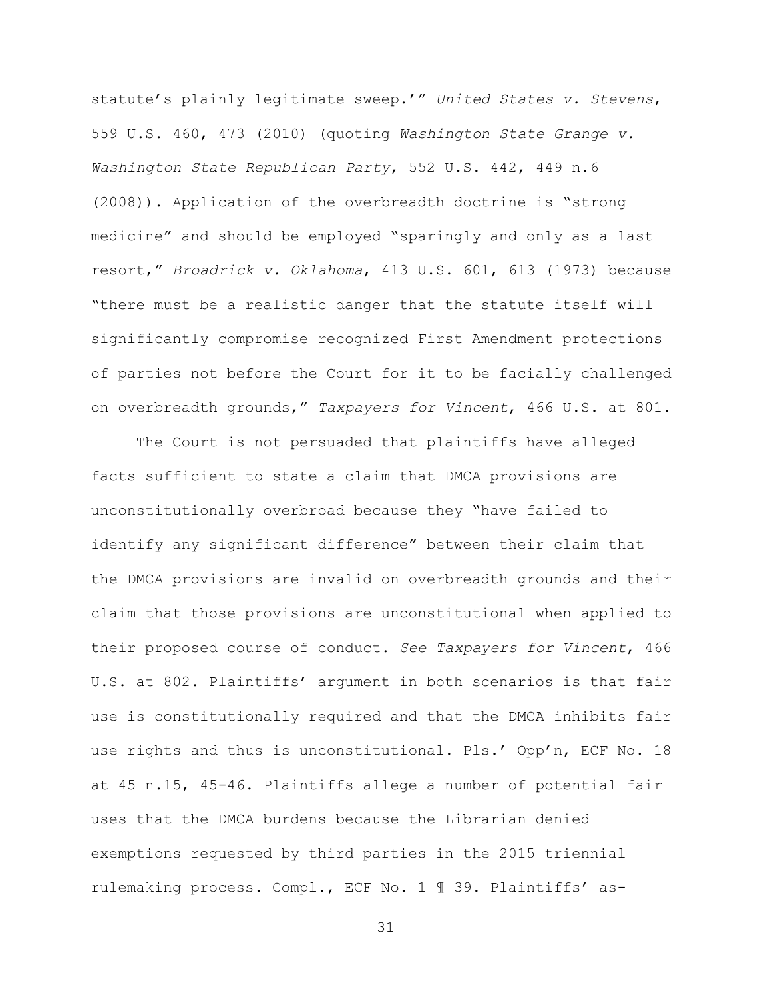statute's plainly legitimate sweep.'" *United States v. Stevens*, 559 U.S. 460, 473 (2010) (quoting *Washington State Grange v. Washington State Republican Party*, 552 U.S. 442, 449 n.6 (2008)). Application of the overbreadth doctrine is "strong medicine" and should be employed "sparingly and only as a last resort," *Broadrick v. Oklahoma*, 413 U.S. 601, 613 (1973) because "there must be a realistic danger that the statute itself will significantly compromise recognized First Amendment protections of parties not before the Court for it to be facially challenged on overbreadth grounds," *Taxpayers for Vincent*, 466 U.S. at 801.

The Court is not persuaded that plaintiffs have alleged facts sufficient to state a claim that DMCA provisions are unconstitutionally overbroad because they "have failed to identify any significant difference" between their claim that the DMCA provisions are invalid on overbreadth grounds and their claim that those provisions are unconstitutional when applied to their proposed course of conduct. *See Taxpayers for Vincent*, 466 U.S. at 802. Plaintiffs' argument in both scenarios is that fair use is constitutionally required and that the DMCA inhibits fair use rights and thus is unconstitutional. Pls.' Opp'n, ECF No. 18 at 45 n.15, 45-46. Plaintiffs allege a number of potential fair uses that the DMCA burdens because the Librarian denied exemptions requested by third parties in the 2015 triennial rulemaking process. Compl., ECF No. 1 ¶ 39. Plaintiffs' as-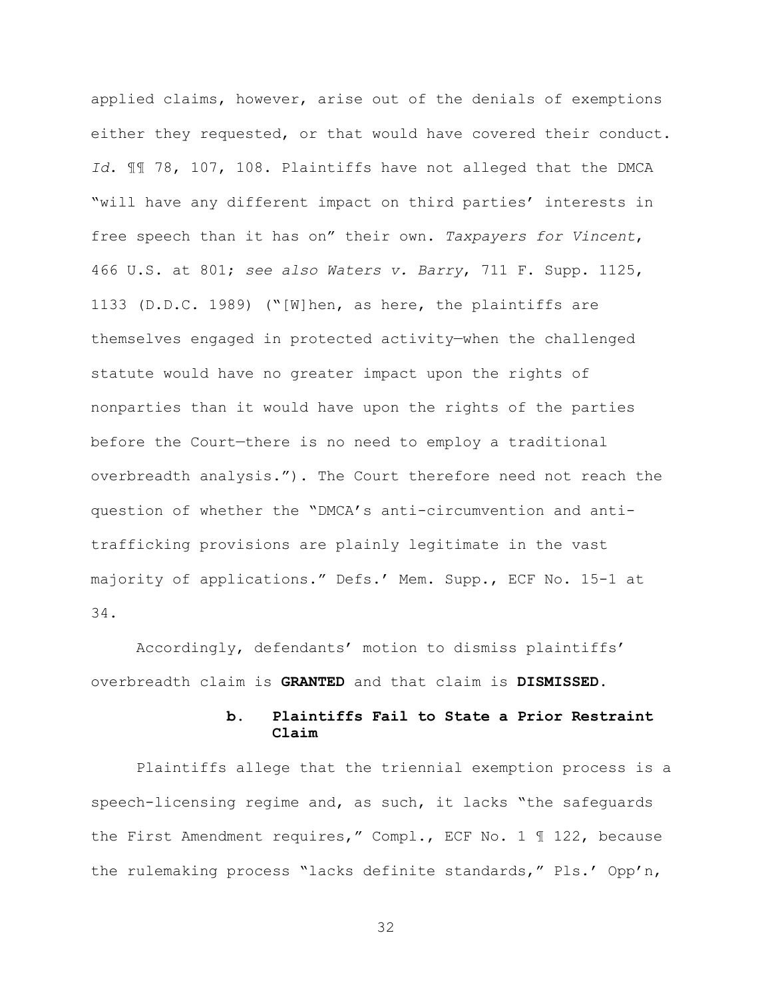applied claims, however, arise out of the denials of exemptions either they requested, or that would have covered their conduct. *Id*. ¶¶ 78, 107, 108. Plaintiffs have not alleged that the DMCA "will have any different impact on third parties' interests in free speech than it has on" their own. *Taxpayers for Vincent*, 466 U.S. at 801; *see also Waters v. Barry*, 711 F. Supp. 1125, 1133 (D.D.C. 1989) ("[W]hen, as here, the plaintiffs are themselves engaged in protected activity—when the challenged statute would have no greater impact upon the rights of nonparties than it would have upon the rights of the parties before the Court—there is no need to employ a traditional overbreadth analysis."). The Court therefore need not reach the question of whether the "DMCA's anti-circumvention and antitrafficking provisions are plainly legitimate in the vast majority of applications." Defs.' Mem. Supp., ECF No. 15-1 at 34.

Accordingly, defendants' motion to dismiss plaintiffs' overbreadth claim is **GRANTED** and that claim is **DISMISSED**.

# **b. Plaintiffs Fail to State a Prior Restraint Claim**

Plaintiffs allege that the triennial exemption process is a speech-licensing regime and, as such, it lacks "the safeguards the First Amendment requires," Compl., ECF No. 1 ¶ 122, because the rulemaking process "lacks definite standards," Pls.' Opp'n,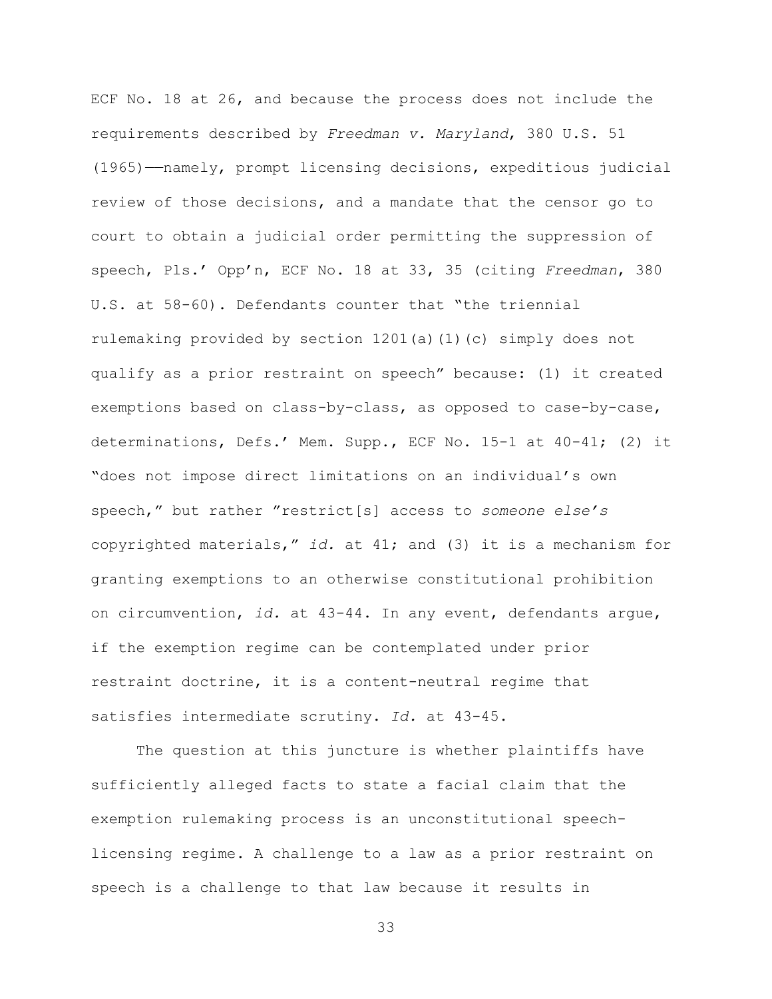ECF No. 18 at 26, and because the process does not include the requirements described by *Freedman v. Maryland*, 380 U.S. 51 (1965)——namely, prompt licensing decisions, expeditious judicial review of those decisions, and a mandate that the censor go to court to obtain a judicial order permitting the suppression of speech, Pls.' Opp'n, ECF No. 18 at 33, 35 (citing *Freedman*, 380 U.S. at 58-60). Defendants counter that "the triennial rulemaking provided by section 1201(a)(1)(c) simply does not qualify as a prior restraint on speech" because: (1) it created exemptions based on class-by-class, as opposed to case-by-case, determinations, Defs.' Mem. Supp., ECF No. 15-1 at 40-41; (2) it "does not impose direct limitations on an individual's own speech," but rather "restrict[s] access to *someone else's* copyrighted materials," *id.* at 41; and (3) it is a mechanism for granting exemptions to an otherwise constitutional prohibition on circumvention, *id.* at 43-44. In any event, defendants argue, if the exemption regime can be contemplated under prior restraint doctrine, it is a content-neutral regime that satisfies intermediate scrutiny. *Id.* at 43-45.

The question at this juncture is whether plaintiffs have sufficiently alleged facts to state a facial claim that the exemption rulemaking process is an unconstitutional speechlicensing regime. A challenge to a law as a prior restraint on speech is a challenge to that law because it results in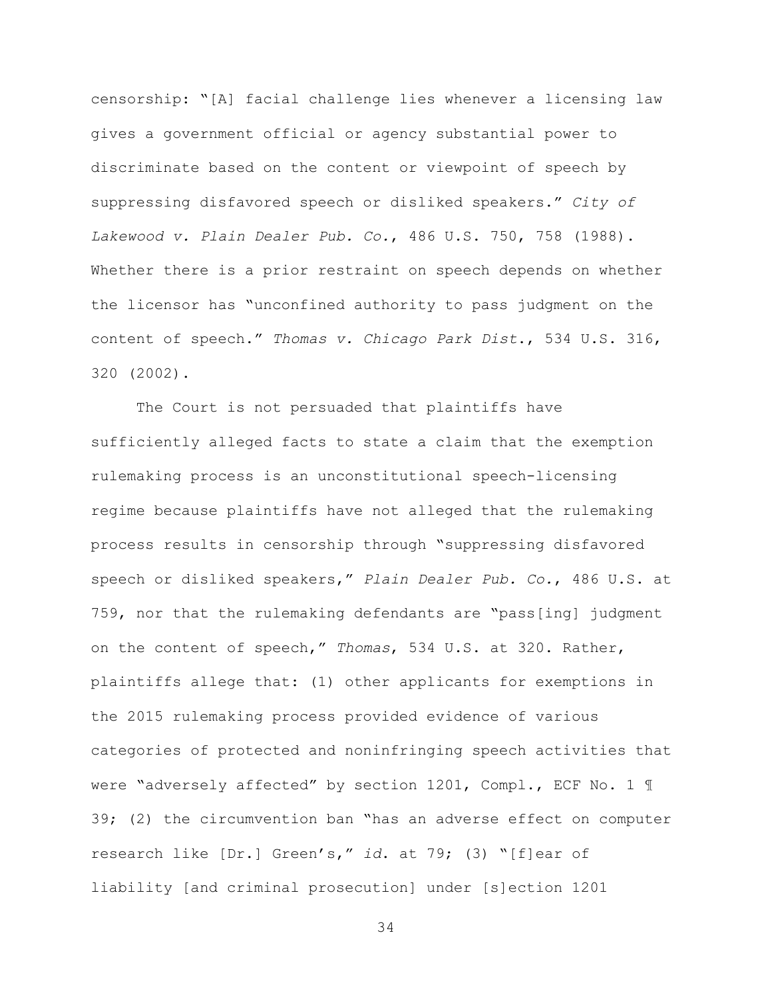censorship: "[A] facial challenge lies whenever a licensing law gives a government official or agency substantial power to discriminate based on the content or viewpoint of speech by suppressing disfavored speech or disliked speakers." *City of Lakewood v. Plain Dealer Pub. Co.*, 486 U.S. 750, 758 (1988). Whether there is a prior restraint on speech depends on whether the licensor has "unconfined authority to pass judgment on the content of speech." *Thomas v. Chicago Park Dist*., 534 U.S. 316, 320 (2002).

The Court is not persuaded that plaintiffs have sufficiently alleged facts to state a claim that the exemption rulemaking process is an unconstitutional speech-licensing regime because plaintiffs have not alleged that the rulemaking process results in censorship through "suppressing disfavored speech or disliked speakers," *Plain Dealer Pub. Co.*, 486 U.S. at 759, nor that the rulemaking defendants are "pass[ing] judgment on the content of speech," *Thomas*, 534 U.S. at 320. Rather, plaintiffs allege that: (1) other applicants for exemptions in the 2015 rulemaking process provided evidence of various categories of protected and noninfringing speech activities that were "adversely affected" by section 1201, Compl., ECF No. 1 ¶ 39; (2) the circumvention ban "has an adverse effect on computer research like [Dr.] Green's," *id*. at 79; (3) "[f]ear of liability [and criminal prosecution] under [s]ection 1201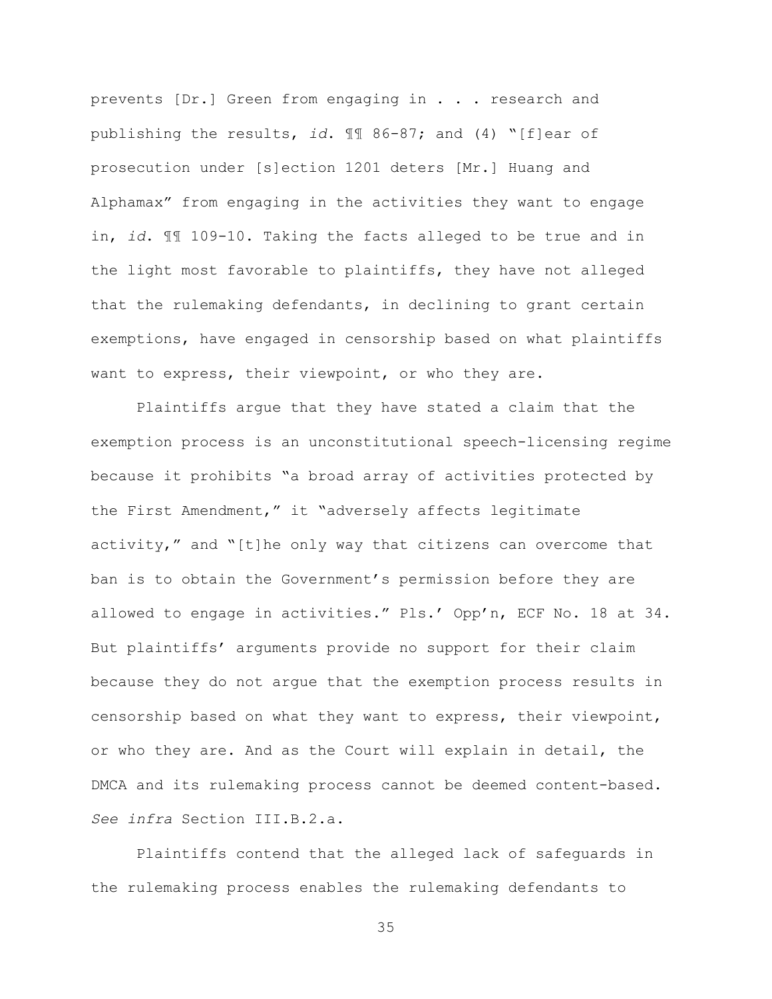prevents [Dr.] Green from engaging in . . . research and publishing the results, *id*. ¶¶ 86-87; and (4) "[f]ear of prosecution under [s]ection 1201 deters [Mr.] Huang and Alphamax" from engaging in the activities they want to engage in, *id*. ¶¶ 109-10. Taking the facts alleged to be true and in the light most favorable to plaintiffs, they have not alleged that the rulemaking defendants, in declining to grant certain exemptions, have engaged in censorship based on what plaintiffs want to express, their viewpoint, or who they are.

Plaintiffs argue that they have stated a claim that the exemption process is an unconstitutional speech-licensing regime because it prohibits "a broad array of activities protected by the First Amendment," it "adversely affects legitimate activity," and "[t]he only way that citizens can overcome that ban is to obtain the Government's permission before they are allowed to engage in activities." Pls.' Opp'n, ECF No. 18 at 34. But plaintiffs' arguments provide no support for their claim because they do not argue that the exemption process results in censorship based on what they want to express, their viewpoint, or who they are. And as the Court will explain in detail, the DMCA and its rulemaking process cannot be deemed content-based. *See infra* Section III.B.2.a.

Plaintiffs contend that the alleged lack of safeguards in the rulemaking process enables the rulemaking defendants to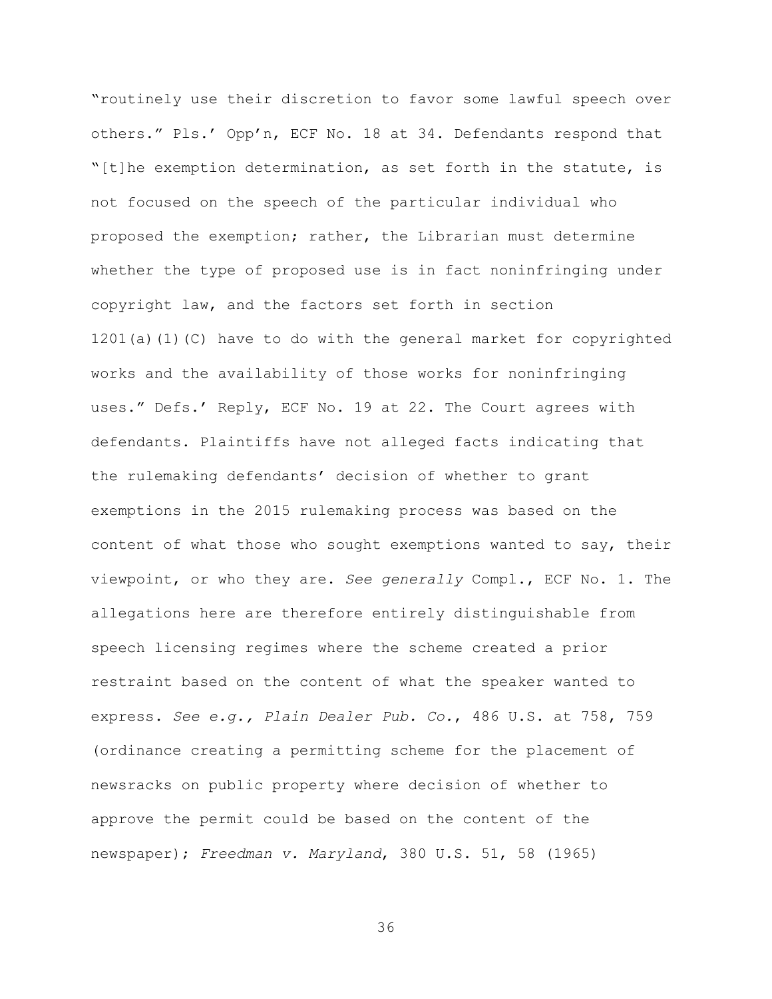"routinely use their discretion to favor some lawful speech over others." Pls.' Opp'n, ECF No. 18 at 34. Defendants respond that "[t]he exemption determination, as set forth in the statute, is not focused on the speech of the particular individual who proposed the exemption; rather, the Librarian must determine whether the type of proposed use is in fact noninfringing under copyright law, and the factors set forth in section 1201(a)(1)(C) have to do with the general market for copyrighted works and the availability of those works for noninfringing uses." Defs.' Reply, ECF No. 19 at 22. The Court agrees with defendants. Plaintiffs have not alleged facts indicating that the rulemaking defendants' decision of whether to grant exemptions in the 2015 rulemaking process was based on the content of what those who sought exemptions wanted to say, their viewpoint, or who they are. *See generally* Compl., ECF No. 1. The allegations here are therefore entirely distinguishable from speech licensing regimes where the scheme created a prior restraint based on the content of what the speaker wanted to express. *See e.g., Plain Dealer Pub. Co.*, 486 U.S. at 758, 759 (ordinance creating a permitting scheme for the placement of newsracks on public property where decision of whether to approve the permit could be based on the content of the newspaper); *Freedman v. Maryland*, 380 U.S. 51, 58 (1965)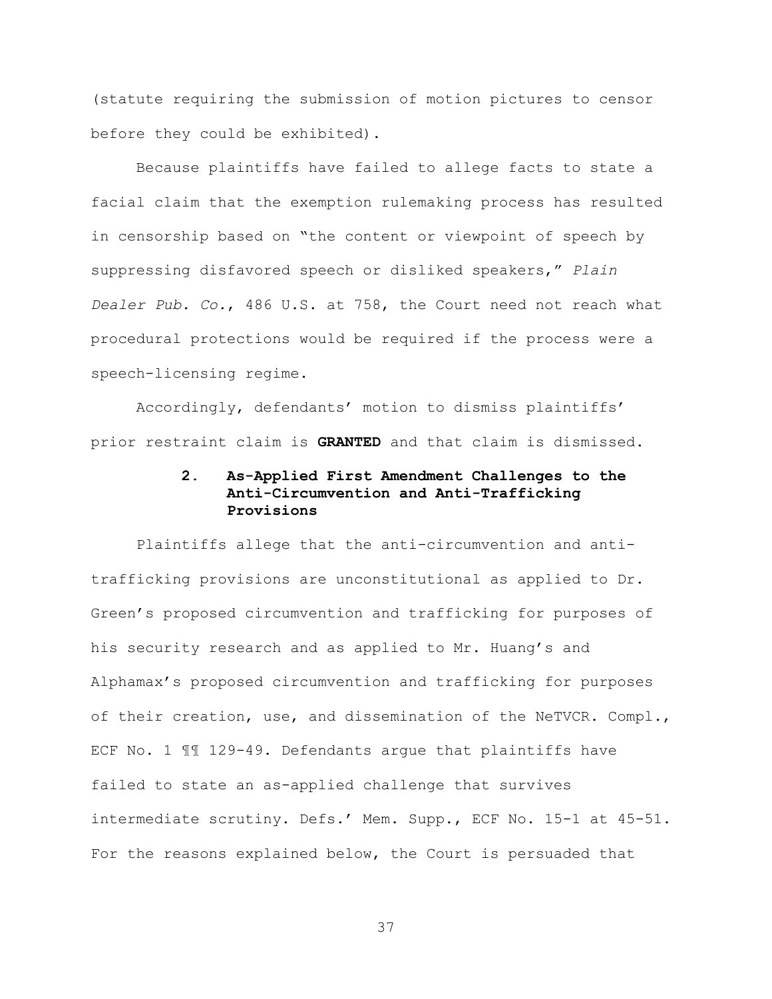(statute requiring the submission of motion pictures to censor before they could be exhibited).

Because plaintiffs have failed to allege facts to state a facial claim that the exemption rulemaking process has resulted in censorship based on "the content or viewpoint of speech by suppressing disfavored speech or disliked speakers," *Plain Dealer Pub. Co.*, 486 U.S. at 758, the Court need not reach what procedural protections would be required if the process were a speech-licensing regime.

Accordingly, defendants' motion to dismiss plaintiffs' prior restraint claim is **GRANTED** and that claim is dismissed.

# **2. As-Applied First Amendment Challenges to the Anti-Circumvention and Anti-Trafficking Provisions**

Plaintiffs allege that the anti-circumvention and antitrafficking provisions are unconstitutional as applied to Dr. Green's proposed circumvention and trafficking for purposes of his security research and as applied to Mr. Huang's and Alphamax's proposed circumvention and trafficking for purposes of their creation, use, and dissemination of the NeTVCR. Compl., ECF No. 1 ¶¶ 129-49. Defendants argue that plaintiffs have failed to state an as-applied challenge that survives intermediate scrutiny. Defs.' Mem. Supp., ECF No. 15-1 at 45-51. For the reasons explained below, the Court is persuaded that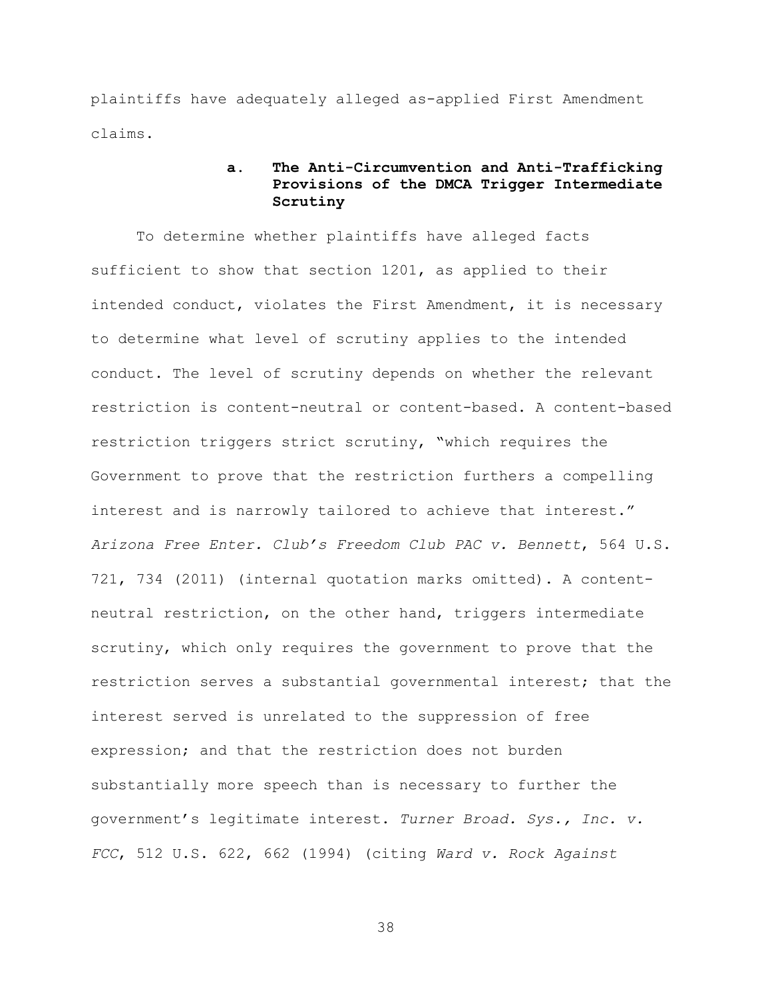plaintiffs have adequately alleged as-applied First Amendment claims.

# **a. The Anti-Circumvention and Anti-Trafficking Provisions of the DMCA Trigger Intermediate Scrutiny**

To determine whether plaintiffs have alleged facts sufficient to show that section 1201, as applied to their intended conduct, violates the First Amendment, it is necessary to determine what level of scrutiny applies to the intended conduct. The level of scrutiny depends on whether the relevant restriction is content-neutral or content-based. A content-based restriction triggers strict scrutiny, "which requires the Government to prove that the restriction furthers a compelling interest and is narrowly tailored to achieve that interest." *Arizona Free Enter. Club's Freedom Club PAC v. Bennett*, 564 U.S. 721, 734 (2011) (internal quotation marks omitted). A contentneutral restriction, on the other hand, triggers intermediate scrutiny, which only requires the government to prove that the restriction serves a substantial governmental interest; that the interest served is unrelated to the suppression of free expression; and that the restriction does not burden substantially more speech than is necessary to further the government's legitimate interest. *Turner Broad. Sys., Inc. v. FCC*, 512 U.S. 622, 662 (1994) (citing *Ward v. Rock Against*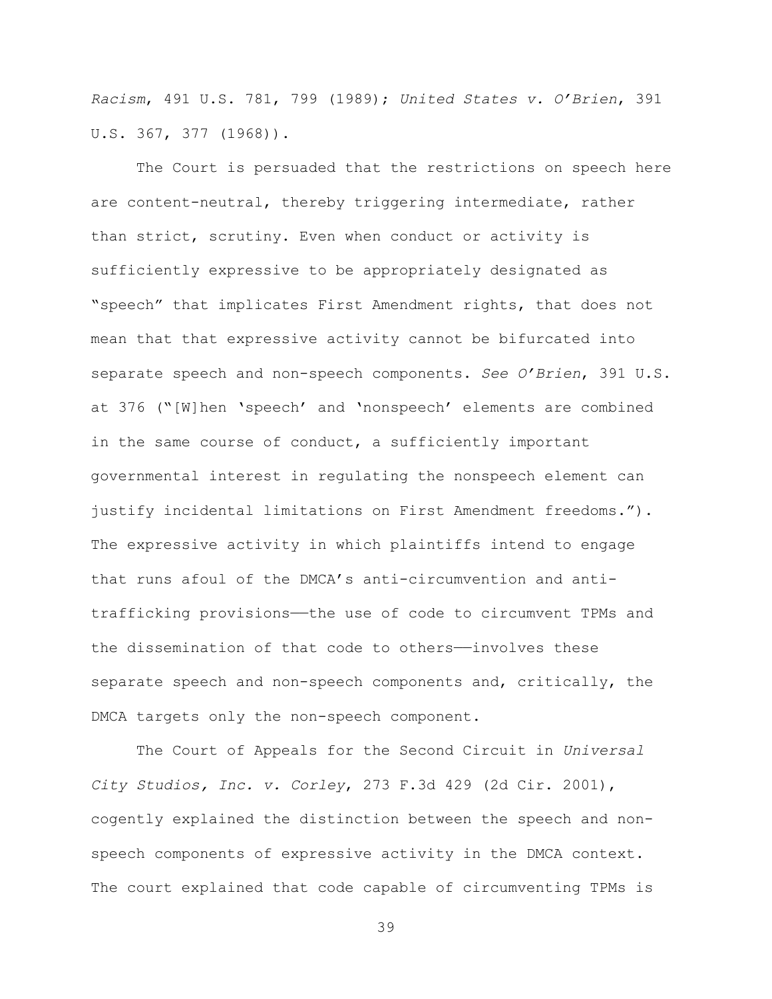*Racism*, 491 U.S. 781, 799 (1989); *United States v. O'Brien*, 391 U.S. 367, 377 (1968)).

The Court is persuaded that the restrictions on speech here are content-neutral, thereby triggering intermediate, rather than strict, scrutiny. Even when conduct or activity is sufficiently expressive to be appropriately designated as "speech" that implicates First Amendment rights, that does not mean that that expressive activity cannot be bifurcated into separate speech and non-speech components. *See O'Brien*, 391 U.S. at 376 ("[W]hen 'speech' and 'nonspeech' elements are combined in the same course of conduct, a sufficiently important governmental interest in regulating the nonspeech element can justify incidental limitations on First Amendment freedoms."). The expressive activity in which plaintiffs intend to engage that runs afoul of the DMCA's anti-circumvention and antitrafficking provisions——the use of code to circumvent TPMs and the dissemination of that code to others—involves these separate speech and non-speech components and, critically, the DMCA targets only the non-speech component.

The Court of Appeals for the Second Circuit in *Universal City Studios, Inc. v. Corley*, 273 F.3d 429 (2d Cir. 2001), cogently explained the distinction between the speech and nonspeech components of expressive activity in the DMCA context. The court explained that code capable of circumventing TPMs is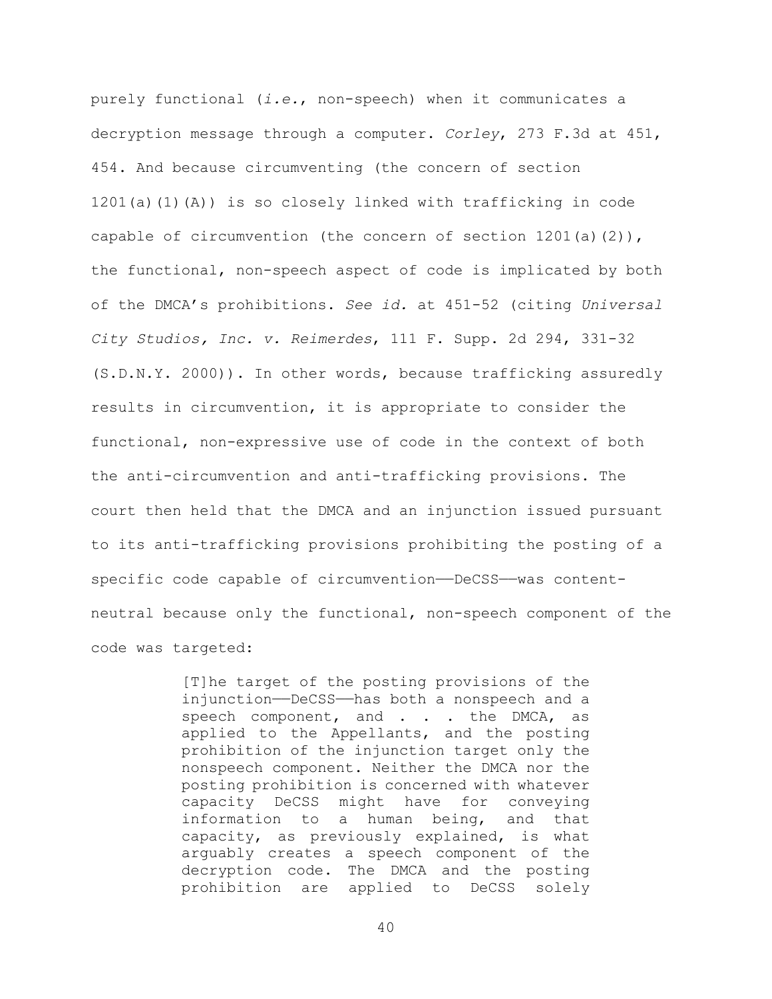purely functional (*i.e.*, non-speech) when it communicates a decryption message through a computer. *Corley*, 273 F.3d at 451, 454. And because circumventing (the concern of section 1201(a)(1)(A)) is so closely linked with trafficking in code capable of circumvention (the concern of section  $1201(a)(2)$ ), the functional, non-speech aspect of code is implicated by both of the DMCA's prohibitions. *See id.* at 451-52 (citing *Universal City Studios, Inc. v. Reimerdes*, 111 F. Supp. 2d 294, 331-32 (S.D.N.Y. 2000)). In other words, because trafficking assuredly results in circumvention, it is appropriate to consider the functional, non-expressive use of code in the context of both the anti-circumvention and anti-trafficking provisions. The court then held that the DMCA and an injunction issued pursuant to its anti-trafficking provisions prohibiting the posting of a specific code capable of circumvention-DeCSS--was contentneutral because only the functional, non-speech component of the code was targeted:

> [T]he target of the posting provisions of the injunction——DeCSS——has both a nonspeech and a speech component, and . . . the DMCA, as applied to the Appellants, and the posting prohibition of the injunction target only the nonspeech component. Neither the DMCA nor the posting prohibition is concerned with whatever capacity DeCSS might have for conveying information to a human being, and that capacity, as previously explained, is what arguably creates a speech component of the decryption code. The DMCA and the posting<br>prohibition are applied to DeCSS solely applied to DeCSS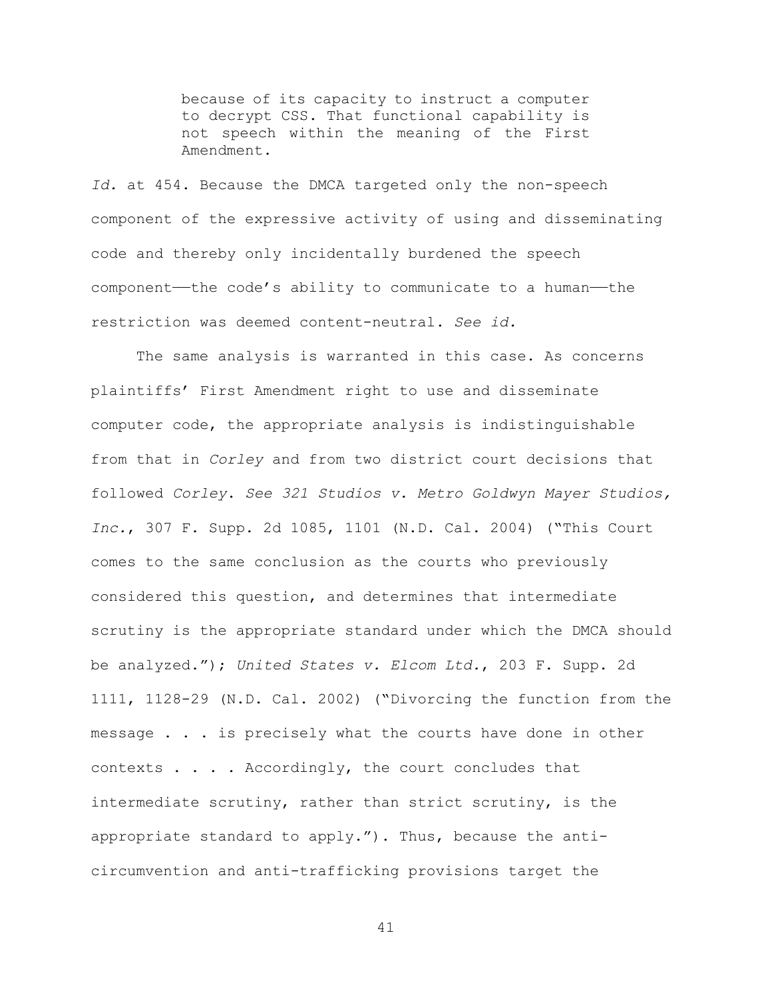because of its capacity to instruct a computer to decrypt CSS. That functional capability is not speech within the meaning of the First Amendment.

*Id.* at 454. Because the DMCA targeted only the non-speech component of the expressive activity of using and disseminating code and thereby only incidentally burdened the speech component——the code's ability to communicate to a human——the restriction was deemed content-neutral. *See id.*

The same analysis is warranted in this case. As concerns plaintiffs' First Amendment right to use and disseminate computer code, the appropriate analysis is indistinguishable from that in *Corley* and from two district court decisions that followed *Corley*. *See 321 Studios v. Metro Goldwyn Mayer Studios, Inc.*, 307 F. Supp. 2d 1085, 1101 (N.D. Cal. 2004) ("This Court comes to the same conclusion as the courts who previously considered this question, and determines that intermediate scrutiny is the appropriate standard under which the DMCA should be analyzed."); *United States v. Elcom Ltd.*, 203 F. Supp. 2d 1111, 1128-29 (N.D. Cal. 2002) ("Divorcing the function from the message . . . is precisely what the courts have done in other contexts . . . . Accordingly, the court concludes that intermediate scrutiny, rather than strict scrutiny, is the appropriate standard to apply."). Thus, because the anticircumvention and anti-trafficking provisions target the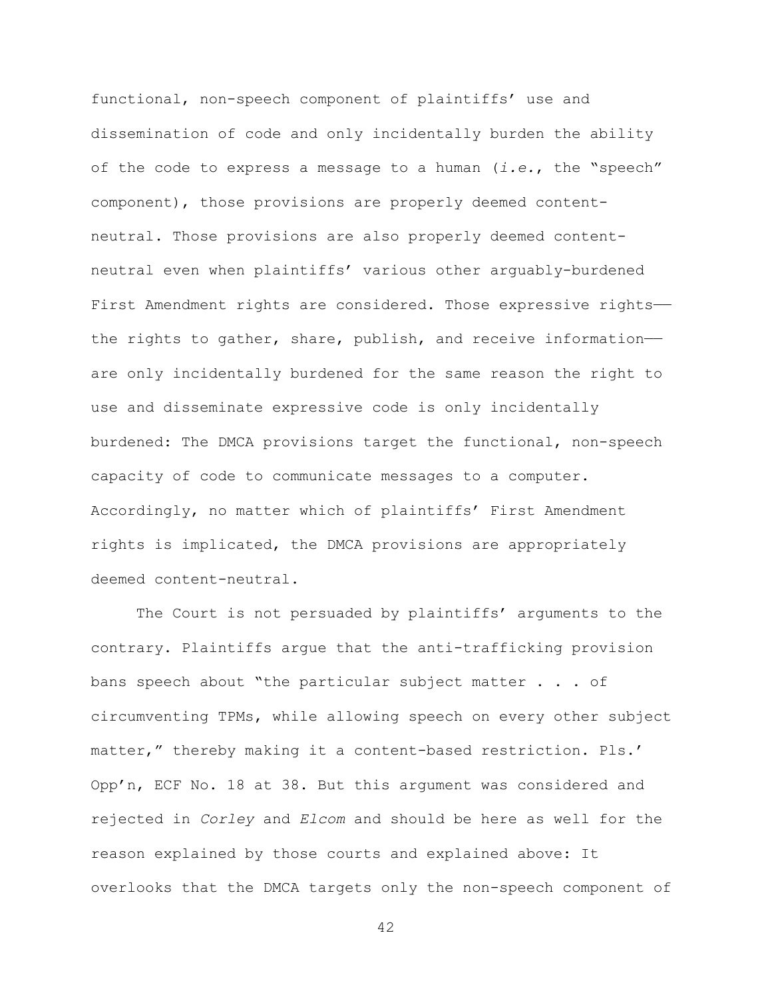functional, non-speech component of plaintiffs' use and dissemination of code and only incidentally burden the ability of the code to express a message to a human (*i.e.*, the "speech" component), those provisions are properly deemed contentneutral. Those provisions are also properly deemed contentneutral even when plaintiffs' various other arguably-burdened First Amendment rights are considered. Those expressive rightsthe rights to gather, share, publish, and receive informationare only incidentally burdened for the same reason the right to use and disseminate expressive code is only incidentally burdened: The DMCA provisions target the functional, non-speech capacity of code to communicate messages to a computer. Accordingly, no matter which of plaintiffs' First Amendment rights is implicated, the DMCA provisions are appropriately deemed content-neutral.

The Court is not persuaded by plaintiffs' arguments to the contrary. Plaintiffs argue that the anti-trafficking provision bans speech about "the particular subject matter . . . of circumventing TPMs, while allowing speech on every other subject matter," thereby making it a content-based restriction. Pls.' Opp'n, ECF No. 18 at 38. But this argument was considered and rejected in *Corley* and *Elcom* and should be here as well for the reason explained by those courts and explained above: It overlooks that the DMCA targets only the non-speech component of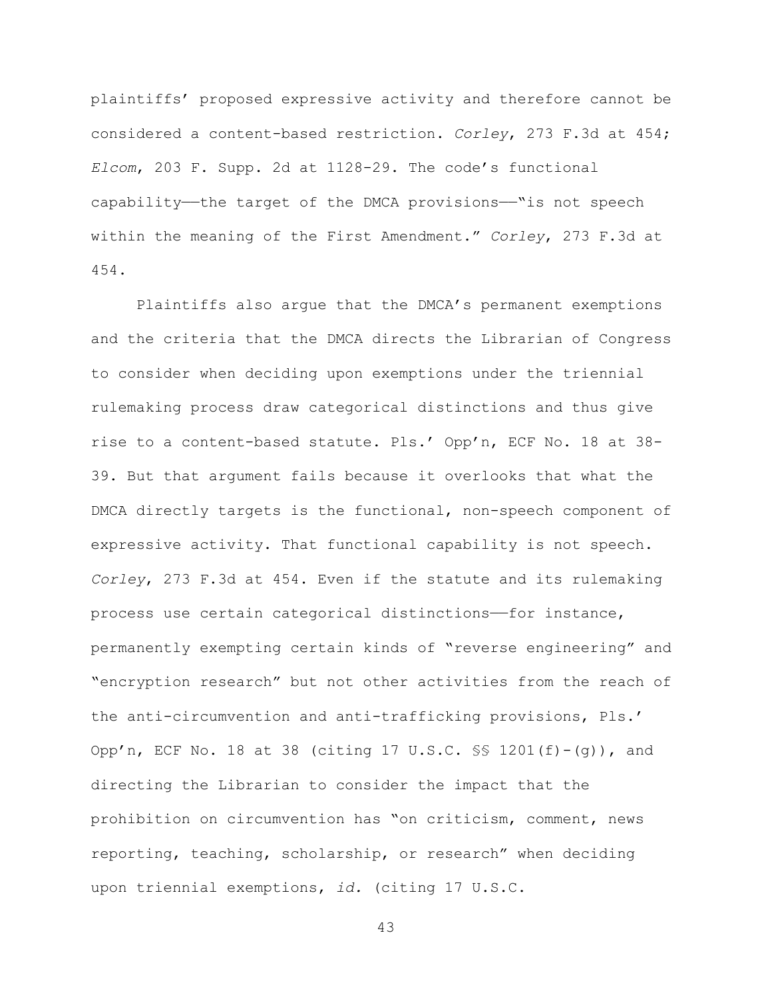plaintiffs' proposed expressive activity and therefore cannot be considered a content-based restriction. *Corley*, 273 F.3d at 454; *Elcom*, 203 F. Supp. 2d at 1128-29. The code's functional capability—the target of the DMCA provisions—"is not speech within the meaning of the First Amendment." *Corley*, 273 F.3d at 454.

Plaintiffs also argue that the DMCA's permanent exemptions and the criteria that the DMCA directs the Librarian of Congress to consider when deciding upon exemptions under the triennial rulemaking process draw categorical distinctions and thus give rise to a content-based statute. Pls.' Opp'n, ECF No. 18 at 38- 39. But that argument fails because it overlooks that what the DMCA directly targets is the functional, non-speech component of expressive activity. That functional capability is not speech. *Corley*, 273 F.3d at 454. Even if the statute and its rulemaking process use certain categorical distinctions——for instance, permanently exempting certain kinds of "reverse engineering" and "encryption research" but not other activities from the reach of the anti-circumvention and anti-trafficking provisions, Pls.' Opp'n, ECF No. 18 at 38 (citing 17 U.S.C. §§ 1201(f)-(g)), and directing the Librarian to consider the impact that the prohibition on circumvention has "on criticism, comment, news reporting, teaching, scholarship, or research" when deciding upon triennial exemptions, *id.* (citing 17 U.S.C.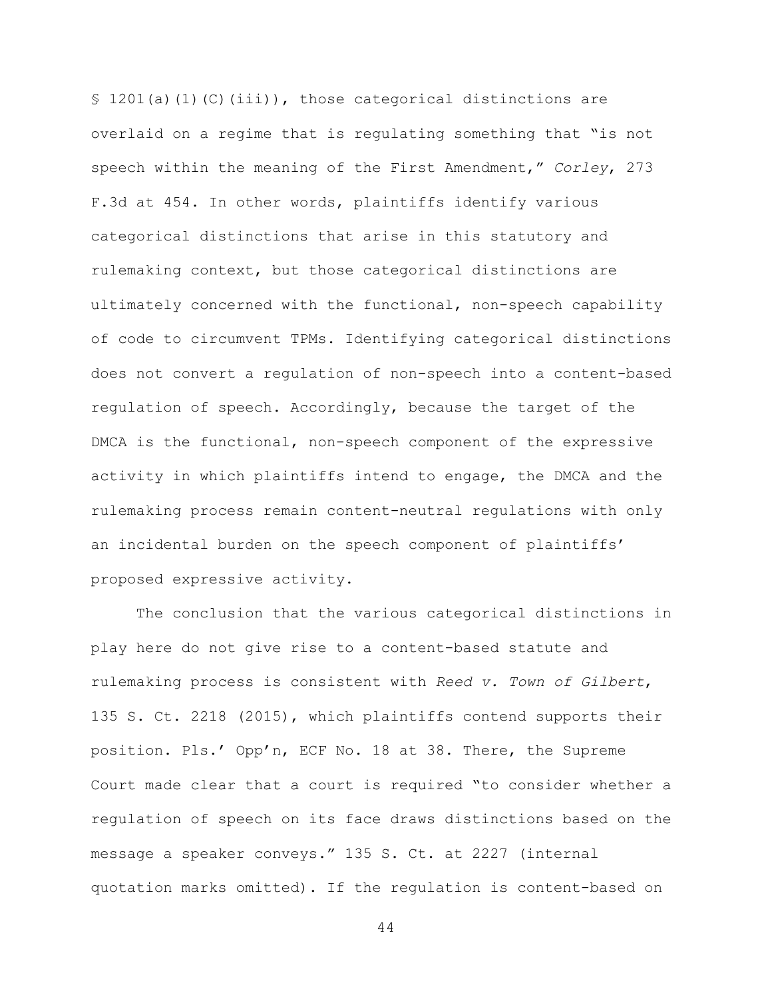$$ 1201(a)(1)(C)(iii)$ , those categorical distinctions are overlaid on a regime that is regulating something that "is not speech within the meaning of the First Amendment," *Corley*, 273 F.3d at 454. In other words, plaintiffs identify various categorical distinctions that arise in this statutory and rulemaking context, but those categorical distinctions are ultimately concerned with the functional, non-speech capability of code to circumvent TPMs. Identifying categorical distinctions does not convert a regulation of non-speech into a content-based regulation of speech. Accordingly, because the target of the DMCA is the functional, non-speech component of the expressive activity in which plaintiffs intend to engage, the DMCA and the rulemaking process remain content-neutral regulations with only an incidental burden on the speech component of plaintiffs' proposed expressive activity.

The conclusion that the various categorical distinctions in play here do not give rise to a content-based statute and rulemaking process is consistent with *Reed v. Town of Gilbert*, 135 S. Ct. 2218 (2015), which plaintiffs contend supports their position. Pls.' Opp'n, ECF No. 18 at 38. There, the Supreme Court made clear that a court is required "to consider whether a regulation of speech on its face draws distinctions based on the message a speaker conveys." 135 S. Ct. at 2227 (internal quotation marks omitted). If the regulation is content-based on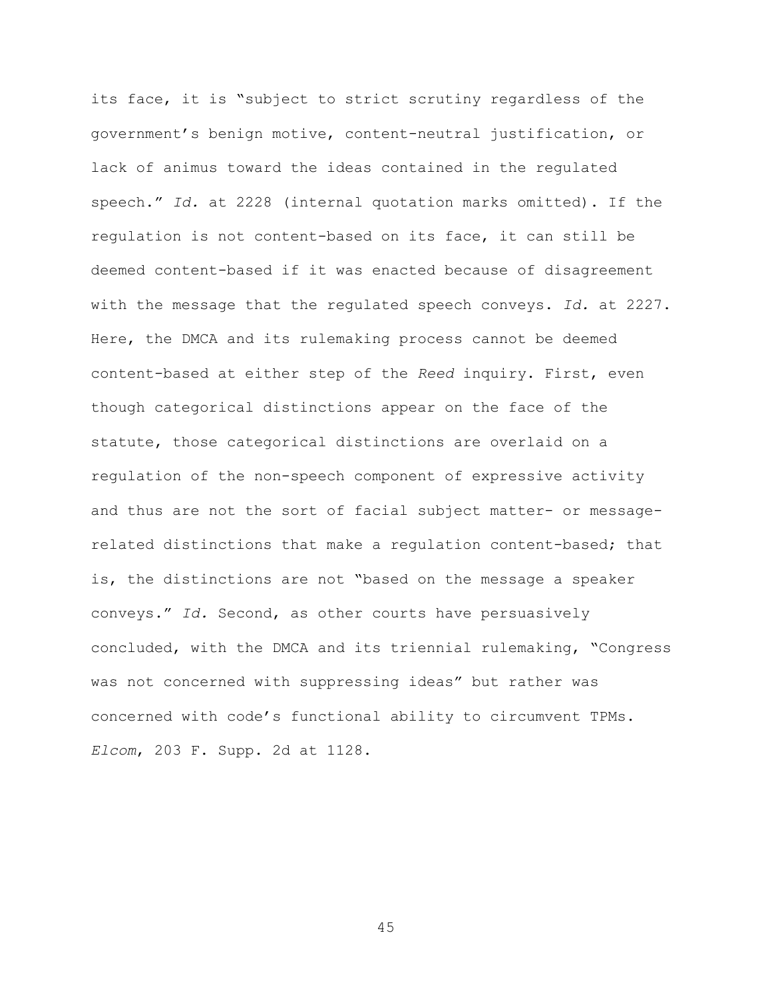its face, it is "subject to strict scrutiny regardless of the government's benign motive, content-neutral justification, or lack of animus toward the ideas contained in the regulated speech." *Id.* at 2228 (internal quotation marks omitted). If the regulation is not content-based on its face, it can still be deemed content-based if it was enacted because of disagreement with the message that the regulated speech conveys. *Id.* at 2227. Here, the DMCA and its rulemaking process cannot be deemed content-based at either step of the *Reed* inquiry. First, even though categorical distinctions appear on the face of the statute, those categorical distinctions are overlaid on a regulation of the non-speech component of expressive activity and thus are not the sort of facial subject matter- or messagerelated distinctions that make a regulation content-based; that is, the distinctions are not "based on the message a speaker conveys." *Id.* Second, as other courts have persuasively concluded, with the DMCA and its triennial rulemaking, "Congress was not concerned with suppressing ideas" but rather was concerned with code's functional ability to circumvent TPMs. *Elcom*, 203 F. Supp. 2d at 1128.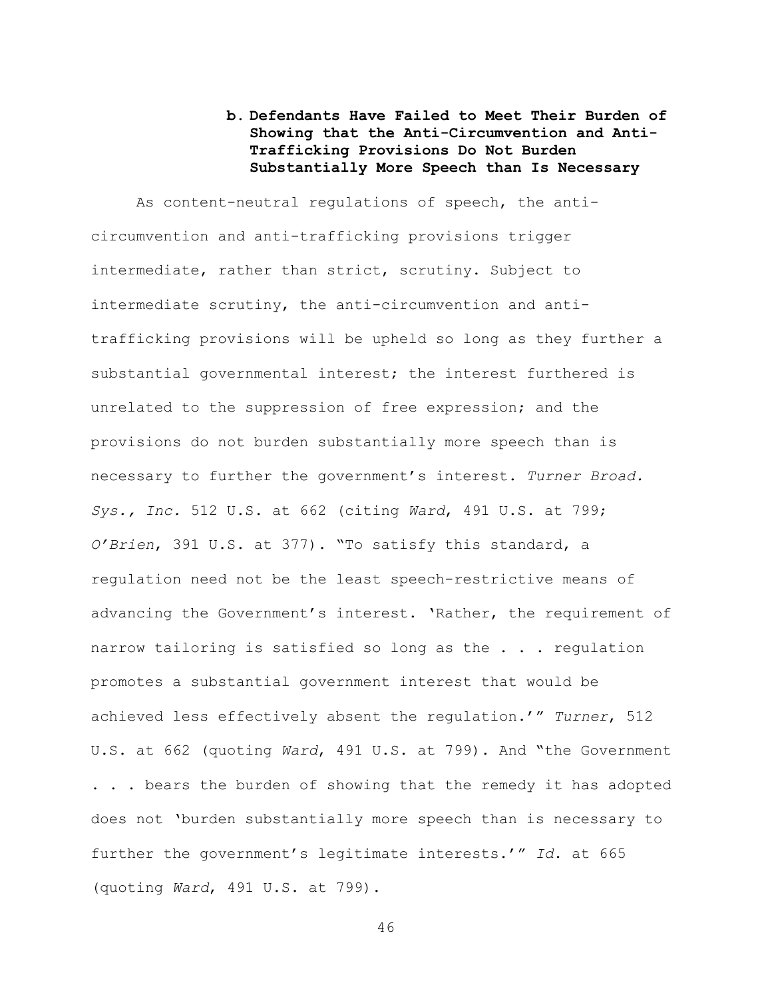# **b. Defendants Have Failed to Meet Their Burden of Showing that the Anti-Circumvention and Anti-Trafficking Provisions Do Not Burden Substantially More Speech than Is Necessary**

As content-neutral regulations of speech, the anticircumvention and anti-trafficking provisions trigger intermediate, rather than strict, scrutiny. Subject to intermediate scrutiny, the anti-circumvention and antitrafficking provisions will be upheld so long as they further a substantial governmental interest; the interest furthered is unrelated to the suppression of free expression; and the provisions do not burden substantially more speech than is necessary to further the government's interest. *Turner Broad. Sys., Inc.* 512 U.S. at 662 (citing *Ward*, 491 U.S. at 799; *O'Brien*, 391 U.S. at 377). "To satisfy this standard, a regulation need not be the least speech-restrictive means of advancing the Government's interest. 'Rather, the requirement of narrow tailoring is satisfied so long as the . . . regulation promotes a substantial government interest that would be achieved less effectively absent the regulation.'" *Turner*, 512 U.S. at 662 (quoting *Ward*, 491 U.S. at 799). And "the Government . . . bears the burden of showing that the remedy it has adopted does not 'burden substantially more speech than is necessary to further the government's legitimate interests.'" *Id*. at 665 (quoting *Ward*, 491 U.S. at 799).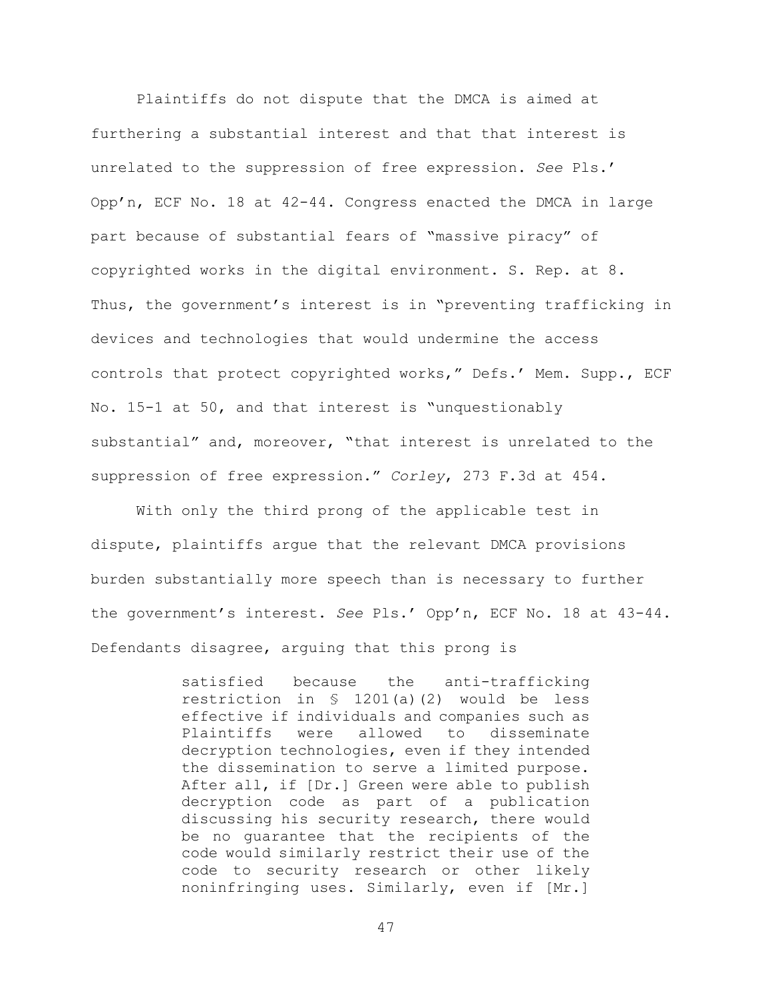Plaintiffs do not dispute that the DMCA is aimed at furthering a substantial interest and that that interest is unrelated to the suppression of free expression. *See* Pls.' Opp'n, ECF No. 18 at 42-44. Congress enacted the DMCA in large part because of substantial fears of "massive piracy" of copyrighted works in the digital environment. S. Rep. at 8. Thus, the government's interest is in "preventing trafficking in devices and technologies that would undermine the access controls that protect copyrighted works," Defs.' Mem. Supp., ECF No. 15-1 at 50, and that interest is "unquestionably substantial" and, moreover, "that interest is unrelated to the suppression of free expression." *Corley*, 273 F.3d at 454.

With only the third prong of the applicable test in dispute, plaintiffs argue that the relevant DMCA provisions burden substantially more speech than is necessary to further the government's interest. *See* Pls.' Opp'n, ECF No. 18 at 43-44. Defendants disagree, arguing that this prong is

> satisfied because the anti-trafficking restriction in § 1201(a)(2) would be less effective if individuals and companies such as<br>Plaintiffs were allowed to disseminate allowed to disseminate decryption technologies, even if they intended the dissemination to serve a limited purpose. After all, if [Dr.] Green were able to publish decryption code as part of a publication discussing his security research, there would be no guarantee that the recipients of the code would similarly restrict their use of the code to security research or other likely noninfringing uses. Similarly, even if [Mr.]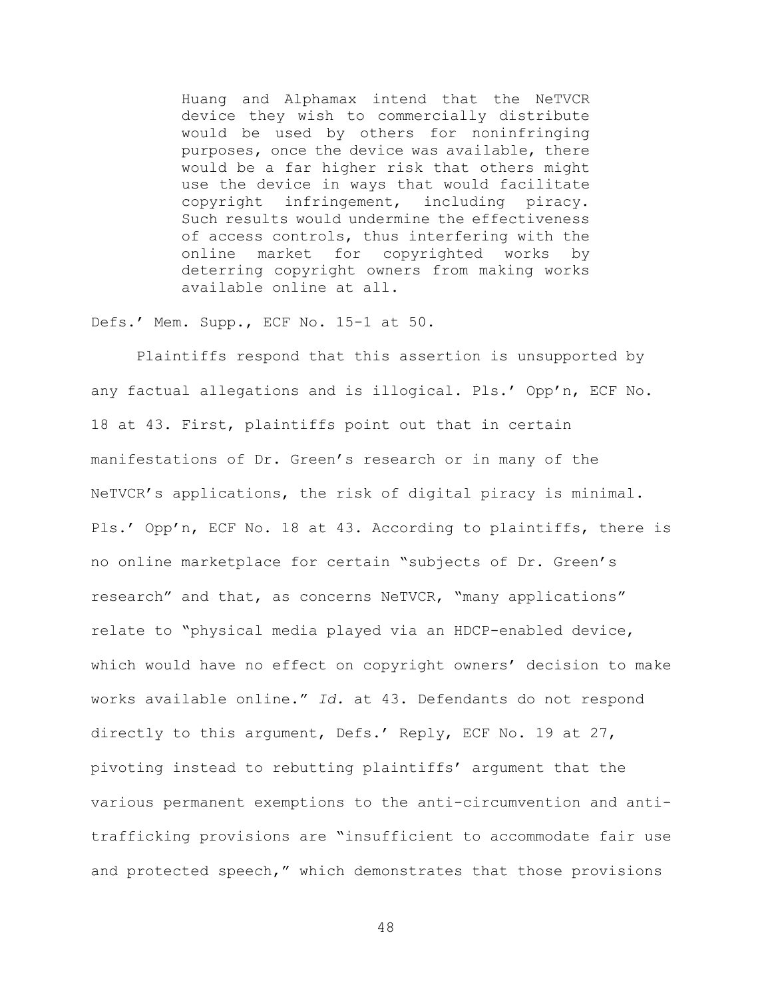Huang and Alphamax intend that the NeTVCR device they wish to commercially distribute would be used by others for noninfringing purposes, once the device was available, there would be a far higher risk that others might use the device in ways that would facilitate copyright infringement, including piracy. Such results would undermine the effectiveness of access controls, thus interfering with the online market for copyrighted works by deterring copyright owners from making works available online at all.

Defs.' Mem. Supp., ECF No. 15-1 at 50.

Plaintiffs respond that this assertion is unsupported by any factual allegations and is illogical. Pls.' Opp'n, ECF No. 18 at 43. First, plaintiffs point out that in certain manifestations of Dr. Green's research or in many of the NeTVCR's applications, the risk of digital piracy is minimal. Pls.' Opp'n, ECF No. 18 at 43. According to plaintiffs, there is no online marketplace for certain "subjects of Dr. Green's research" and that, as concerns NeTVCR, "many applications" relate to "physical media played via an HDCP-enabled device, which would have no effect on copyright owners' decision to make works available online." *Id.* at 43. Defendants do not respond directly to this argument, Defs.' Reply, ECF No. 19 at 27, pivoting instead to rebutting plaintiffs' argument that the various permanent exemptions to the anti-circumvention and antitrafficking provisions are "insufficient to accommodate fair use and protected speech," which demonstrates that those provisions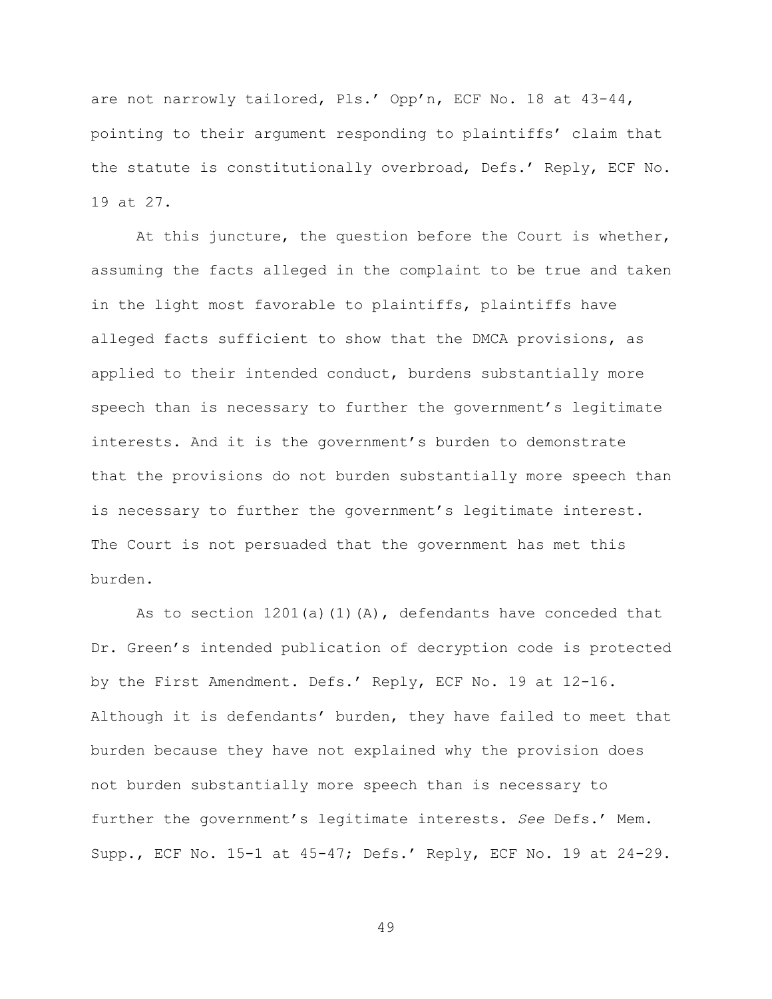are not narrowly tailored, Pls.' Opp'n, ECF No. 18 at 43-44, pointing to their argument responding to plaintiffs' claim that the statute is constitutionally overbroad, Defs.' Reply, ECF No. 19 at 27.

At this juncture, the question before the Court is whether, assuming the facts alleged in the complaint to be true and taken in the light most favorable to plaintiffs, plaintiffs have alleged facts sufficient to show that the DMCA provisions, as applied to their intended conduct, burdens substantially more speech than is necessary to further the government's legitimate interests. And it is the government's burden to demonstrate that the provisions do not burden substantially more speech than is necessary to further the government's legitimate interest. The Court is not persuaded that the government has met this burden.

As to section  $1201(a)(1)(A)$ , defendants have conceded that Dr. Green's intended publication of decryption code is protected by the First Amendment. Defs.' Reply, ECF No. 19 at 12-16. Although it is defendants' burden, they have failed to meet that burden because they have not explained why the provision does not burden substantially more speech than is necessary to further the government's legitimate interests. *See* Defs.' Mem. Supp., ECF No. 15-1 at 45-47; Defs.' Reply, ECF No. 19 at 24-29.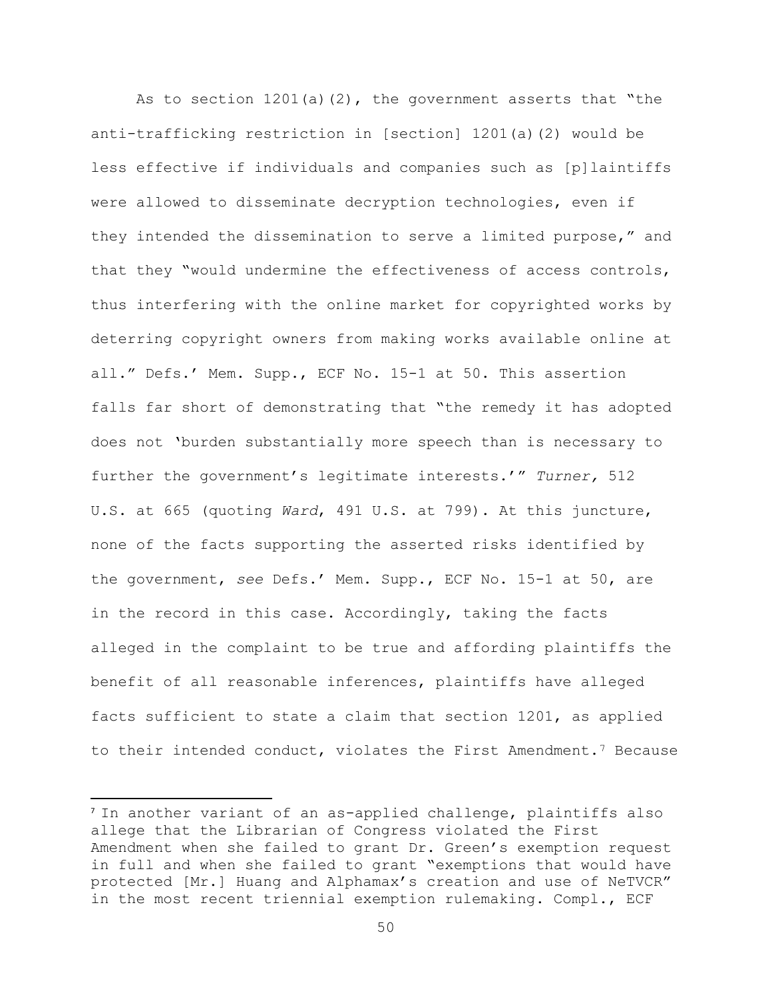As to section  $1201(a)(2)$ , the government asserts that "the anti-trafficking restriction in [section] 1201(a)(2) would be less effective if individuals and companies such as [p]laintiffs were allowed to disseminate decryption technologies, even if they intended the dissemination to serve a limited purpose," and that they "would undermine the effectiveness of access controls, thus interfering with the online market for copyrighted works by deterring copyright owners from making works available online at all." Defs.' Mem. Supp., ECF No. 15-1 at 50. This assertion falls far short of demonstrating that "the remedy it has adopted does not 'burden substantially more speech than is necessary to further the government's legitimate interests.'" *Turner,* 512 U.S. at 665 (quoting *Ward*, 491 U.S. at 799). At this juncture, none of the facts supporting the asserted risks identified by the government, *see* Defs.' Mem. Supp., ECF No. 15-1 at 50, are in the record in this case. Accordingly, taking the facts alleged in the complaint to be true and affording plaintiffs the benefit of all reasonable inferences, plaintiffs have alleged facts sufficient to state a claim that section 1201, as applied to their intended conduct, violates the First Amendment.7 Because

<sup>&</sup>lt;sup>7</sup> In another variant of an as-applied challenge, plaintiffs also allege that the Librarian of Congress violated the First Amendment when she failed to grant Dr. Green's exemption request in full and when she failed to grant "exemptions that would have protected [Mr.] Huang and Alphamax's creation and use of NeTVCR" in the most recent triennial exemption rulemaking. Compl., ECF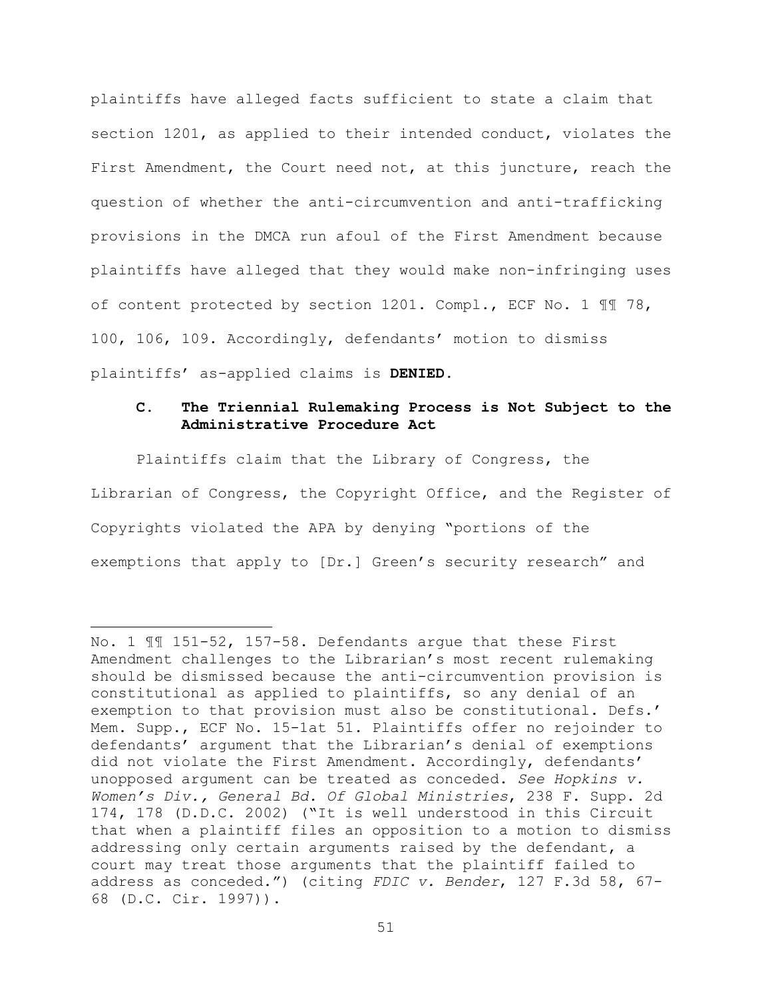plaintiffs have alleged facts sufficient to state a claim that section 1201, as applied to their intended conduct, violates the First Amendment, the Court need not, at this juncture, reach the question of whether the anti-circumvention and anti-trafficking provisions in the DMCA run afoul of the First Amendment because plaintiffs have alleged that they would make non-infringing uses of content protected by section 1201. Compl., ECF No. 1 ¶¶ 78, 100, 106, 109. Accordingly, defendants' motion to dismiss plaintiffs' as-applied claims is **DENIED**.

## **C. The Triennial Rulemaking Process is Not Subject to the Administrative Procedure Act**

Plaintiffs claim that the Library of Congress, the Librarian of Congress, the Copyright Office, and the Register of Copyrights violated the APA by denying "portions of the exemptions that apply to [Dr.] Green's security research" and

l

No. 1 ¶¶ 151-52, 157-58. Defendants argue that these First Amendment challenges to the Librarian's most recent rulemaking should be dismissed because the anti-circumvention provision is constitutional as applied to plaintiffs, so any denial of an exemption to that provision must also be constitutional. Defs.' Mem. Supp., ECF No. 15-1at 51. Plaintiffs offer no rejoinder to defendants' argument that the Librarian's denial of exemptions did not violate the First Amendment. Accordingly, defendants' unopposed argument can be treated as conceded. *See Hopkins v. Women's Div., General Bd. Of Global Ministries*, 238 F. Supp. 2d 174, 178 (D.D.C. 2002) ("It is well understood in this Circuit that when a plaintiff files an opposition to a motion to dismiss addressing only certain arguments raised by the defendant, a court may treat those arguments that the plaintiff failed to address as conceded.") (citing *FDIC v. Bender*, 127 F.3d 58, 67- 68 (D.C. Cir. 1997)).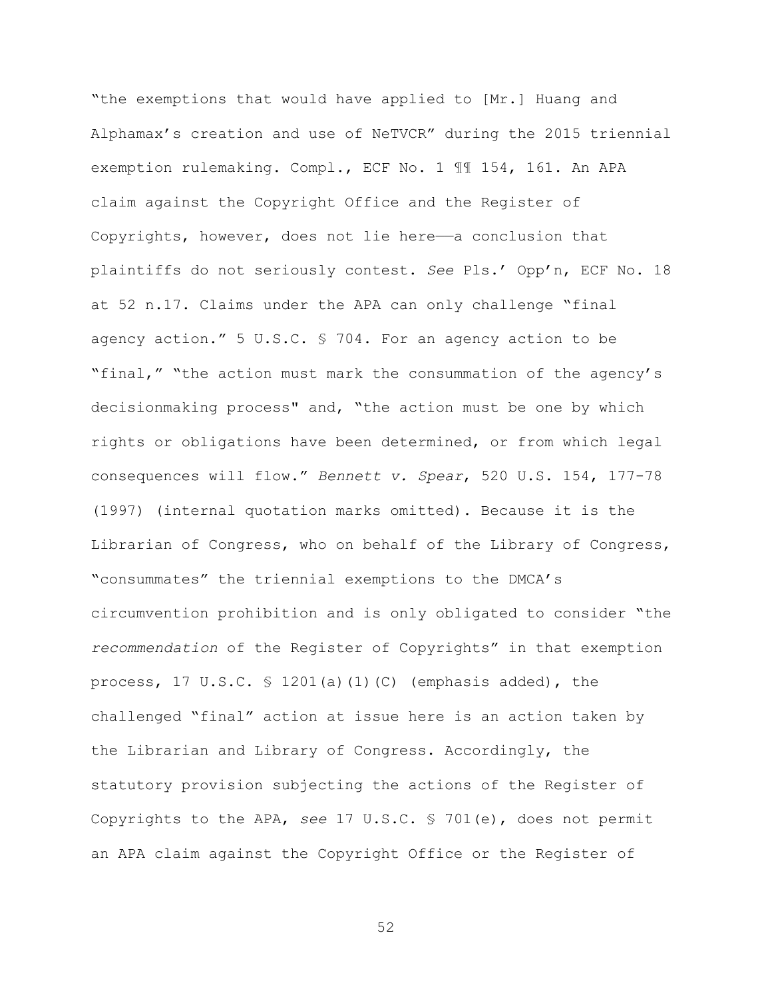"the exemptions that would have applied to [Mr.] Huang and Alphamax's creation and use of NeTVCR" during the 2015 triennial exemption rulemaking. Compl., ECF No. 1 ¶¶ 154, 161. An APA claim against the Copyright Office and the Register of Copyrights, however, does not lie here——a conclusion that plaintiffs do not seriously contest. *See* Pls.' Opp'n, ECF No. 18 at 52 n.17. Claims under the APA can only challenge "final agency action." 5 U.S.C. § 704. For an agency action to be "final," "the action must mark the consummation of the agency's decisionmaking process" and, "the action must be one by which rights or obligations have been determined, or from which legal consequences will flow." *Bennett v. Spear*, 520 U.S. 154, 177-78 (1997) (internal quotation marks omitted). Because it is the Librarian of Congress, who on behalf of the Library of Congress, "consummates" the triennial exemptions to the DMCA's circumvention prohibition and is only obligated to consider "the *recommendation* of the Register of Copyrights" in that exemption process, 17 U.S.C.  $\frac{1201(a)(1)(C)}{C}$  (emphasis added), the challenged "final" action at issue here is an action taken by the Librarian and Library of Congress. Accordingly, the statutory provision subjecting the actions of the Register of Copyrights to the APA, *see* 17 U.S.C. § 701(e), does not permit an APA claim against the Copyright Office or the Register of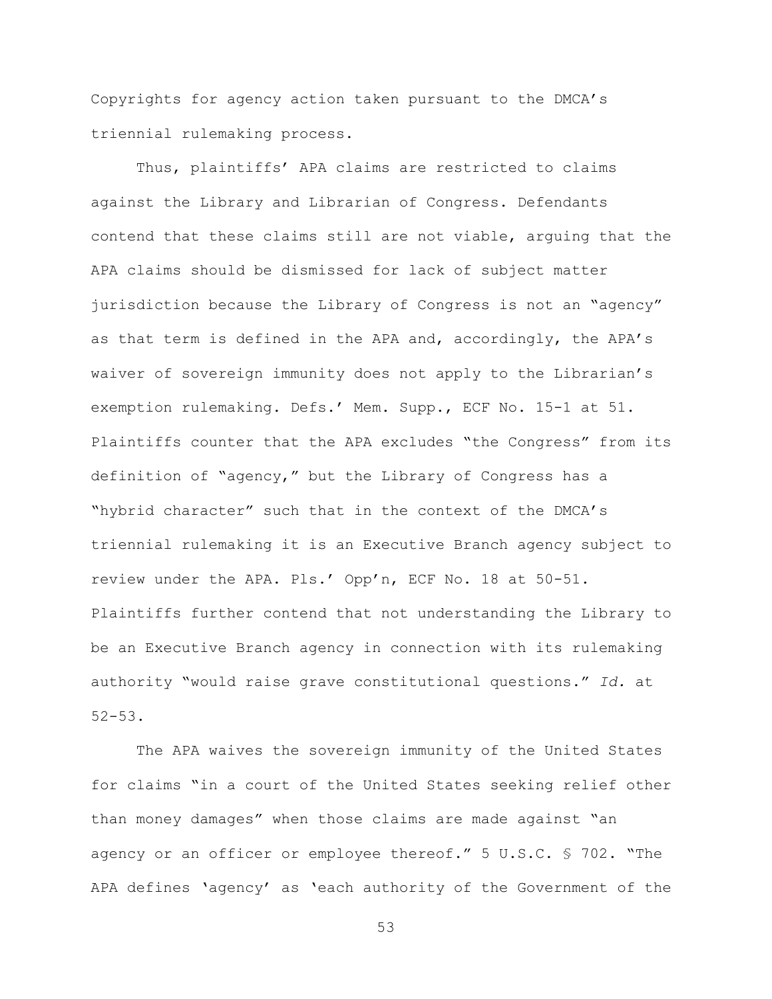Copyrights for agency action taken pursuant to the DMCA's triennial rulemaking process.

Thus, plaintiffs' APA claims are restricted to claims against the Library and Librarian of Congress. Defendants contend that these claims still are not viable, arguing that the APA claims should be dismissed for lack of subject matter jurisdiction because the Library of Congress is not an "agency" as that term is defined in the APA and, accordingly, the APA's waiver of sovereign immunity does not apply to the Librarian's exemption rulemaking. Defs.' Mem. Supp., ECF No. 15-1 at 51. Plaintiffs counter that the APA excludes "the Congress" from its definition of "agency," but the Library of Congress has a "hybrid character" such that in the context of the DMCA's triennial rulemaking it is an Executive Branch agency subject to review under the APA. Pls.' Opp'n, ECF No. 18 at 50-51. Plaintiffs further contend that not understanding the Library to be an Executive Branch agency in connection with its rulemaking authority "would raise grave constitutional questions." *Id.* at 52-53.

The APA waives the sovereign immunity of the United States for claims "in a court of the United States seeking relief other than money damages" when those claims are made against "an agency or an officer or employee thereof." 5 U.S.C. § 702. "The APA defines 'agency' as 'each authority of the Government of the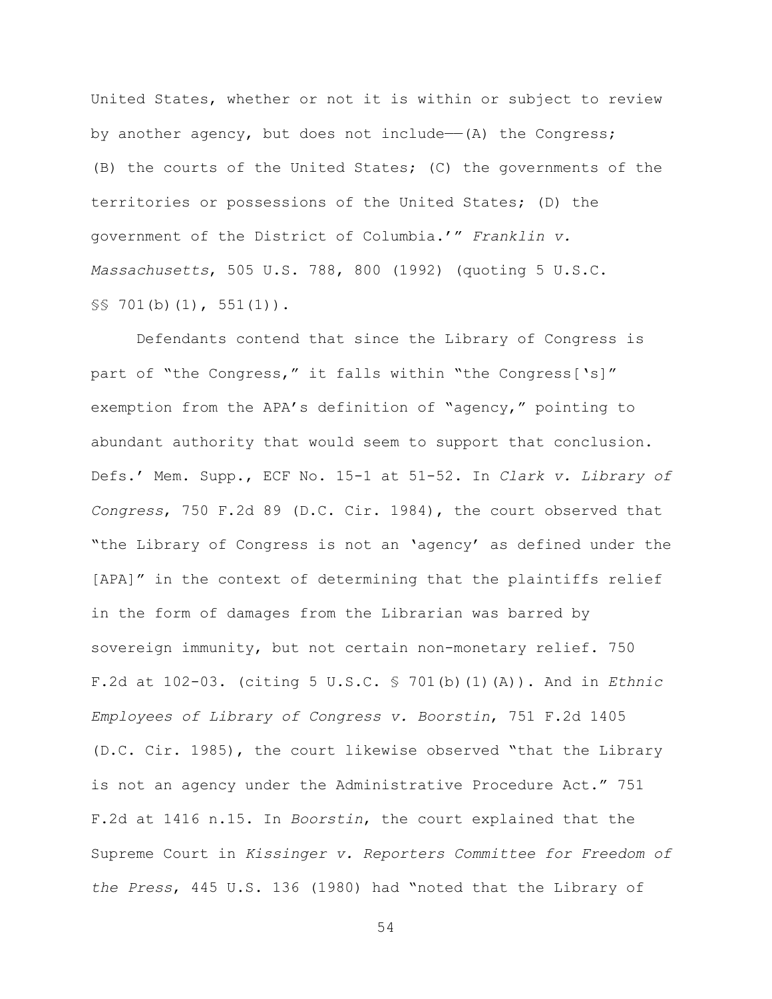United States, whether or not it is within or subject to review by another agency, but does not include— $(A)$  the Congress; (B) the courts of the United States; (C) the governments of the territories or possessions of the United States; (D) the government of the District of Columbia.'" *Franklin v. Massachusetts*, 505 U.S. 788, 800 (1992) (quoting 5 U.S.C. §§ 701(b)(1), 551(1)).

Defendants contend that since the Library of Congress is part of "the Congress," it falls within "the Congress['s]" exemption from the APA's definition of "agency," pointing to abundant authority that would seem to support that conclusion. Defs.' Mem. Supp., ECF No. 15-1 at 51-52. In *Clark v. Library of Congress*, 750 F.2d 89 (D.C. Cir. 1984), the court observed that "the Library of Congress is not an 'agency' as defined under the [APA]" in the context of determining that the plaintiffs relief in the form of damages from the Librarian was barred by sovereign immunity, but not certain non-monetary relief. 750 F.2d at 102-03. (citing 5 U.S.C. § 701(b)(1)(A)). And in *Ethnic Employees of Library of Congress v. Boorstin*, 751 F.2d 1405 (D.C. Cir. 1985), the court likewise observed "that the Library is not an agency under the Administrative Procedure Act." 751 F.2d at 1416 n.15. In *Boorstin*, the court explained that the Supreme Court in *Kissinger v. Reporters Committee for Freedom of the Press*, 445 U.S. 136 (1980) had "noted that the Library of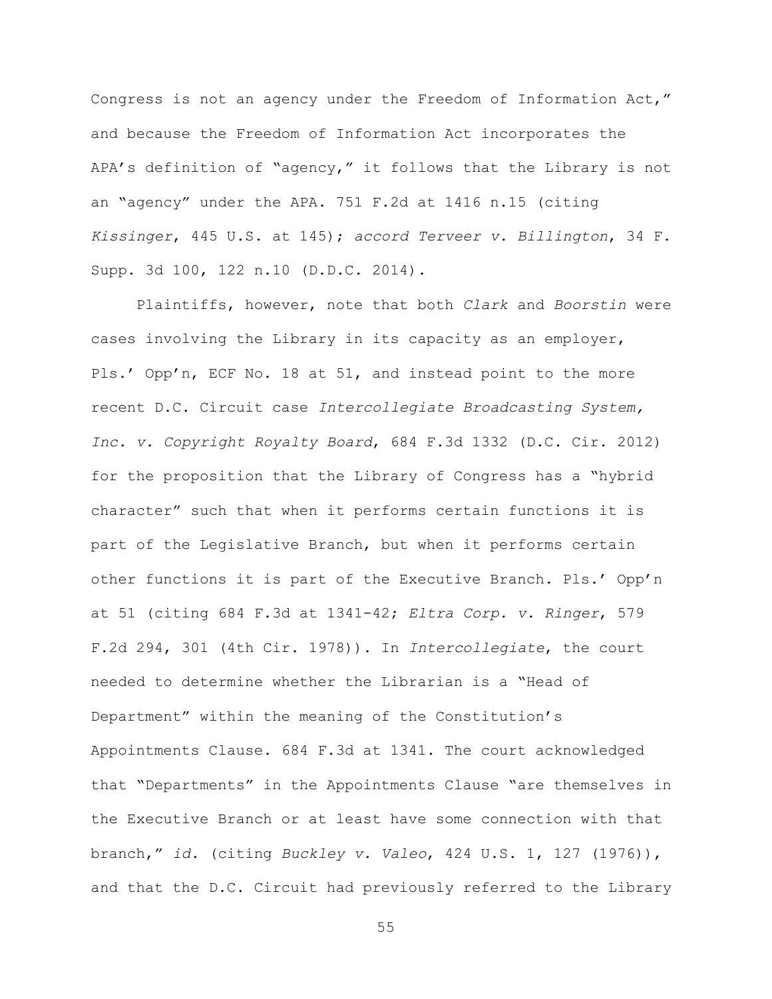Congress is not an agency under the Freedom of Information Act," and because the Freedom of Information Act incorporates the APA's definition of "agency," it follows that the Library is not an "agency" under the APA. 751 F.2d at 1416 n.15 (citing *Kissinger*, 445 U.S. at 145); *accord Terveer v. Billington*, 34 F. Supp. 3d 100, 122 n.10 (D.D.C. 2014).

Plaintiffs, however, note that both *Clark* and *Boorstin* were cases involving the Library in its capacity as an employer, Pls.' Opp'n, ECF No. 18 at 51, and instead point to the more recent D.C. Circuit case *Intercollegiate Broadcasting System, Inc. v. Copyright Royalty Board*, 684 F.3d 1332 (D.C. Cir. 2012) for the proposition that the Library of Congress has a "hybrid character" such that when it performs certain functions it is part of the Legislative Branch, but when it performs certain other functions it is part of the Executive Branch. Pls.' Opp'n at 51 (citing 684 F.3d at 1341-42; *Eltra Corp. v. Ringer*, 579 F.2d 294, 301 (4th Cir. 1978)). In *Intercollegiate*, the court needed to determine whether the Librarian is a "Head of Department" within the meaning of the Constitution's Appointments Clause. 684 F.3d at 1341. The court acknowledged that "Departments" in the Appointments Clause "are themselves in the Executive Branch or at least have some connection with that branch," *id.* (citing *Buckley v. Valeo*, 424 U.S. 1, 127 (1976)), and that the D.C. Circuit had previously referred to the Library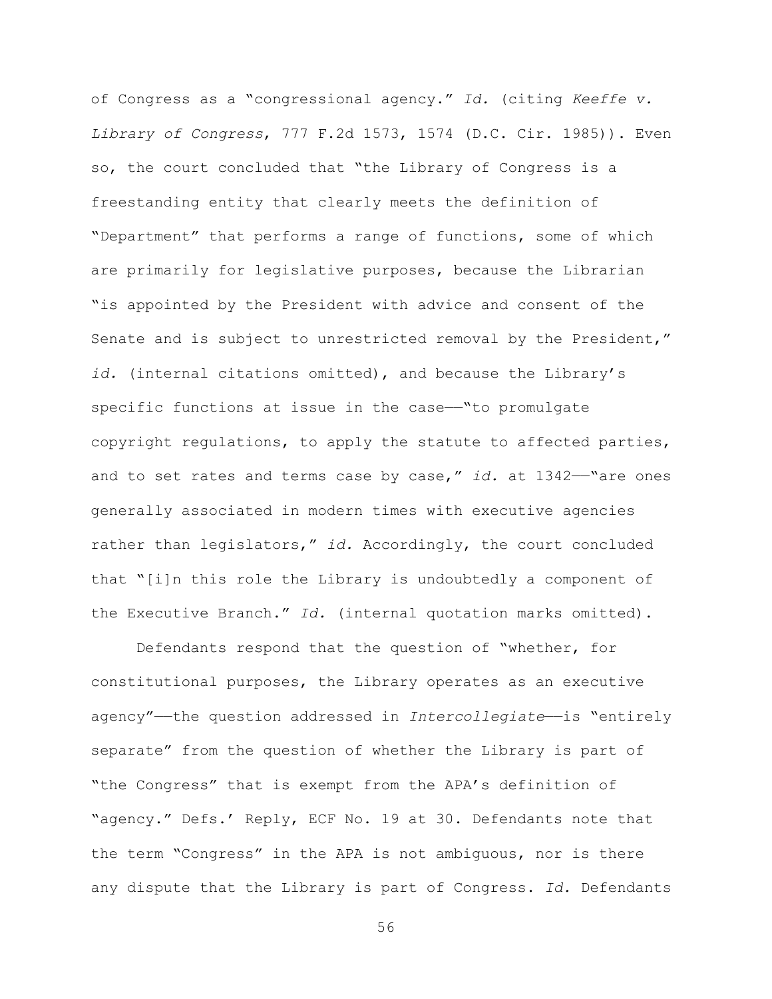of Congress as a "congressional agency." *Id.* (citing *Keeffe v. Library of Congress*, 777 F.2d 1573, 1574 (D.C. Cir. 1985)). Even so, the court concluded that "the Library of Congress is a freestanding entity that clearly meets the definition of "Department" that performs a range of functions, some of which are primarily for legislative purposes, because the Librarian "is appointed by the President with advice and consent of the Senate and is subject to unrestricted removal by the President," *id.* (internal citations omitted), and because the Library's specific functions at issue in the case—"to promulgate copyright regulations, to apply the statute to affected parties, and to set rates and terms case by case," id. at 1342—"are ones generally associated in modern times with executive agencies rather than legislators," *id.* Accordingly, the court concluded that "[i]n this role the Library is undoubtedly a component of the Executive Branch." *Id.* (internal quotation marks omitted).

Defendants respond that the question of "whether, for constitutional purposes, the Library operates as an executive agency"—the question addressed in *Intercollegiate*—is "entirely separate" from the question of whether the Library is part of "the Congress" that is exempt from the APA's definition of "agency." Defs.' Reply, ECF No. 19 at 30. Defendants note that the term "Congress" in the APA is not ambiguous, nor is there any dispute that the Library is part of Congress. *Id.* Defendants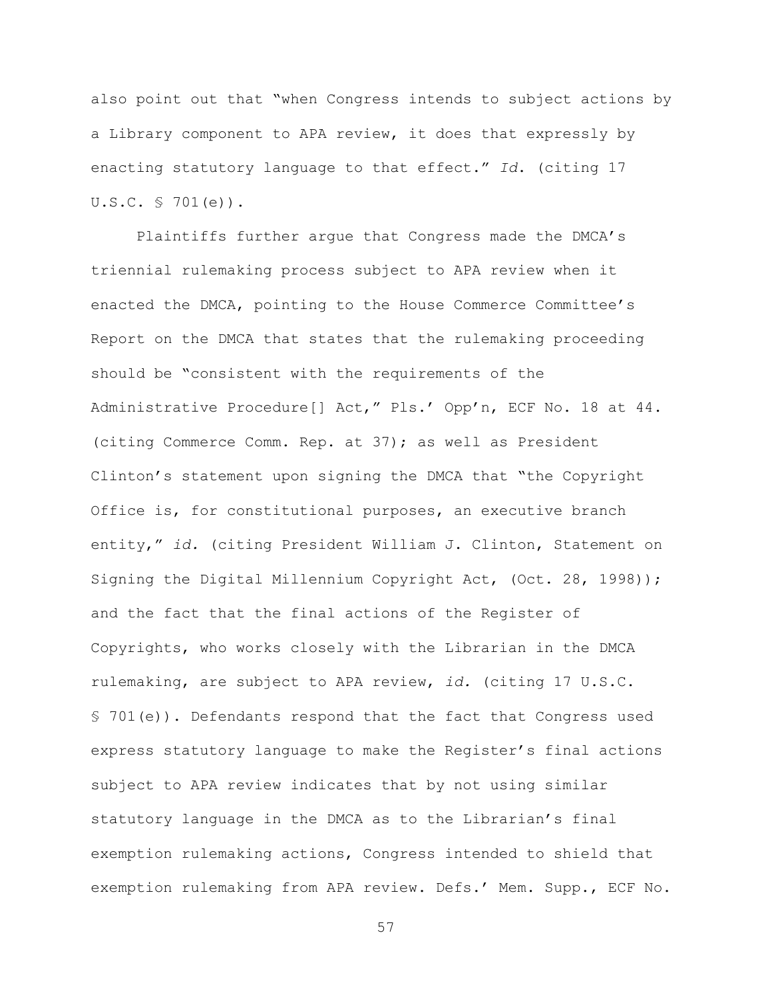also point out that "when Congress intends to subject actions by a Library component to APA review, it does that expressly by enacting statutory language to that effect." *Id*. (citing 17 U.S.C. § 701(e)).

Plaintiffs further argue that Congress made the DMCA's triennial rulemaking process subject to APA review when it enacted the DMCA, pointing to the House Commerce Committee's Report on the DMCA that states that the rulemaking proceeding should be "consistent with the requirements of the Administrative Procedure[] Act," Pls.' Opp'n, ECF No. 18 at 44. (citing Commerce Comm. Rep. at 37); as well as President Clinton's statement upon signing the DMCA that "the Copyright Office is, for constitutional purposes, an executive branch entity," *id.* (citing President William J. Clinton, Statement on Signing the Digital Millennium Copyright Act, (Oct. 28, 1998)); and the fact that the final actions of the Register of Copyrights, who works closely with the Librarian in the DMCA rulemaking, are subject to APA review, *id.* (citing 17 U.S.C. § 701(e)). Defendants respond that the fact that Congress used express statutory language to make the Register's final actions subject to APA review indicates that by not using similar statutory language in the DMCA as to the Librarian's final exemption rulemaking actions, Congress intended to shield that exemption rulemaking from APA review. Defs.' Mem. Supp., ECF No.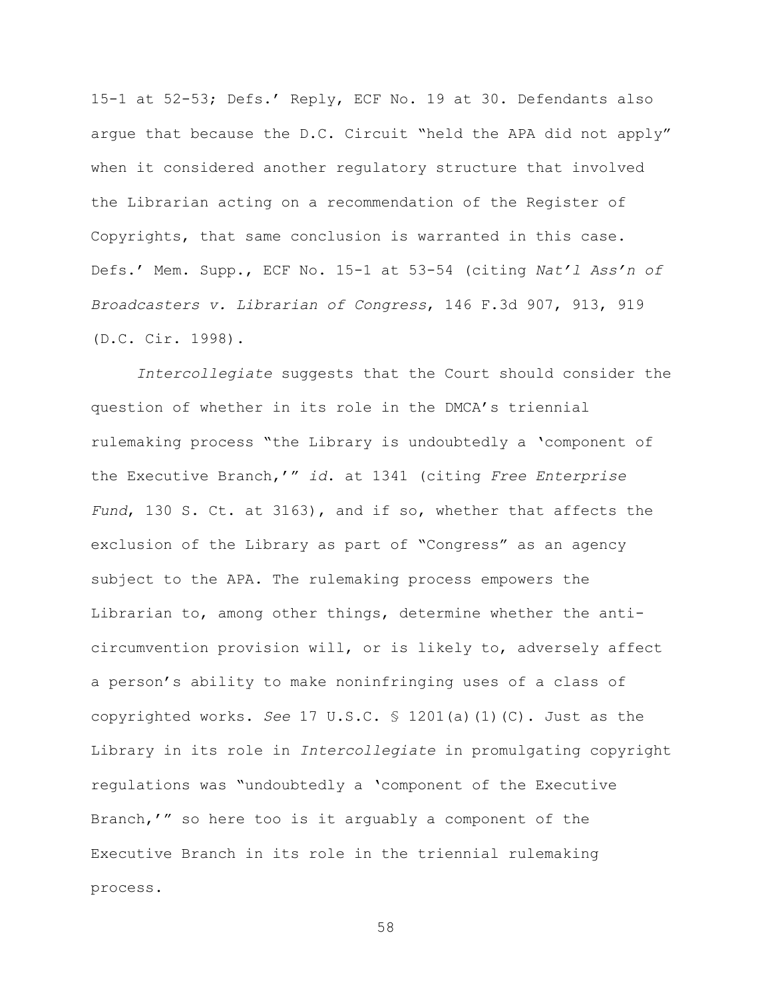15-1 at 52-53; Defs.' Reply, ECF No. 19 at 30. Defendants also argue that because the D.C. Circuit "held the APA did not apply" when it considered another regulatory structure that involved the Librarian acting on a recommendation of the Register of Copyrights, that same conclusion is warranted in this case. Defs.' Mem. Supp., ECF No. 15-1 at 53-54 (citing *Nat'l Ass'n of Broadcasters v. Librarian of Congress*, 146 F.3d 907, 913, 919 (D.C. Cir. 1998).

*Intercollegiate* suggests that the Court should consider the question of whether in its role in the DMCA's triennial rulemaking process "the Library is undoubtedly a 'component of the Executive Branch,'" *id*. at 1341 (citing *Free Enterprise Fund*, 130 S. Ct. at 3163), and if so, whether that affects the exclusion of the Library as part of "Congress" as an agency subject to the APA. The rulemaking process empowers the Librarian to, among other things, determine whether the anticircumvention provision will, or is likely to, adversely affect a person's ability to make noninfringing uses of a class of copyrighted works. *See* 17 U.S.C. § 1201(a)(1)(C). Just as the Library in its role in *Intercollegiate* in promulgating copyright regulations was "undoubtedly a 'component of the Executive Branch,'" so here too is it arguably a component of the Executive Branch in its role in the triennial rulemaking process.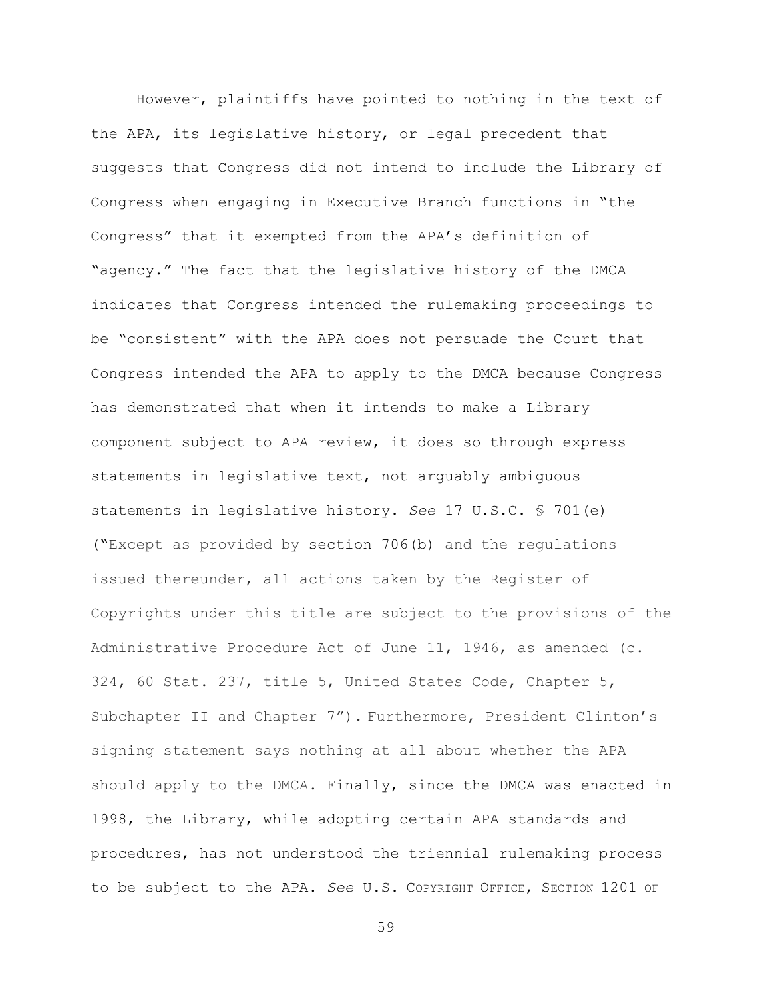However, plaintiffs have pointed to nothing in the text of the APA, its legislative history, or legal precedent that suggests that Congress did not intend to include the Library of Congress when engaging in Executive Branch functions in "the Congress" that it exempted from the APA's definition of "agency." The fact that the legislative history of the DMCA indicates that Congress intended the rulemaking proceedings to be "consistent" with the APA does not persuade the Court that Congress intended the APA to apply to the DMCA because Congress has demonstrated that when it intends to make a Library component subject to APA review, it does so through express statements in legislative text, not arguably ambiguous statements in legislative history. *See* 17 U.S.C. § 701(e) ("Except as provided by section 706(b) and the regulations issued thereunder, all actions taken by the Register of Copyrights under this title are subject to the provisions of the Administrative Procedure Act of June 11, 1946, as amended (c. 324, 60 Stat. 237, title 5, United States Code, Chapter 5, Subchapter II and Chapter 7"). Furthermore, President Clinton's signing statement says nothing at all about whether the APA should apply to the DMCA. Finally, since the DMCA was enacted in 1998, the Library, while adopting certain APA standards and procedures, has not understood the triennial rulemaking process to be subject to the APA. *See* U.S. COPYRIGHT OFFICE, SECTION 1201 OF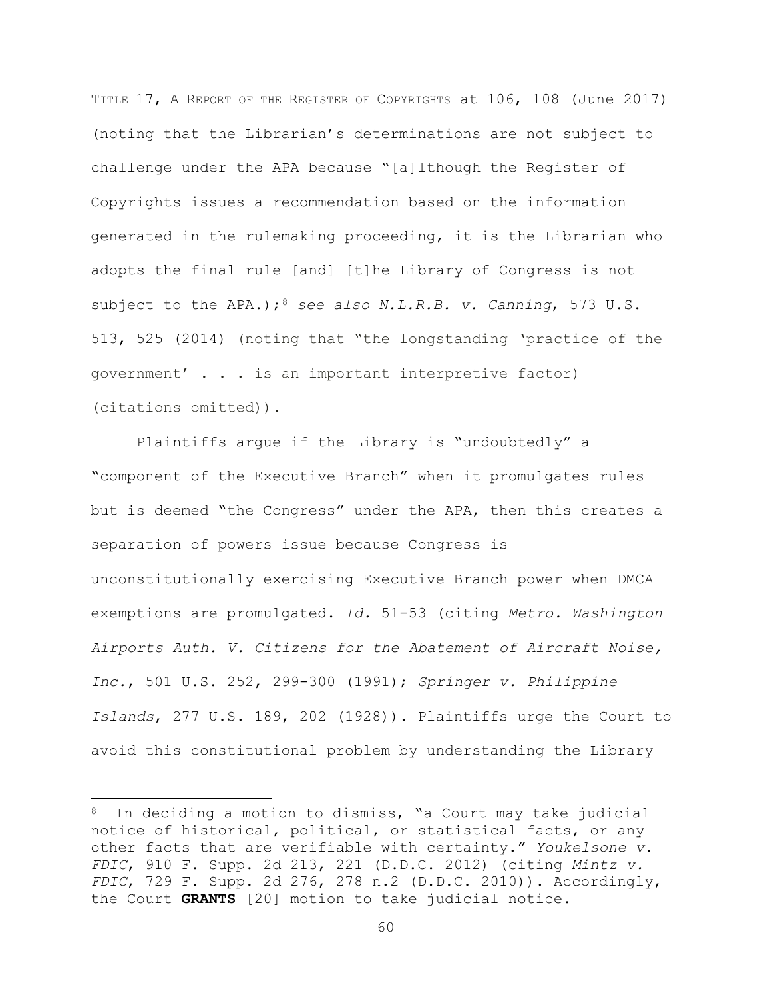TITLE 17, A REPORT OF THE REGISTER OF COPYRIGHTS at 106, 108 (June 2017) (noting that the Librarian's determinations are not subject to challenge under the APA because "[a]lthough the Register of Copyrights issues a recommendation based on the information generated in the rulemaking proceeding, it is the Librarian who adopts the final rule [and] [t]he Library of Congress is not subject to the APA.);<sup>8</sup> see also N.L.R.B. v. Canning, 573 U.S. 513, 525 (2014) (noting that "the longstanding 'practice of the government' . . . is an important interpretive factor) (citations omitted)).

Plaintiffs argue if the Library is "undoubtedly" a "component of the Executive Branch" when it promulgates rules but is deemed "the Congress" under the APA, then this creates a separation of powers issue because Congress is unconstitutionally exercising Executive Branch power when DMCA exemptions are promulgated. *Id.* 51-53 (citing *Metro. Washington Airports Auth. V. Citizens for the Abatement of Aircraft Noise, Inc.*, 501 U.S. 252, 299-300 (1991); *Springer v. Philippine Islands*, 277 U.S. 189, 202 (1928)). Plaintiffs urge the Court to avoid this constitutional problem by understanding the Library

l

In deciding a motion to dismiss, "a Court may take judicial notice of historical, political, or statistical facts, or any other facts that are verifiable with certainty." *Youkelsone v. FDIC*, 910 F. Supp. 2d 213, 221 (D.D.C. 2012) (citing *Mintz v. FDIC*, 729 F. Supp. 2d 276, 278 n.2 (D.D.C. 2010)). Accordingly, the Court **GRANTS** [20] motion to take judicial notice.